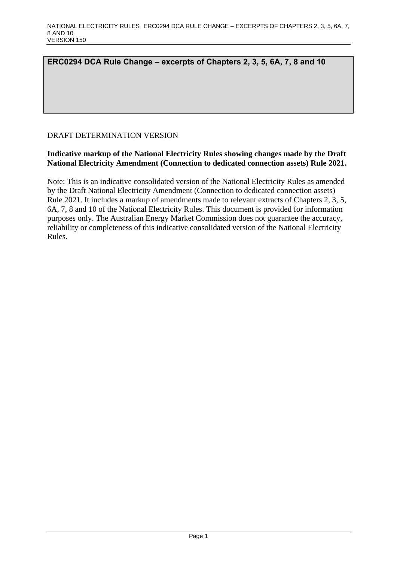# **ERC0294 DCA Rule Change – excerpts of Chapters 2, 3, 5, 6A, 7, 8 and 10**

# DRAFT DETERMINATION VERSION

# **Indicative markup of the National Electricity Rules showing changes made by the Draft National Electricity Amendment (Connection to dedicated connection assets) Rule 2021.**

Note: This is an indicative consolidated version of the National Electricity Rules as amended by the Draft National Electricity Amendment (Connection to dedicated connection assets) Rule 2021. It includes a markup of amendments made to relevant extracts of Chapters 2, 3, 5, 6A, 7, 8 and 10 of the National Electricity Rules. This document is provided for information purposes only. The Australian Energy Market Commission does not guarantee the accuracy, reliability or completeness of this indicative consolidated version of the National Electricity Rules.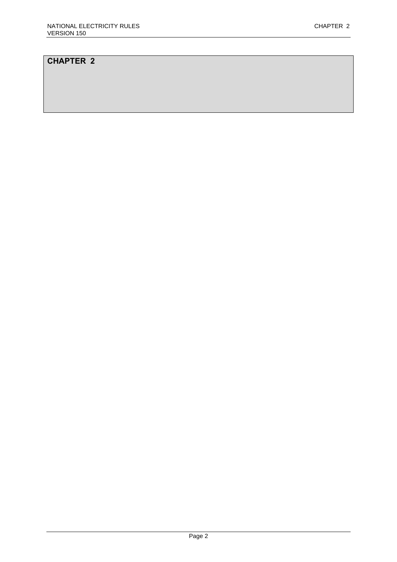# **CHAPTER 2**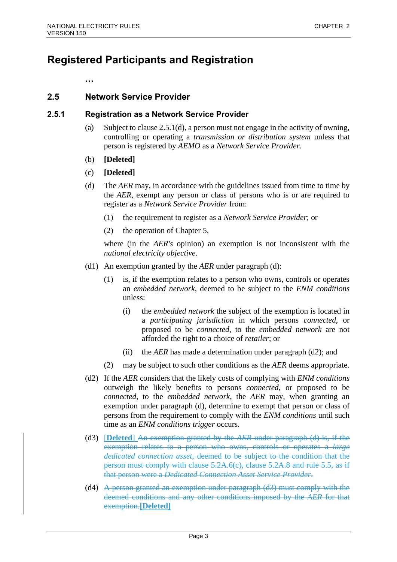# **Registered Participants and Registration**

**…**

# **2.5 Network Service Provider**

# **2.5.1 Registration as a Network Service Provider**

- (a) Subject to clause 2.5.1(d), a person must not engage in the activity of owning, controlling or operating a *transmission or distribution system* unless that person is registered by *AEMO* as a *Network Service Provider*.
- (b) **[Deleted]**
- (c) **[Deleted]**
- (d) The *AER* may, in accordance with the guidelines issued from time to time by the *AER*, exempt any person or class of persons who is or are required to register as a *Network Service Provider* from:
	- (1) the requirement to register as a *Network Service Provider*; or
	- (2) the operation of Chapter 5,

where (in the *AER's* opinion) an exemption is not inconsistent with the *national electricity objective*.

- (d1) An exemption granted by the *AER* under paragraph (d):
	- (1) is, if the exemption relates to a person who owns, controls or operates an *embedded network*, deemed to be subject to the *ENM conditions* unless:
		- (i) the *embedded network* the subject of the exemption is located in a *participating jurisdiction* in which persons *connected*, or proposed to be *connected*, to the *embedded network* are not afforded the right to a choice of *retailer*; or
		- (ii) the *AER* has made a determination under paragraph (d2); and
	- (2) may be subject to such other conditions as the *AER* deems appropriate.
- (d2) If the *AER* considers that the likely costs of complying with *ENM conditions* outweigh the likely benefits to persons *connected*, or proposed to be *connected*, to the *embedded network*, the *AER* may, when granting an exemption under paragraph (d), determine to exempt that person or class of persons from the requirement to comply with the *ENM conditions* until such time as an *ENM conditions trigger* occurs.
- (d3) [**Deleted**] An exemption granted by the *AER* under paragraph (d) is, if the exemption relates to a person who owns, controls or operates a *large dedicated connection asset*, deemed to be subject to the condition that the person must comply with clause  $5.2A.6(c)$ , clause  $5.2A.8$  and rule  $5.5$ , as if that person were a *Dedicated Connection Asset Service Provider*.
- (d4) A person granted an exemption under paragraph (d3) must comply with the deemed conditions and any other conditions imposed by the *AER* for that exemption.**[Deleted]**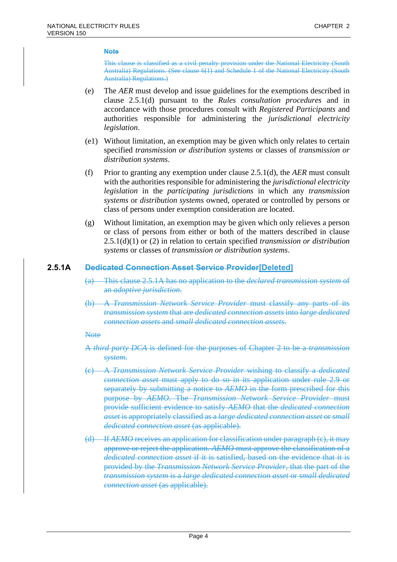This clause is classified as a civil penalty provision under the National Electricity (South Australia) Regulations. (See clause 6(1) and Schedule 1 of the National Electricity (South Australia) Regulations.)

- (e) The *AER* must develop and issue guidelines for the exemptions described in clause 2.5.1(d) pursuant to the *Rules consultation procedures* and in accordance with those procedures consult with *Registered Participants* and authorities responsible for administering the *jurisdictional electricity legislation*.
- (e1) Without limitation, an exemption may be given which only relates to certain specified *transmission or distribution systems* or classes of *transmission or distribution systems*.
- (f) Prior to granting any exemption under clause 2.5.1(d), the *AER* must consult with the authorities responsible for administering the *jurisdictional electricity legislation* in the *participating jurisdictions* in which any *transmission systems* or *distribution systems* owned, operated or controlled by persons or class of persons under exemption consideration are located.
- (g) Without limitation, an exemption may be given which only relieves a person or class of persons from either or both of the matters described in clause 2.5.1(d)(1) or (2) in relation to certain specified *transmission or distribution systems* or classes of *transmission or distribution systems*.

### **2.5.1A Dedicated Connection Asset Service Provider[Deleted]**

- (a) This clause 2.5.1A has no application to the *declared transmission system* of an *adoptive jurisdiction*.
- (b) A *Transmission Network Service Provider* must classify any parts of its *transmission system* that are *dedicated connection assets* into *large dedicated connection assets* and *small dedicated connection assets*.

#### **Note**

- A *third party DCA* is defined for the purposes of Chapter 2 to be a *transmission system*.
- (c) A *Transmission Network Service Provider* wishing to classify a *dedicated connection asset* must apply to do so in its application under rule 2.9 or separately by submitting a notice to *AEMO* in the form prescribed for this purpose by *AEMO*. The *Transmission Network Service Provider* must provide sufficient evidence to satisfy *AEMO* that the *dedicated connection asset* is appropriately classified as a *large dedicated connection asset* or *small dedicated connection asset* (as applicable).
- (d) If *AEMO* receives an application for classification under paragraph (c), it may approve or reject the application. *AEMO* must approve the classification of a *dedicated connection asset* if it is satisfied, based on the evidence that it is provided by the *Transmission Network Service Provider*, that the part of the *transmission system* is a *large dedicated connection asset* or *small dedicated connection asset* (as applicable).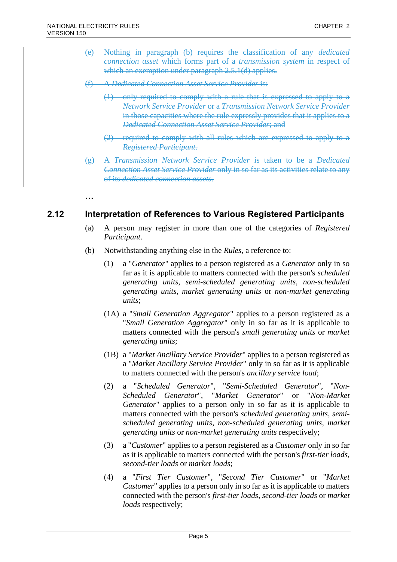**…**

- (e) Nothing in paragraph (b) requires the classification of any *dedicated connection asset* which forms part of a *transmission system* in respect of which an exemption under paragraph 2.5.1(d) applies.
- (f) A *Dedicated Connection Asset Service Provider* is:
	- (1) only required to comply with a rule that is expressed to apply to a *Network Service Provider* or a *Transmission Network Service Provider* in those capacities where the rule expressly provides that it applies to a *Dedicated Connection Asset Service Provider*; and
	- (2) required to comply with all rules which are expressed to apply to a *Registered Participant*.
- (g) A *Transmission Network Service Provider* is taken to be a *Dedicated Connection Asset Service Provider* only in so far as its activities relate to any of its *dedicated connection assets*.

**2.12 Interpretation of References to Various Registered Participants**

- (a) A person may register in more than one of the categories of *Registered Participant*.
- (b) Notwithstanding anything else in the *Rules*, a reference to:
	- (1) a "*Generator*" applies to a person registered as a *Generator* only in so far as it is applicable to matters connected with the person's *scheduled generating units*, *semi-scheduled generating units*, *non-scheduled generating units*, *market generating units* or *non-market generating units*;
	- (1A) a "*Small Generation Aggregator*" applies to a person registered as a "*Small Generation Aggregator*" only in so far as it is applicable to matters connected with the person's *small generating units* or *market generating units*;
	- (1B) a "*Market Ancillary Service Provider*" applies to a person registered as a "*Market Ancillary Service Provider*" only in so far as it is applicable to matters connected with the person's *ancillary service load*;
	- (2) a "*Scheduled Generator*", "*Semi-Scheduled Generator*", "*Non-Scheduled Generator*", "*Market Generator*" or "*Non-Market Generator*" applies to a person only in so far as it is applicable to matters connected with the person's *scheduled generating units*, *semischeduled generating units*, *non-scheduled generating units*, *market generating units* or *non-market generating units* respectively;
	- (3) a "*Customer*" applies to a person registered as a *Customer* only in so far as it is applicable to matters connected with the person's *first-tier loads*, *second-tier loads* or *market loads*;
	- (4) a "*First Tier Customer*", "*Second Tier Customer*" or "*Market Customer*" applies to a person only in so far as it is applicable to matters connected with the person's *first-tier loads*, *second-tier loads* or *market loads* respectively;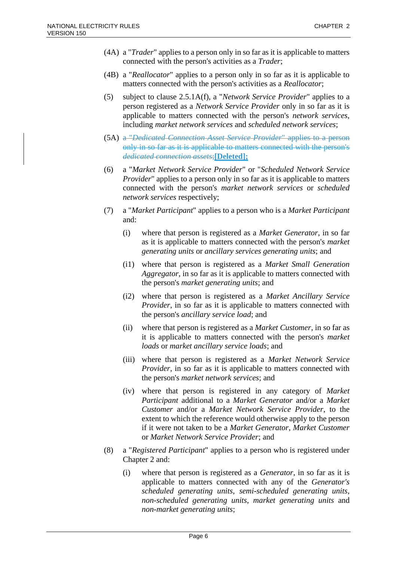- (4A) a "*Trader*" applies to a person only in so far as it is applicable to matters connected with the person's activities as a *Trader*;
- (4B) a "*Reallocator*" applies to a person only in so far as it is applicable to matters connected with the person's activities as a *Reallocator*;
- (5) subject to clause 2.5.1A(f), a "*Network Service Provider*" applies to a person registered as a *Network Service Provider* only in so far as it is applicable to matters connected with the person's *network services*, including *market network services* and *scheduled network services*;
- (5A) a "*Dedicated Connection Asset Service Provider*" applies to a person only in so far as it is applicable to matters connected with the person's *dedicated connection assets*;**[Deleted];**
- (6) a "*Market Network Service Provider*" or "*Scheduled Network Service Provider*" applies to a person only in so far as it is applicable to matters connected with the person's *market network services* or *scheduled network services* respectively;
- (7) a "*Market Participant*" applies to a person who is a *Market Participant* and:
	- (i) where that person is registered as a *Market Generator*, in so far as it is applicable to matters connected with the person's *market generating units* or *ancillary services generating units*; and
	- (i1) where that person is registered as a *Market Small Generation Aggregator*, in so far as it is applicable to matters connected with the person's *market generating units*; and
	- (i2) where that person is registered as a *Market Ancillary Service Provider*, in so far as it is applicable to matters connected with the person's *ancillary service load*; and
	- (ii) where that person is registered as a *Market Customer*, in so far as it is applicable to matters connected with the person's *market loads* or *market ancillary service loads*; and
	- (iii) where that person is registered as a *Market Network Service Provider*, in so far as it is applicable to matters connected with the person's *market network services*; and
	- (iv) where that person is registered in any category of *Market Participant* additional to a *Market Generator* and/or a *Market Customer* and/or a *Market Network Service Provider*, to the extent to which the reference would otherwise apply to the person if it were not taken to be a *Market Generator*, *Market Customer* or *Market Network Service Provider*; and
- (8) a "*Registered Participant*" applies to a person who is registered under Chapter 2 and:
	- (i) where that person is registered as a *Generator*, in so far as it is applicable to matters connected with any of the *Generator's scheduled generating units*, *semi-scheduled generating units*, *non-scheduled generating units*, *market generating units* and *non-market generating units*;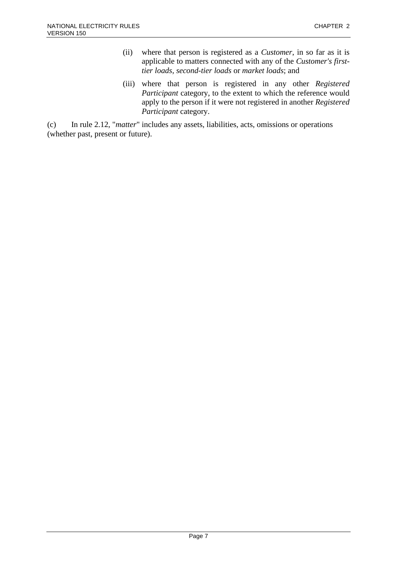- (ii) where that person is registered as a *Customer*, in so far as it is applicable to matters connected with any of the *Customer's firsttier loads*, *second-tier loads* or *market loads*; and
- (iii) where that person is registered in any other *Registered Participant* category, to the extent to which the reference would apply to the person if it were not registered in another *Registered Participant* category.

(c) In rule 2.12, "*matter*" includes any assets, liabilities, acts, omissions or operations (whether past, present or future).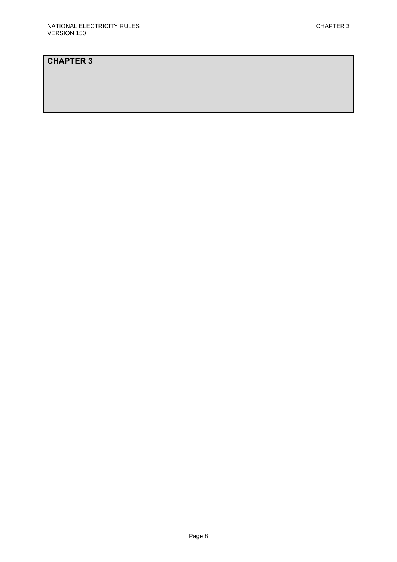# **CHAPTER 3**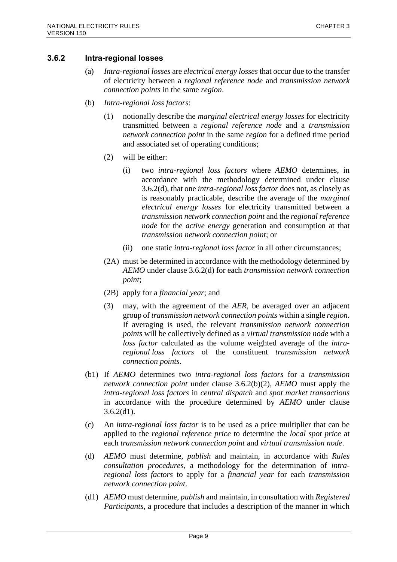### **3.6.2 Intra-regional losses**

- (a) *Intra-regional losses* are *electrical energy losses* that occur due to the transfer of electricity between a *regional reference node* and *transmission network connection points* in the same *region*.
- (b) *Intra-regional loss factors*:
	- (1) notionally describe the *marginal electrical energy losses* for electricity transmitted between a *regional reference node* and a *transmission network connection point* in the same *region* for a defined time period and associated set of operating conditions;
	- (2) will be either:
		- (i) two *intra-regional loss factors* where *AEMO* determines, in accordance with the methodology determined under clause 3.6.2(d), that one *intra-regional loss factor* does not, as closely as is reasonably practicable, describe the average of the *marginal electrical energy losses* for electricity transmitted between a *transmission network connection point* and the *regional reference node* for the *active energy* generation and consumption at that *transmission network connection point*; or
		- (ii) one static *intra-regional loss factor* in all other circumstances;
	- (2A) must be determined in accordance with the methodology determined by *AEMO* under clause 3.6.2(d) for each *transmission network connection point*;
	- (2B) apply for a *financial year*; and
	- (3) may, with the agreement of the *AER*, be averaged over an adjacent group of *transmission network connection points* within a single *region*. If averaging is used, the relevant *transmission network connection points* will be collectively defined as a *virtual transmission node* with a *loss factor* calculated as the volume weighted average of the *intraregional loss factors* of the constituent *transmission network connection points*.
- (b1) If *AEMO* determines two *intra-regional loss factors* for a *transmission network connection point* under clause 3.6.2(b)(2), *AEMO* must apply the *intra-regional loss factors* in *central dispatch* and *spot market transactions* in accordance with the procedure determined by *AEMO* under clause  $3.6.2(d1)$ .
- (c) An *intra-regional loss factor* is to be used as a price multiplier that can be applied to the *regional reference price* to determine the *local spot price* at each *transmission network connection point* and *virtual transmission node*.
- (d) *AEMO* must determine, *publish* and maintain, in accordance with *Rules consultation procedures*, a methodology for the determination of *intraregional loss factors* to apply for a *financial year* for each *transmission network connection point*.
- (d1) *AEMO* must determine, *publish* and maintain, in consultation with *Registered Participants*, a procedure that includes a description of the manner in which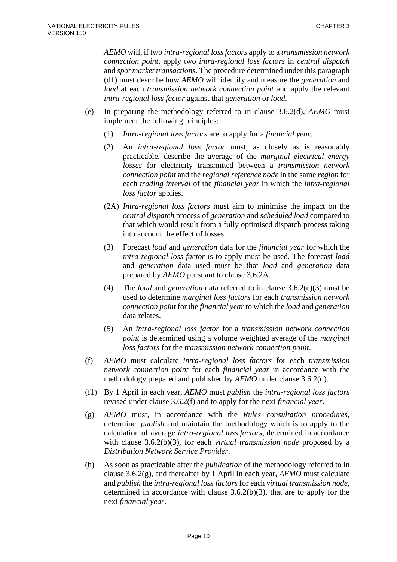*AEMO* will, if two *intra-regional loss factors* apply to a *transmission network connection point*, apply two *intra-regional loss factors* in *central dispatch* and *spot market transactions*. The procedure determined under this paragraph (d1) must describe how *AEMO* will identify and measure the *generation* and *load* at each *transmission network connection point* and apply the relevant *intra-regional loss factor* against that *generation* or *load*.

- (e) In preparing the methodology referred to in clause 3.6.2(d), *AEMO* must implement the following principles:
	- (1) *Intra-regional loss factors* are to apply for a *financial year*.
	- (2) An *intra-regional loss factor* must, as closely as is reasonably practicable, describe the average of the *marginal electrical energy losses* for electricity transmitted between a *transmission network connection point* and the *regional reference node* in the same *region* for each *trading interval* of the *financial year* in which the *intra-regional loss factor* applies.
	- (2A) *Intra-regional loss factors* must aim to minimise the impact on the *central dispatch* process of *generation* and *scheduled load* compared to that which would result from a fully optimised dispatch process taking into account the effect of losses.
	- (3) Forecast *load* and *generation* data for the *financial year* for which the *intra-regional loss factor* is to apply must be used. The forecast *load* and *generation* data used must be that *load* and *generation* data prepared by *AEMO* pursuant to clause 3.6.2A.
	- (4) The *load* and *generation* data referred to in clause 3.6.2(e)(3) must be used to determine *marginal loss factors* for each *transmission network connection point* for the *financial year* to which the *load* and *generation* data relates.
	- (5) An *intra-regional loss factor* for a *transmission network connection point* is determined using a volume weighted average of the *marginal loss factors* for the *transmission network connection point*.
- (f) *AEMO* must calculate *intra-regional loss factors* for each *transmission network connection point* for each *financial year* in accordance with the methodology prepared and published by *AEMO* under clause 3.6.2(d).
- (f1) By 1 April in each year, *AEMO* must *publish* the *intra-regional loss factors* revised under clause 3.6.2(f) and to apply for the next *financial year*.
- (g) *AEMO* must, in accordance with the *Rules consultation procedures*, determine, *publish* and maintain the methodology which is to apply to the calculation of average *intra-regional loss factors*, determined in accordance with clause 3.6.2(b)(3), for each *virtual transmission node* proposed by a *Distribution Network Service Provider*.
- (h) As soon as practicable after the *publication* of the methodology referred to in clause 3.6.2(g), and thereafter by 1 April in each year, *AEMO* must calculate and *publish* the *intra-regional loss factors* for each *virtual transmission node*, determined in accordance with clause 3.6.2(b)(3), that are to apply for the next *financial year*.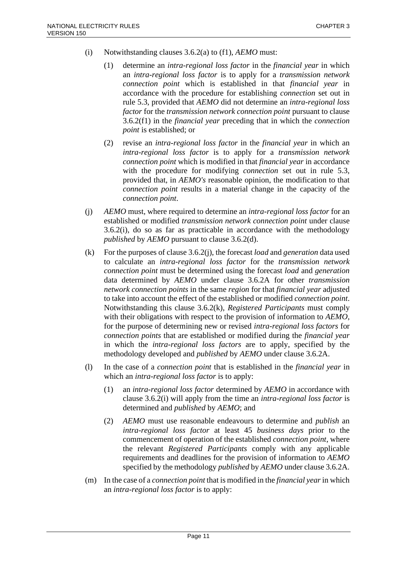- (i) Notwithstanding clauses 3.6.2(a) to (f1), *AEMO* must:
	- (1) determine an *intra-regional loss factor* in the *financial year* in which an *intra-regional loss factor* is to apply for a *transmission network connection point* which is established in that *financial year* in accordance with the procedure for establishing *connection* set out in rule 5.3, provided that *AEMO* did not determine an *intra-regional loss factor* for the *transmission network connection point* pursuant to clause 3.6.2(f1) in the *financial year* preceding that in which the *connection point* is established; or
	- (2) revise an *intra-regional loss factor* in the *financial year* in which an *intra-regional loss factor* is to apply for a *transmission network connection point* which is modified in that *financial year* in accordance with the procedure for modifying *connection* set out in rule 5.3, provided that, in *AEMO's* reasonable opinion, the modification to that *connection point* results in a material change in the capacity of the *connection point*.
- (j) *AEMO* must, where required to determine an *intra-regional loss factor* for an established or modified *transmission network connection point* under clause 3.6.2(i), do so as far as practicable in accordance with the methodology *published* by *AEMO* pursuant to clause 3.6.2(d).
- (k) For the purposes of clause 3.6.2(j), the forecast *load* and *generation* data used to calculate an *intra-regional loss factor* for the *transmission network connection point* must be determined using the forecast *load* and *generation* data determined by *AEMO* under clause 3.6.2A for other *transmission network connection points* in the same *region* for that *financial year* adjusted to take into account the effect of the established or modified *connection point*. Notwithstanding this clause 3.6.2(k), *Registered Participants* must comply with their obligations with respect to the provision of information to *AEMO*, for the purpose of determining new or revised *intra-regional loss factors* for *connection points* that are established or modified during the *financial year* in which the *intra-regional loss factors* are to apply, specified by the methodology developed and *published* by *AEMO* under clause 3.6.2A.
- (l) In the case of a *connection point* that is established in the *financial year* in which an *intra-regional loss factor* is to apply:
	- (1) an *intra-regional loss factor* determined by *AEMO* in accordance with clause 3.6.2(i) will apply from the time an *intra-regional loss factor* is determined and *published* by *AEMO*; and
	- (2) *AEMO* must use reasonable endeavours to determine and *publish* an *intra-regional loss factor* at least 45 *business days* prior to the commencement of operation of the established *connection point*, where the relevant *Registered Participants* comply with any applicable requirements and deadlines for the provision of information to *AEMO* specified by the methodology *published* by *AEMO* under clause 3.6.2A.
- (m) In the case of a *connection point* that is modified in the *financial year* in which an *intra-regional loss factor* is to apply: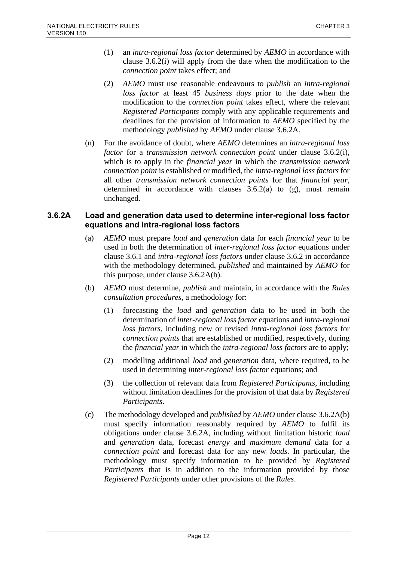- (1) an *intra-regional loss factor* determined by *AEMO* in accordance with clause 3.6.2(i) will apply from the date when the modification to the *connection point* takes effect; and
- (2) *AEMO* must use reasonable endeavours to *publish* an *intra-regional loss factor* at least 45 *business days* prior to the date when the modification to the *connection point* takes effect, where the relevant *Registered Participants* comply with any applicable requirements and deadlines for the provision of information to *AEMO* specified by the methodology *published* by *AEMO* under clause 3.6.2A.
- (n) For the avoidance of doubt, where *AEMO* determines an *intra-regional loss factor* for a *transmission network connection point* under clause 3.6.2(i), which is to apply in the *financial year* in which the *transmission network connection point* is established or modified, the *intra-regional loss factors* for all other *transmission network connection points* for that *financial year*, determined in accordance with clauses 3.6.2(a) to (g), must remain unchanged.

### **3.6.2A Load and generation data used to determine inter-regional loss factor equations and intra-regional loss factors**

- (a) *AEMO* must prepare *load* and *generation* data for each *financial year* to be used in both the determination of *inter-regional loss factor* equations under clause 3.6.1 and *intra-regional loss factors* under clause 3.6.2 in accordance with the methodology determined, *published* and maintained by *AEMO* for this purpose, under clause 3.6.2A(b).
- (b) *AEMO* must determine, *publish* and maintain, in accordance with the *Rules consultation procedures*, a methodology for:
	- (1) forecasting the *load* and *generation* data to be used in both the determination of *inter-regional loss factor* equations and *intra-regional loss factors*, including new or revised *intra-regional loss factors* for *connection points* that are established or modified, respectively, during the *financial year* in which the *intra-regional loss factors* are to apply;
	- (2) modelling additional *load* and *generation* data, where required, to be used in determining *inter-regional loss factor* equations; and
	- (3) the collection of relevant data from *Registered Participants*, including without limitation deadlines for the provision of that data by *Registered Participants*.
- (c) The methodology developed and *published* by *AEMO* under clause 3.6.2A(b) must specify information reasonably required by *AEMO* to fulfil its obligations under clause 3.6.2A, including without limitation historic *load* and *generation* data, forecast *energy* and *maximum demand* data for a *connection point* and forecast data for any new *loads*. In particular, the methodology must specify information to be provided by *Registered Participants* that is in addition to the information provided by those *Registered Participants* under other provisions of the *Rules*.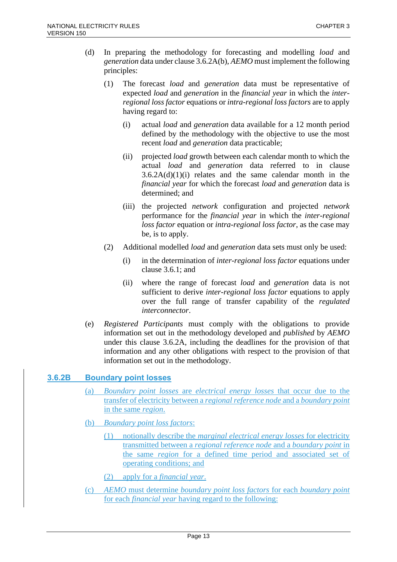- (d) In preparing the methodology for forecasting and modelling *load* and *generation* data under clause 3.6.2A(b), *AEMO* must implement the following principles:
	- (1) The forecast *load* and *generation* data must be representative of expected *load* and *generation* in the *financial year* in which the *interregional loss factor* equations or *intra-regional loss factors* are to apply having regard to:
		- (i) actual *load* and *generation* data available for a 12 month period defined by the methodology with the objective to use the most recent *load* and *generation* data practicable;
		- (ii) projected *load* growth between each calendar month to which the actual *load* and *generation* data referred to in clause  $3.6.2A(d)(1)(i)$  relates and the same calendar month in the *financial year* for which the forecast *load* and *generation* data is determined; and
		- (iii) the projected *network* configuration and projected *network* performance for the *financial year* in which the *inter-regional loss factor* equation or *intra-regional loss factor*, as the case may be, is to apply.
	- (2) Additional modelled *load* and *generation* data sets must only be used:
		- (i) in the determination of *inter-regional loss factor* equations under clause 3.6.1; and
		- (ii) where the range of forecast *load* and *generation* data is not sufficient to derive *inter-regional loss factor* equations to apply over the full range of transfer capability of the *regulated interconnector*.
- (e) *Registered Participants* must comply with the obligations to provide information set out in the methodology developed and *published* by *AEMO* under this clause 3.6.2A, including the deadlines for the provision of that information and any other obligations with respect to the provision of that information set out in the methodology.

# **3.6.2B Boundary point losses**

- (a) *Boundary point losses* are *electrical energy losses* that occur due to the transfer of electricity between a *regional reference node* and a *boundary point* in the same *region*.
- (b) *Boundary point loss factors*:
	- (1) notionally describe the *marginal electrical energy losses* for electricity transmitted between a *regional reference node* and a *boundary point* in the same *region* for a defined time period and associated set of operating conditions; and
	- (2) apply for a *financial year*.
- (c) *AEMO* must determine *boundary point loss factors* for each *boundary point* for each *financial year* having regard to the following: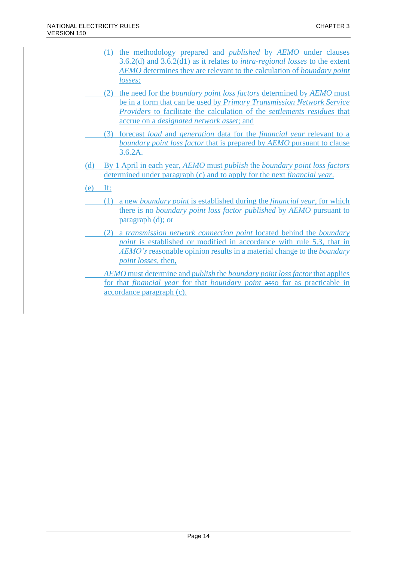- (1) the methodology prepared and *published* by *AEMO* under clauses 3.6.2(d) and 3.6.2(d1) as it relates to *intra-regional losses* to the extent *AEMO* determines they are relevant to the calculation of *boundary point losses*;
- (2) the need for the *boundary point loss factors* determined by *AEMO* must be in a form that can be used by *Primary Transmission Network Service Providers* to facilitate the calculation of the *settlements residues* that accrue on a *designated network asset*; and
- (3) forecast *load* and *generation* data for the *financial year* relevant to a *boundary point loss factor* that is prepared by *AEMO* pursuant to clause 3.6.2A.
- (d) By 1 April in each year, *AEMO* must *publish* the *boundary point loss factors* determined under paragraph (c) and to apply for the next *financial year*.
- (e) If:
	- (1) a new *boundary point* is established during the *financial year*, for which there is no *boundary point loss factor published* by *AEMO* pursuant to paragraph (d); or
	- (2) a *transmission network connection point* located behind the *boundary point* is established or modified in accordance with rule 5.3, that in *AEMO's* reasonable opinion results in a material change to the *boundary point losses*, then,
	- *AEMO* must determine and *publish* the *boundary point loss factor* that applies for that *financial year* for that *boundary point* asso far as practicable in accordance paragraph (c).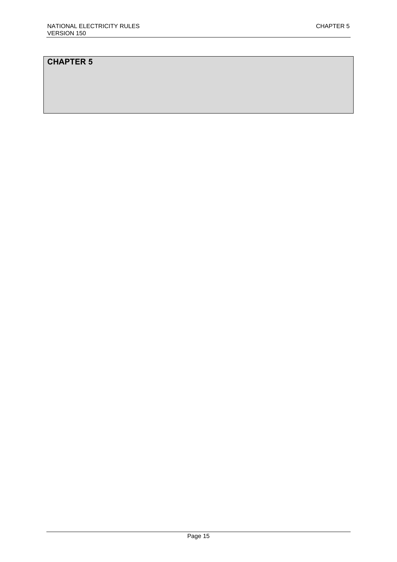# **CHAPTER 5**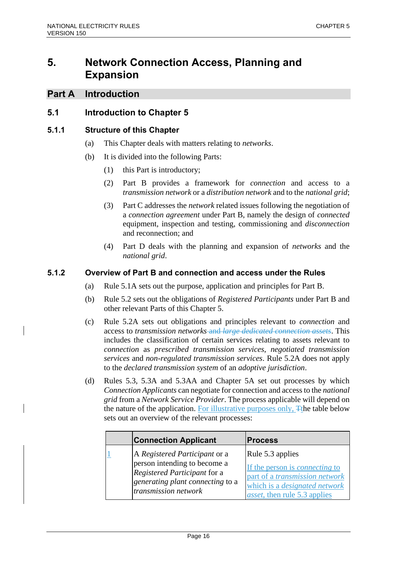# **5. Network Connection Access, Planning and Expansion**

# **Part A Introduction**

# **5.1 Introduction to Chapter 5**

### **5.1.1 Structure of this Chapter**

- (a) This Chapter deals with matters relating to *networks*.
- (b) It is divided into the following Parts:
	- (1) this Part is introductory;
	- (2) Part B provides a framework for *connection* and access to a *transmission network* or a *distribution network* and to the *national grid*;
	- (3) Part C addresses the *network* related issues following the negotiation of a *connection agreement* under Part B, namely the design of *connected* equipment, inspection and testing, commissioning and *disconnection* and reconnection; and
	- (4) Part D deals with the planning and expansion of *networks* and the *national grid*.

### **5.1.2 Overview of Part B and connection and access under the Rules**

- (a) Rule 5.1A sets out the purpose, application and principles for Part B.
- (b) Rule 5.2 sets out the obligations of *Registered Participants* under Part B and other relevant Parts of this Chapter 5.
- (c) Rule 5.2A sets out obligations and principles relevant to *connection* and access to *transmission networks* and *large dedicated connection assets*. This includes the classification of certain services relating to assets relevant to *connection* as *prescribed transmission services*, *negotiated transmission services* and *non-regulated transmission services*. Rule 5.2A does not apply to the *declared transmission system* of an *adoptive jurisdiction*.
- (d) Rules 5.3, 5.3A and 5.3AA and Chapter 5A set out processes by which *Connection Applicants* can negotiate for connection and access to the *national grid* from a *Network Service Provider*. The process applicable will depend on the nature of the application. For illustrative purposes only, The table below sets out an overview of the relevant processes:

| <b>Connection Applicant</b>      | <b>Process</b>                        |
|----------------------------------|---------------------------------------|
| A Registered Participant or a    | Rule 5.3 applies                      |
| person intending to become a     | If the person is <i>connecting</i> to |
| Registered Participant for a     | part of a <i>transmission network</i> |
| generating plant connecting to a | which is a <i>designated network</i>  |
| transmission network             | <i>asset</i> , then rule 5.3 applies  |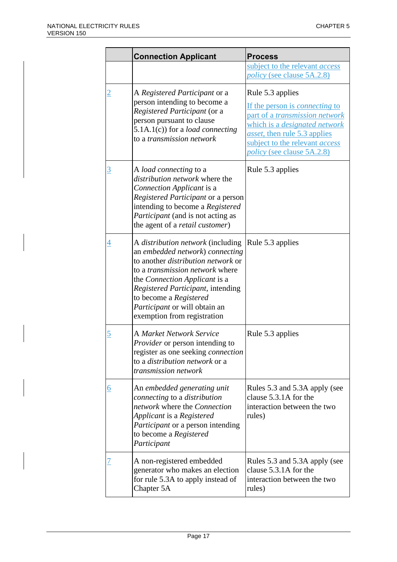|                | <b>Connection Applicant</b>                                                                                                                                                                                                                                                                                                        | <b>Process</b>                                                                                                                                                                                                                                                   |  |
|----------------|------------------------------------------------------------------------------------------------------------------------------------------------------------------------------------------------------------------------------------------------------------------------------------------------------------------------------------|------------------------------------------------------------------------------------------------------------------------------------------------------------------------------------------------------------------------------------------------------------------|--|
|                |                                                                                                                                                                                                                                                                                                                                    | subject to the relevant access<br><i>policy</i> (see clause 5A.2.8)                                                                                                                                                                                              |  |
| $\overline{2}$ | A Registered Participant or a<br>person intending to become a<br>Registered Participant (or a<br>person pursuant to clause<br>$5.1A.1(c)$ ) for a <i>load connecting</i><br>to a transmission network                                                                                                                              | Rule 5.3 applies<br>If the person is <i>connecting</i> to<br>part of a <i>transmission network</i><br>which is a <i>designated network</i><br><i>asset</i> , then rule 5.3 applies<br>subject to the relevant <i>access</i><br><i>policy</i> (see clause 5A.2.8) |  |
| <u>3</u>       | A <i>load connecting</i> to a<br>distribution network where the<br>Connection Applicant is a<br>Registered Participant or a person<br>intending to become a Registered<br><i>Participant</i> (and is not acting as<br>the agent of a <i>retail customer</i> )                                                                      | Rule 5.3 applies                                                                                                                                                                                                                                                 |  |
| $\overline{4}$ | A <i>distribution network</i> (including<br>an embedded network) connecting<br>to another <i>distribution network</i> or<br>to a <i>transmission network</i> where<br>the Connection Applicant is a<br>Registered Participant, intending<br>to become a Registered<br>Participant or will obtain an<br>exemption from registration | Rule 5.3 applies                                                                                                                                                                                                                                                 |  |
| <u>5</u>       | <b>A Market Network Service</b><br><i>Provider</i> or person intending to<br>register as one seeking <i>connection</i><br>to a <i>distribution network</i> or a<br>transmission network                                                                                                                                            | Rule 5.3 applies                                                                                                                                                                                                                                                 |  |
| <u>6</u>       | An embedded generating unit<br>connecting to a distribution<br>network where the Connection<br>Applicant is a Registered<br><i>Participant</i> or a person intending<br>to become a Registered<br>Participant                                                                                                                      | Rules 5.3 and 5.3A apply (see<br>clause 5.3.1A for the<br>interaction between the two<br>rules)                                                                                                                                                                  |  |
|                | A non-registered embedded<br>generator who makes an election<br>for rule 5.3A to apply instead of<br>Chapter 5A                                                                                                                                                                                                                    | Rules 5.3 and 5.3A apply (see<br>clause 5.3.1A for the<br>interaction between the two<br>rules)                                                                                                                                                                  |  |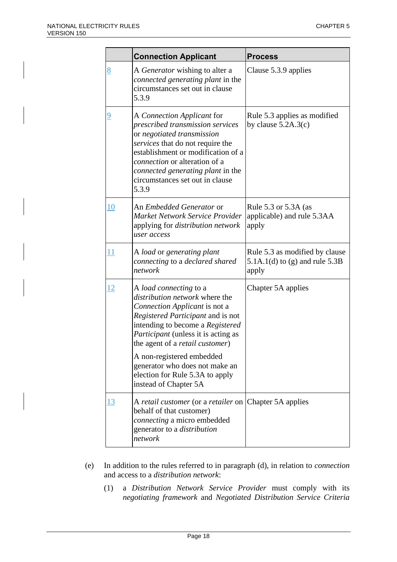|                | <b>Connection Applicant</b>                                                                                                                                                                                                                                                                                                                                                            | <b>Process</b>                                                              |  |
|----------------|----------------------------------------------------------------------------------------------------------------------------------------------------------------------------------------------------------------------------------------------------------------------------------------------------------------------------------------------------------------------------------------|-----------------------------------------------------------------------------|--|
| <u>8</u>       | A Generator wishing to alter a<br>connected generating plant in the<br>circumstances set out in clause<br>5.3.9                                                                                                                                                                                                                                                                        | Clause 5.3.9 applies                                                        |  |
| $\overline{9}$ | A Connection Applicant for<br>prescribed transmission services<br>or negotiated transmission<br>services that do not require the<br>establishment or modification of a<br><i>connection</i> or alteration of a<br>connected generating plant in the<br>circumstances set out in clause<br>5.3.9                                                                                        | Rule 5.3 applies as modified<br>by clause $5.2A.3(c)$                       |  |
| <u>10</u>      | An <i>Embedded Generator</i> or<br>Market Network Service Provider<br>applying for distribution network<br>user access                                                                                                                                                                                                                                                                 | Rule 5.3 or 5.3A (as<br>applicable) and rule 5.3AA<br>apply                 |  |
| 11             | A load or generating plant<br>connecting to a declared shared<br>network                                                                                                                                                                                                                                                                                                               | Rule 5.3 as modified by clause<br>5.1A.1(d) to (g) and rule $5.3B$<br>apply |  |
| <u> 12</u>     | A load connecting to a<br>distribution network where the<br>Connection Applicant is not a<br>Registered Participant and is not<br>intending to become a Registered<br><i>Participant</i> (unless it is acting as<br>the agent of a <i>retail customer</i> )<br>A non-registered embedded<br>generator who does not make an<br>election for Rule 5.3A to apply<br>instead of Chapter 5A | Chapter 5A applies                                                          |  |
| <u>13</u>      | A retail customer (or a retailer on<br>behalf of that customer)<br>connecting a micro embedded<br>generator to a <i>distribution</i><br>network                                                                                                                                                                                                                                        | Chapter 5A applies                                                          |  |

- (e) In addition to the rules referred to in paragraph (d), in relation to *connection* and access to a *distribution network*:
	- (1) a *Distribution Network Service Provider* must comply with its *negotiating framework* and *Negotiated Distribution Service Criteria*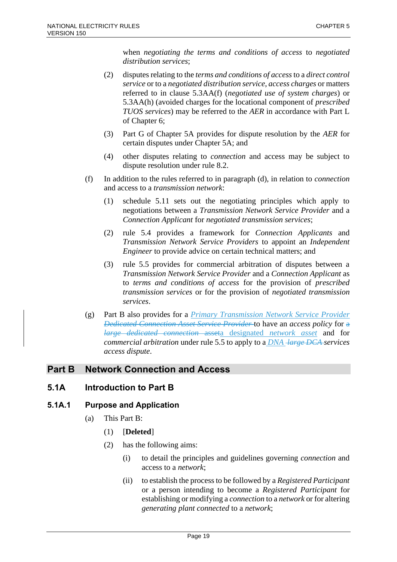when *negotiating the terms and conditions of access* to *negotiated distribution services*;

- (2) disputes relating to the *terms and conditions of access* to a *direct control service* or to a *negotiated distribution service*, *access charges* or matters referred to in clause 5.3AA(f) (*negotiated use of system charges*) or 5.3AA(h) (avoided charges for the locational component of *prescribed TUOS services*) may be referred to the *AER* in accordance with Part L of Chapter 6;
- (3) Part G of Chapter 5A provides for dispute resolution by the *AER* for certain disputes under Chapter 5A; and
- (4) other disputes relating to *connection* and access may be subject to dispute resolution under rule 8.2.
- (f) In addition to the rules referred to in paragraph (d), in relation to *connection* and access to a *transmission network*:
	- (1) schedule 5.11 sets out the negotiating principles which apply to negotiations between a *Transmission Network Service Provider* and a *Connection Applicant* for *negotiated transmission services*;
	- (2) rule 5.4 provides a framework for *Connection Applicants* and *Transmission Network Service Providers* to appoint an *Independent Engineer* to provide advice on certain technical matters; and
	- (3) rule 5.5 provides for commercial arbitration of disputes between a *Transmission Network Service Provider* and a *Connection Applicant* as to *terms and conditions of access* for the provision of *prescribed transmission services* or for the provision of *negotiated transmission services*.
- (g) Part B also provides for a *Primary Transmission Network Service Provider Dedicated Connection Asset Service Provider* to have an *access policy* for a *large dedicated connection* asseta designated *network asset* and for *commercial arbitration* under rule 5.5 to apply to a *DNA large DCA services access dispute*.

# **Part B Network Connection and Access**

# **5.1A Introduction to Part B**

# **5.1A.1 Purpose and Application**

- (a) This Part B:
	- (1) [**Deleted**]
	- (2) has the following aims:
		- (i) to detail the principles and guidelines governing *connection* and access to a *network*;
		- (ii) to establish the process to be followed by a *Registered Participant* or a person intending to become a *Registered Participant* for establishing or modifying a *connection* to a *network* or for altering *generating plant connected* to a *network*;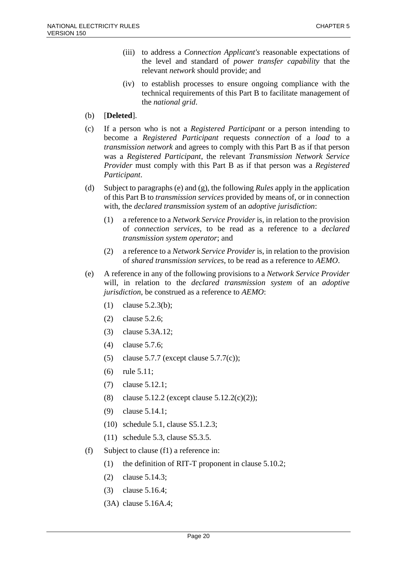- (iii) to address a *Connection Applicant's* reasonable expectations of the level and standard of *power transfer capability* that the relevant *network* should provide; and
- (iv) to establish processes to ensure ongoing compliance with the technical requirements of this Part B to facilitate management of the *national grid*.
- (b) [**Deleted**].
- (c) If a person who is not a *Registered Participant* or a person intending to become a *Registered Participant* requests *connection* of a *load* to a *transmission network* and agrees to comply with this Part B as if that person was a *Registered Participant*, the relevant *Transmission Network Service Provider* must comply with this Part B as if that person was a *Registered Participant*.
- (d) Subject to paragraphs (e) and (g), the following *Rules* apply in the application of this Part B to *transmission services* provided by means of, or in connection with, the *declared transmission system* of an *adoptive jurisdiction*:
	- (1) a reference to a *Network Service Provider* is, in relation to the provision of *connection services*, to be read as a reference to a *declared transmission system operator*; and
	- (2) a reference to a *Network Service Provider* is, in relation to the provision of *shared transmission services*, to be read as a reference to *AEMO*.
- (e) A reference in any of the following provisions to a *Network Service Provider* will, in relation to the *declared transmission system* of an *adoptive jurisdiction*, be construed as a reference to *AEMO*:
	- (1) clause 5.2.3(b);
	- (2) clause 5.2.6;
	- (3) clause 5.3A.12;
	- (4) clause 5.7.6;
	- (5) clause 5.7.7 (except clause 5.7.7(c));
	- (6) rule 5.11;
	- (7) clause 5.12.1;
	- (8) clause 5.12.2 (except clause 5.12.2(c)(2));
	- (9) clause 5.14.1;
	- (10) schedule 5.1, clause S5.1.2.3;
	- (11) schedule 5.3, clause S5.3.5.
- (f) Subject to clause (f1) a reference in:
	- (1) the definition of RIT-T proponent in clause 5.10.2;
	- (2) clause 5.14.3;
	- (3) clause 5.16.4;
	- (3A) clause 5.16A.4;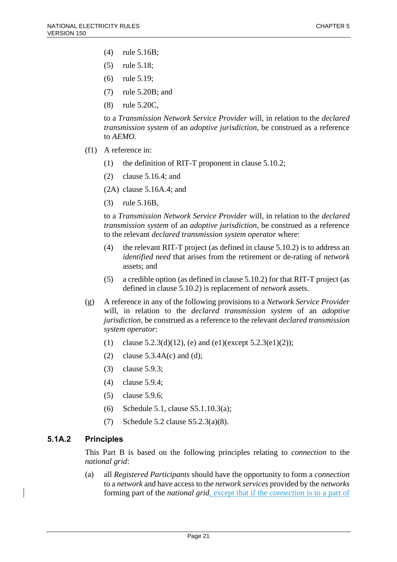- (4) rule 5.16B;
- (5) rule 5.18;
- (6) rule 5.19;
- (7) rule 5.20B; and
- (8) rule 5.20C,

to a *Transmission Network Service Provider* will, in relation to the *declared transmission system* of an *adoptive jurisdiction*, be construed as a reference to *AEMO*.

- (f1) A reference in:
	- (1) the definition of RIT-T proponent in clause 5.10.2;
	- (2) clause 5.16.4; and

(2A) clause 5.16A.4; and

(3) rule 5.16B,

to a *Transmission Network Service Provider* will, in relation to the *declared transmission system* of an *adoptive jurisdiction*, be construed as a reference to the relevant *declared transmission system operator* where:

- (4) the relevant RIT-T project (as defined in clause 5.10.2) is to address an *identified need* that arises from the retirement or de-rating of *network* assets; and
- (5) a credible option (as defined in clause 5.10.2) for that RIT-T project (as defined in clause 5.10.2) is replacement of *network* assets.
- (g) A reference in any of the following provisions to a *Network Service Provider* will, in relation to the *declared transmission system* of an *adoptive jurisdiction*, be construed as a reference to the relevant *declared transmission system operator*:
	- (1) clause 5.2.3(d)(12), (e) and (e1)(except 5.2.3(e1)(2));
	- (2) clause  $5.3.4A(c)$  and (d);
	- (3) clause 5.9.3;
	- (4) clause 5.9.4;
	- (5) clause 5.9.6;
	- (6) Schedule 5.1, clause S5.1.10.3(a);
	- (7) Schedule 5.2 clause S5.2.3(a)(8).

# **5.1A.2 Principles**

This Part B is based on the following principles relating to *connection* to the *national grid*:

(a) all *Registered Participants* should have the opportunity to form a *connection* to a *network* and have access to the *network services* provided by the *networks* forming part of the *national grid*, except that if the *connection* is to a part of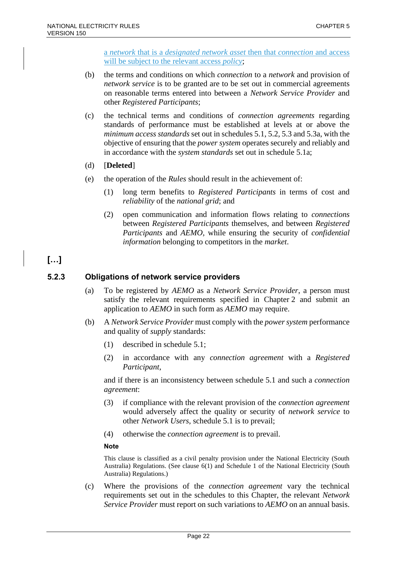a *network* that is a *designated network asset* then that *connection* and access will be subject to the relevant access *policy*;

- (b) the terms and conditions on which *connection* to a *network* and provision of *network service* is to be granted are to be set out in commercial agreements on reasonable terms entered into between a *Network Service Provider* and other *Registered Participants*;
- (c) the technical terms and conditions of *connection agreements* regarding standards of performance must be established at levels at or above the *minimum access standards* set out in schedules 5.1, 5.2, 5.3 and 5.3a, with the objective of ensuring that the *power system* operates securely and reliably and in accordance with the *system standards* set out in schedule 5.1a;
- (d) [**Deleted**]
- (e) the operation of the *Rules* should result in the achievement of:
	- (1) long term benefits to *Registered Participants* in terms of cost and *reliability* of the *national grid*; and
	- (2) open communication and information flows relating to *connections* between *Registered Participants* themselves, and between *Registered Participants* and *AEMO*, while ensuring the security of *confidential information* belonging to competitors in the *market*.

# **[…]**

# **5.2.3 Obligations of network service providers**

- (a) To be registered by *AEMO* as a *Network Service Provider*, a person must satisfy the relevant requirements specified in Chapter 2 and submit an application to *AEMO* in such form as *AEMO* may require.
- (b) A *Network Service Provider* must comply with the *power system* performance and quality of *supply* standards:
	- (1) described in schedule 5.1;
	- (2) in accordance with any *connection agreement* with a *Registered Participant*,

and if there is an inconsistency between schedule 5.1 and such a *connection agreement*:

- (3) if compliance with the relevant provision of the *connection agreement* would adversely affect the quality or security of *network service* to other *Network Users*, schedule 5.1 is to prevail;
- (4) otherwise the *connection agreement* is to prevail.

### **Note**

This clause is classified as a civil penalty provision under the National Electricity (South Australia) Regulations. (See clause 6(1) and Schedule 1 of the National Electricity (South Australia) Regulations.)

(c) Where the provisions of the *connection agreement* vary the technical requirements set out in the schedules to this Chapter, the relevant *Network Service Provider* must report on such variations to *AEMO* on an annual basis.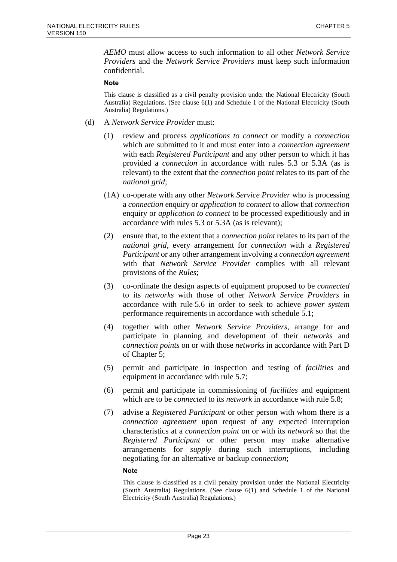*AEMO* must allow access to such information to all other *Network Service Providers* and the *Network Service Providers* must keep such information confidential.

#### **Note**

This clause is classified as a civil penalty provision under the National Electricity (South Australia) Regulations. (See clause 6(1) and Schedule 1 of the National Electricity (South Australia) Regulations.)

- (d) A *Network Service Provider* must:
	- (1) review and process *applications to connect* or modify a *connection* which are submitted to it and must enter into a *connection agreement* with each *Registered Participant* and any other person to which it has provided a *connection* in accordance with rules 5.3 or 5.3A (as is relevant) to the extent that the *connection point* relates to its part of the *national grid*;
	- (1A) co-operate with any other *Network Service Provider* who is processing a *connection* enquiry or *application to connect* to allow that *connection* enquiry or *application to connect* to be processed expeditiously and in accordance with rules 5.3 or 5.3A (as is relevant);
	- (2) ensure that, to the extent that a *connection point* relates to its part of the *national grid*, every arrangement for *connection* with a *Registered Participant* or any other arrangement involving a *connection agreement* with that *Network Service Provider* complies with all relevant provisions of the *Rules*;
	- (3) co-ordinate the design aspects of equipment proposed to be *connected* to its *networks* with those of other *Network Service Providers* in accordance with rule 5.6 in order to seek to achieve *power system* performance requirements in accordance with schedule 5.1;
	- (4) together with other *Network Service Providers*, arrange for and participate in planning and development of their *networks* and *connection points* on or with those *networks* in accordance with Part D of Chapter 5;
	- (5) permit and participate in inspection and testing of *facilities* and equipment in accordance with rule 5.7;
	- (6) permit and participate in commissioning of *facilities* and equipment which are to be *connected* to its *network* in accordance with rule 5.8;
	- (7) advise a *Registered Participant* or other person with whom there is a *connection agreement* upon request of any expected interruption characteristics at a *connection point* on or with its *network* so that the *Registered Participant* or other person may make alternative arrangements for *supply* during such interruptions, including negotiating for an alternative or backup *connection*;

#### **Note**

This clause is classified as a civil penalty provision under the National Electricity (South Australia) Regulations. (See clause 6(1) and Schedule 1 of the National Electricity (South Australia) Regulations.)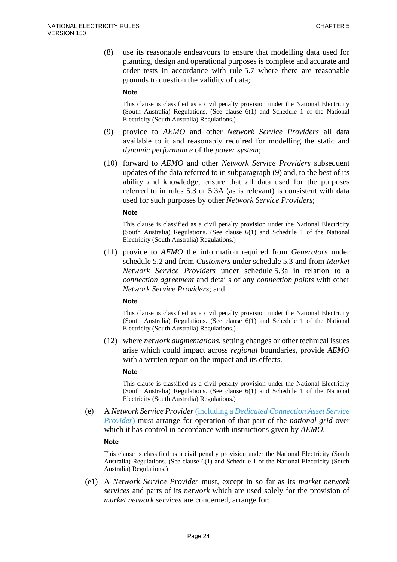(8) use its reasonable endeavours to ensure that modelling data used for planning, design and operational purposes is complete and accurate and order tests in accordance with rule 5.7 where there are reasonable grounds to question the validity of data;

#### **Note**

This clause is classified as a civil penalty provision under the National Electricity (South Australia) Regulations. (See clause 6(1) and Schedule 1 of the National Electricity (South Australia) Regulations.)

- (9) provide to *AEMO* and other *Network Service Providers* all data available to it and reasonably required for modelling the static and *dynamic performance* of the *power system*;
- (10) forward to *AEMO* and other *Network Service Providers* subsequent updates of the data referred to in subparagraph (9) and, to the best of its ability and knowledge, ensure that all data used for the purposes referred to in rules 5.3 or 5.3A (as is relevant) is consistent with data used for such purposes by other *Network Service Providers*;

#### **Note**

This clause is classified as a civil penalty provision under the National Electricity (South Australia) Regulations. (See clause 6(1) and Schedule 1 of the National Electricity (South Australia) Regulations.)

(11) provide to *AEMO* the information required from *Generators* under schedule 5.2 and from *Customers* under schedule 5.3 and from *Market Network Service Providers* under schedule 5.3a in relation to a *connection agreement* and details of any *connection points* with other *Network Service Providers*; and

#### **Note**

This clause is classified as a civil penalty provision under the National Electricity (South Australia) Regulations. (See clause 6(1) and Schedule 1 of the National Electricity (South Australia) Regulations.)

(12) where *network augmentations*, setting changes or other technical issues arise which could impact across *regional* boundaries, provide *AEMO* with a written report on the impact and its effects.

#### **Note**

This clause is classified as a civil penalty provision under the National Electricity (South Australia) Regulations. (See clause 6(1) and Schedule 1 of the National Electricity (South Australia) Regulations.)

(e) A *Network Service Provider* (including a *Dedicated Connection Asset Service Provider*) must arrange for operation of that part of the *national grid* over which it has control in accordance with instructions given by *AEMO*.

#### **Note**

This clause is classified as a civil penalty provision under the National Electricity (South Australia) Regulations. (See clause 6(1) and Schedule 1 of the National Electricity (South Australia) Regulations.)

(e1) A *Network Service Provider* must, except in so far as its *market network services* and parts of its *network* which are used solely for the provision of *market network services* are concerned, arrange for: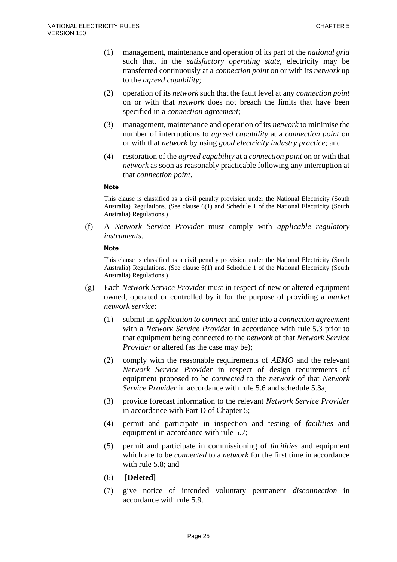- (1) management, maintenance and operation of its part of the *national grid* such that, in the *satisfactory operating state*, electricity may be transferred continuously at a *connection point* on or with its *network* up to the *agreed capability*;
- (2) operation of its *network* such that the fault level at any *connection point* on or with that *network* does not breach the limits that have been specified in a *connection agreement*;
- (3) management, maintenance and operation of its *network* to minimise the number of interruptions to *agreed capability* at a *connection point* on or with that *network* by using *good electricity industry practice*; and
- (4) restoration of the *agreed capability* at a *connection point* on or with that *network* as soon as reasonably practicable following any interruption at that *connection point*.

This clause is classified as a civil penalty provision under the National Electricity (South Australia) Regulations. (See clause 6(1) and Schedule 1 of the National Electricity (South Australia) Regulations.)

(f) A *Network Service Provider* must comply with *applicable regulatory instruments*.

#### **Note**

This clause is classified as a civil penalty provision under the National Electricity (South Australia) Regulations. (See clause 6(1) and Schedule 1 of the National Electricity (South Australia) Regulations.)

- (g) Each *Network Service Provider* must in respect of new or altered equipment owned, operated or controlled by it for the purpose of providing a *market network service*:
	- (1) submit an *application to connect* and enter into a *connection agreement* with a *Network Service Provider* in accordance with rule 5.3 prior to that equipment being connected to the *network* of that *Network Service Provider* or altered (as the case may be);
	- (2) comply with the reasonable requirements of *AEMO* and the relevant *Network Service Provider* in respect of design requirements of equipment proposed to be *connected* to the *network* of that *Network Service Provider* in accordance with rule 5.6 and schedule 5.3a;
	- (3) provide forecast information to the relevant *Network Service Provider* in accordance with Part D of Chapter 5;
	- (4) permit and participate in inspection and testing of *facilities* and equipment in accordance with rule 5.7;
	- (5) permit and participate in commissioning of *facilities* and equipment which are to be *connected* to a *network* for the first time in accordance with rule 5.8; and
	- (6) **[Deleted]**
	- (7) give notice of intended voluntary permanent *disconnection* in accordance with rule 5.9.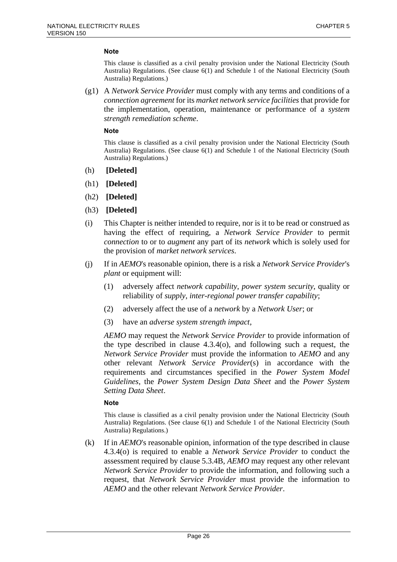This clause is classified as a civil penalty provision under the National Electricity (South Australia) Regulations. (See clause 6(1) and Schedule 1 of the National Electricity (South Australia) Regulations.)

(g1) A *Network Service Provider* must comply with any terms and conditions of a *connection agreement* for its *market network service facilities* that provide for the implementation, operation, maintenance or performance of a *system strength remediation scheme*.

#### **Note**

This clause is classified as a civil penalty provision under the National Electricity (South Australia) Regulations. (See clause 6(1) and Schedule 1 of the National Electricity (South Australia) Regulations.)

- (h) **[Deleted]**
- (h1) **[Deleted]**
- (h2) **[Deleted]**
- (h3) **[Deleted]**
- (i) This Chapter is neither intended to require, nor is it to be read or construed as having the effect of requiring, a *Network Service Provider* to permit *connection* to or to *augment* any part of its *network* which is solely used for the provision of *market network services*.
- (j) If in *AEMO*'s reasonable opinion, there is a risk a *Network Service Provider*'s *plant* or equipment will:
	- (1) adversely affect *network capability*, *power system security*, quality or reliability of *supply*, *inter-regional power transfer capability*;
	- (2) adversely affect the use of a *network* by a *Network User*; or
	- (3) have an *adverse system strength impact*,

*AEMO* may request the *Network Service Provider* to provide information of the type described in clause 4.3.4(o), and following such a request, the *Network Service Provider* must provide the information to *AEMO* and any other relevant *Network Service Provider*(s) in accordance with the requirements and circumstances specified in the *Power System Model Guidelines*, the *Power System Design Data Sheet* and the *Power System Setting Data Sheet*.

#### **Note**

This clause is classified as a civil penalty provision under the National Electricity (South Australia) Regulations. (See clause 6(1) and Schedule 1 of the National Electricity (South Australia) Regulations.)

(k) If in *AEMO*'s reasonable opinion, information of the type described in clause 4.3.4(o) is required to enable a *Network Service Provider* to conduct the assessment required by clause 5.3.4B, *AEMO* may request any other relevant *Network Service Provider* to provide the information, and following such a request, that *Network Service Provider* must provide the information to *AEMO* and the other relevant *Network Service Provider*.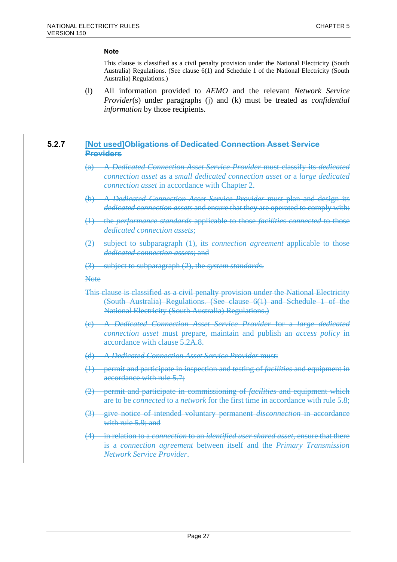This clause is classified as a civil penalty provision under the National Electricity (South Australia) Regulations. (See clause 6(1) and Schedule 1 of the National Electricity (South Australia) Regulations.)

(l) All information provided to *AEMO* and the relevant *Network Service Provider*(s) under paragraphs (j) and (k) must be treated as *confidential information* by those recipients.

### **5.2.7 [Not used]Obligations of Dedicated Connection Asset Service Providers**

- (a) A *Dedicated Connection Asset Service Provider* must classify its *dedicated connection asset* as a *small dedicated connection asset* or a *large dedicated connection asset* in accordance with Chapter 2.
- (b) A *Dedicated Connection Asset Service Provider* must plan and design its *dedicated connection assets* and ensure that they are operated to comply with:
- (1) the *performance standards* applicable to those *facilities connected* to those *dedicated connection assets*;
- (2) subject to subparagraph (1), its *connection agreement* applicable to those *dedicated connection assets*; and
- (3) subject to subparagraph (2), the *system standards*.

**Note** 

- This clause is classified as a civil penalty provision under the National Electricity (South Australia) Regulations. (See clause 6(1) and Schedule 1 of the National Electricity (South Australia) Regulations.)
- (c) A *Dedicated Connection Asset Service Provider* for a *large dedicated connection asset* must prepare, maintain and publish an *access policy* in accordance with clause 5.2A.8.
- (d) A *Dedicated Connection Asset Service Provider* must:
- (1) permit and participate in inspection and testing of *facilities* and equipment in accordance with rule 5.7;
- (2) permit and participate in commissioning of *facilities* and equipment which are to be *connected* to a *network* for the first time in accordance with rule 5.8;
- (3) give notice of intended voluntary permanent *disconnection* in accordance with rule 5.9; and
- (4) in relation to a *connection* to an *identified user shared asset*, ensure that there is a *connection agreement* between itself and the *Primary Transmission Network Service Provider*.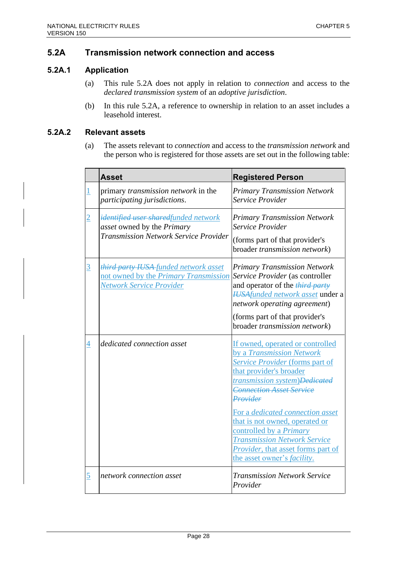# **5.2A Transmission network connection and access**

# **5.2A.1 Application**

- (a) This rule 5.2A does not apply in relation to *connection* and access to the *declared transmission system* of an *adoptive jurisdiction*.
- (b) In this rule 5.2A, a reference to ownership in relation to an asset includes a leasehold interest.

# **5.2A.2 Relevant assets**

(a) The assets relevant to *connection* and access to the *transmission network* and the person who is registered for those assets are set out in the following table:

|          | <b>Asset</b>                                                                                                       | <b>Registered Person</b>                                                                                                                                                                                                                                                                                                                                                                                                         |
|----------|--------------------------------------------------------------------------------------------------------------------|----------------------------------------------------------------------------------------------------------------------------------------------------------------------------------------------------------------------------------------------------------------------------------------------------------------------------------------------------------------------------------------------------------------------------------|
|          | primary <i>transmission network</i> in the<br>participating jurisdictions.                                         | <b>Primary Transmission Network</b><br>Service Provider                                                                                                                                                                                                                                                                                                                                                                          |
|          | identified user sharedfunded network<br>asset owned by the Primary<br><b>Transmission Network Service Provider</b> | <b>Primary Transmission Network</b><br>Service Provider<br>(forms part of that provider's<br>broader transmission network)                                                                                                                                                                                                                                                                                                       |
| <u>3</u> | third party IUSA funded network asset<br>not owned by the Primary Transmission<br>Network Service Provider         | <b>Primary Transmission Network</b><br>Service Provider (as controller<br>and operator of the <i>third party</i><br><b>HUSAfunded network asset under a</b><br>network operating agreement)<br>(forms part of that provider's<br>broader transmission network)                                                                                                                                                                   |
| 4        | dedicated connection asset                                                                                         | If owned, operated or controlled<br>by a Transmission Network<br>Service Provider (forms part of<br>that provider's broader<br>transmission system)Dedicated<br><b>Connection Asset Service</b><br>Provider<br>For a dedicated connection asset<br>that is not owned, operated or<br>controlled by a Primary<br><b>Transmission Network Service</b><br>Provider, that asset forms part of<br>the asset owner's <i>facility</i> . |
| 5        | network connection asset                                                                                           | <b>Transmission Network Service</b><br>Provider                                                                                                                                                                                                                                                                                                                                                                                  |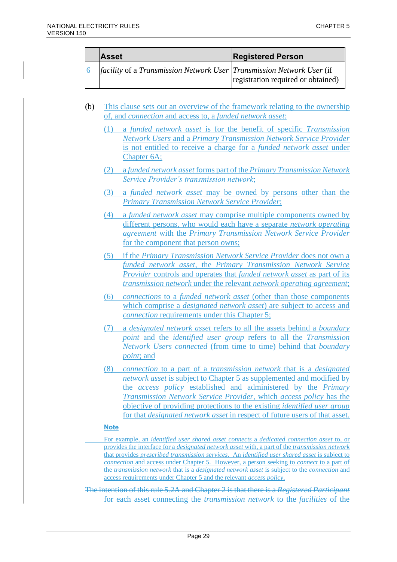| <b>Asset</b>                                                                        | <b>Registered Person</b>           |
|-------------------------------------------------------------------------------------|------------------------------------|
| <i>facility</i> of a <i>Transmission Network User Transmission Network User</i> (if | registration required or obtained) |

- (b) This clause sets out an overview of the framework relating to the ownership of, and *connection* and access to, a *funded network asset*:
	- (1) a *funded network asset* is for the benefit of specific *Transmission Network Users* and a *Primary Transmission Network Service Provider* is not entitled to receive a charge for a *funded network asset* under Chapter 6A;
	- (2) a *funded network asset* forms part of the *Primary Transmission Network Service Provider's transmission network*;
	- (3) a *funded network asset* may be owned by persons other than the *Primary Transmission Network Service Provider*;
	- (4) a *funded network asset* may comprise multiple components owned by different persons, who would each have a separate *network operating agreement* with the *Primary Transmission Network Service Provider* for the component that person owns;
	- (5) if the *Primary Transmission Network Service Provider* does not own a *funded network asset*, the *Primary Transmission Network Service Provider* controls and operates that *funded network asset* as part of its *transmission network* under the relevant *network operating agreement*;
	- (6) *connections* to a *funded network asset* (other than those components which comprise a *designated network asset*) are subject to access and *connection* requirements under this Chapter 5;
	- (7) a *designated network asset* refers to all the assets behind a *boundary point* and the *identified user group* refers to all the *Transmission Network Users connected* (from time to time) behind that *boundary point*; and
	- (8) *connection* to a part of a *transmission network* that is a *designated network asset* is subject to Chapter 5 as supplemented and modified by the *access policy* established and administered by the *Primary Transmission Network Service Provider,* which *access policy* has the objective of providing protections to the existing *identified user group*  for that *designated network asset* in respect of future users of that asset.

- For example, an *identified user shared asset connects* a *dedicated connection asset* to, or provides the interface for a *designated network asset* with, a part of the *transmission network* that provides *prescribed transmission services*. An *identified user shared asset* is subject to *connection* and access under Chapter 5. However, a person seeking to *connect* to a part of the *transmission network* that is a *designated network asset* is subject to the *connection* and access requirements under Chapter 5 and the relevant *access policy*.
- The intention of this rule 5.2A and Chapter 2 is that there is a *Registered Participant* for each asset connecting the *transmission network* to the *facilities* of the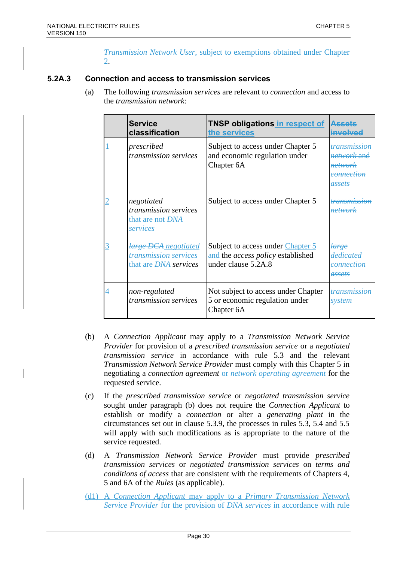*Transmission Network User*, subject to exemptions obtained under Chapter 2.

# **5.2A.3 Connection and access to transmission services**

(a) The following *transmission services* are relevant to *connection* and access to the *transmission network*:

|   | <b>Service</b><br>classification                                              | <b>TNSP obligations in respect of</b><br>the services                                                | <b>Assets</b><br>involved                                                                              |
|---|-------------------------------------------------------------------------------|------------------------------------------------------------------------------------------------------|--------------------------------------------------------------------------------------------------------|
|   | prescribed<br><i>transmission services</i>                                    | Subject to access under Chapter 5<br>and economic regulation under<br>Chapter 6A                     | <del>transmission</del><br><i>network</i> and<br><del>network</del><br>connection<br><del>assets</del> |
|   | negotiated<br>transmission services<br>that are not DNA<br>services           | Subject to access under Chapter 5                                                                    | <del>transmission</del><br><b>network</b>                                                              |
| 3 | large DCA negotiated<br>transmission services<br>that are <i>DNA</i> services | Subject to access under Chapter 5<br>and the <i>access policy</i> established<br>under clause 5.2A.8 | <del>large</del><br>dedicated<br>connection<br>assets                                                  |
| 4 | non-regulated<br>transmission services                                        | Not subject to access under Chapter<br>5 or economic regulation under<br>Chapter 6A                  | <i>transmission</i><br>svstem                                                                          |

- (b) A *Connection Applicant* may apply to a *Transmission Network Service Provider* for provision of a *prescribed transmission service* or a *negotiated transmission service* in accordance with rule 5.3 and the relevant *Transmission Network Service Provider* must comply with this Chapter 5 in negotiating a *connection agreement* or *network operating agreement* for the requested service.
- (c) If the *prescribed transmission service* or *negotiated transmission service* sought under paragraph (b) does not require the *Connection Applicant* to establish or modify a *connection* or alter a *generating plant* in the circumstances set out in clause 5.3.9, the processes in rules 5.3, 5.4 and 5.5 will apply with such modifications as is appropriate to the nature of the service requested.
- (d) A *Transmission Network Service Provider* must provide *prescribed transmission services* or *negotiated transmission services* on *terms and conditions of access* that are consistent with the requirements of Chapters 4, 5 and 6A of the *Rules* (as applicable).
- (d1) A *Connection Applicant* may apply to a *Primary Transmission Network Service Provider* for the provision of *DNA services* in accordance with rule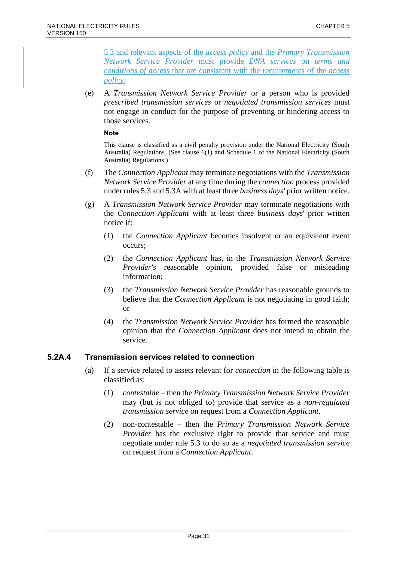5.3 and relevant aspects of the *access policy* and the *Primary Transmission Network Service Provider* must provide *DNA services* on *terms and conditions of access* that are consistent with the requirements of the *access policy*.

(e) A *Transmission Network Service Provider* or a person who is provided *prescribed transmission services* or *negotiated transmission services* must not engage in conduct for the purpose of preventing or hindering access to those services.

#### **Note**

This clause is classified as a civil penalty provision under the National Electricity (South Australia) Regulations. (See clause 6(1) and Schedule 1 of the National Electricity (South Australia) Regulations.)

- (f) The *Connection Applicant* may terminate negotiations with the *Transmission Network Service Provider* at any time during the *connection* process provided under rules 5.3 and 5.3A with at least three *business days'* prior written notice.
- (g) A *Transmission Network Service Provider* may terminate negotiations with the *Connection Applicant* with at least three *business days*' prior written notice if:
	- (1) the *Connection Applicant* becomes insolvent or an equivalent event occurs;
	- (2) the *Connection Applicant* has, in the *Transmission Network Service Provider's* reasonable opinion, provided false or misleading information;
	- (3) the *Transmission Network Service Provider* has reasonable grounds to believe that the *Connection Applicant* is not negotiating in good faith; or
	- (4) the *Transmission Network Service Provider* has formed the reasonable opinion that the *Connection Applicant* does not intend to obtain the service.

# **5.2A.4 Transmission services related to connection**

- (a) If a service related to assets relevant for *connection* in the following table is classified as:
	- (1) *contestable* then the *Primary Transmission Network Service Provider* may (but is not obliged to) provide that service as a *non-regulated transmission service* on request from a *Connection Applicant*.
	- (2) non-contestable then the *Primary Transmission Network Service Provider* has the exclusive right to provide that service and must negotiate under rule 5.3 to do so as a *negotiated transmission service* on request from a *Connection Applicant*.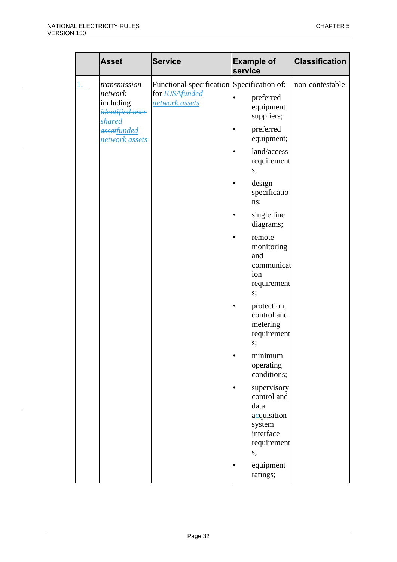|  | <b>Asset</b>                                                             | <b>Service</b>                                                                        | <b>Example of</b><br>service                                                                       | <b>Classification</b> |
|--|--------------------------------------------------------------------------|---------------------------------------------------------------------------------------|----------------------------------------------------------------------------------------------------|-----------------------|
|  | transmission<br>network<br>including<br>identified user<br><b>shared</b> | Functional specification Specification of:<br>for <b>HJSAfunded</b><br>network assets | preferred<br>٠<br>equipment<br>suppliers;                                                          | non-contestable       |
|  | assetfunded<br>network assets                                            |                                                                                       | preferred<br>٠<br>equipment;                                                                       |                       |
|  |                                                                          |                                                                                       | land/access<br>$\bullet$<br>requirement<br>s;                                                      |                       |
|  |                                                                          |                                                                                       | design<br>٠<br>specificatio<br>ns;                                                                 |                       |
|  |                                                                          |                                                                                       | single line<br>٠<br>diagrams;                                                                      |                       |
|  |                                                                          |                                                                                       | remote<br>$\bullet$<br>monitoring<br>and<br>communicat<br>ion<br>requirement<br>s;                 |                       |
|  |                                                                          |                                                                                       | protection,<br>٠<br>control and<br>metering<br>requirement<br>s;                                   |                       |
|  |                                                                          |                                                                                       | minimum<br>٠<br>operating<br>conditions;                                                           |                       |
|  |                                                                          |                                                                                       | supervisory<br>٠<br>control and<br>data<br>acquisition<br>system<br>interface<br>requirement<br>s; |                       |
|  |                                                                          |                                                                                       | equipment<br>ratings;                                                                              |                       |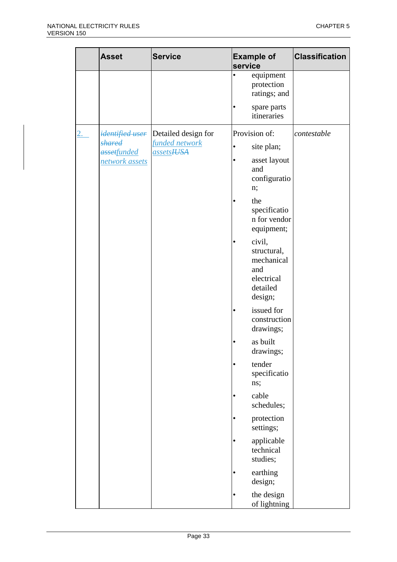|           | <b>Asset</b>                                                      | <b>Service</b>                                      | <b>Example of</b><br>service                                                                                                                                                                                                                                                                                                                                                                                                          | <b>Classification</b> |
|-----------|-------------------------------------------------------------------|-----------------------------------------------------|---------------------------------------------------------------------------------------------------------------------------------------------------------------------------------------------------------------------------------------------------------------------------------------------------------------------------------------------------------------------------------------------------------------------------------------|-----------------------|
|           |                                                                   |                                                     | equipment<br>٠<br>protection<br>ratings; and<br>spare parts<br>itineraries                                                                                                                                                                                                                                                                                                                                                            |                       |
| <u>2.</u> | <i>identified user</i><br>shared<br>assetfunded<br>network assets | Detailed design for<br>funded network<br>assetsHJSA | Provision of:<br>site plan;<br>asset layout<br>and<br>configuratio<br>n;<br>the<br>specificatio<br>n for vendor<br>equipment;<br>civil,<br>structural,<br>mechanical<br>and<br>electrical<br>detailed<br>design;<br>issued for<br>٠<br>construction<br>drawings;<br>as built<br>drawings;<br>tender<br>$\bullet$<br>specificatio<br>ns;<br>cable<br>٠<br>schedules;<br>protection<br>settings;<br>applicable<br>technical<br>studies; | contestable           |
|           |                                                                   |                                                     | earthing<br>design;<br>the design<br>of lightning                                                                                                                                                                                                                                                                                                                                                                                     |                       |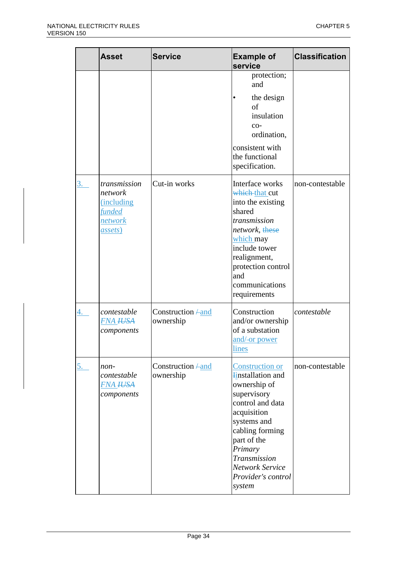|           | <b>Asset</b>                                                                                        | <b>Service</b>                       | <b>Example of</b><br>service                                                                                                                                                                                                                               | <b>Classification</b> |
|-----------|-----------------------------------------------------------------------------------------------------|--------------------------------------|------------------------------------------------------------------------------------------------------------------------------------------------------------------------------------------------------------------------------------------------------------|-----------------------|
|           |                                                                                                     |                                      | protection;<br>and<br>the design<br>of<br>insulation<br>$CO-$<br>ordination,<br>consistent with<br>the functional<br>specification.                                                                                                                        |                       |
| <u>3.</u> | transmission<br>network<br><i>(including)</i><br><i>funded</i><br><u>network</u><br><i>assets</i> ) | Cut-in works                         | Interface works<br>which-that cut<br>into the existing<br>shared<br>transmission<br>network, <del>these</del><br>which may<br>include tower<br>realignment,<br>protection control<br>and<br>communications<br>requirements                                 | non-contestable       |
| 4.        | contestable<br><b>FNA HJSA</b><br>components                                                        | Construction $\neq$ and<br>ownership | Construction<br>and/or ownership<br>of a substation<br>and/-or power<br><u>lines</u>                                                                                                                                                                       | contestable           |
| <u>5.</u> | non-<br>contestable<br><b>FNA HJSA</b><br>components                                                | Construction $\neq$ and<br>ownership | <b>Construction or</b><br><b>Finstallation</b> and<br>ownership of<br>supervisory<br>control and data<br>acquisition<br>systems and<br>cabling forming<br>part of the<br>Primary<br>Transmission<br><b>Network Service</b><br>Provider's control<br>system | non-contestable       |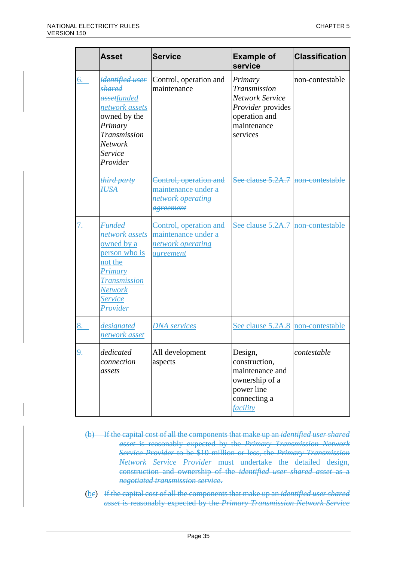|    | <b>Asset</b>                                                                                                                                                | <b>Service</b>                                                                  | <b>Example of</b><br>service                                                                                       | <b>Classification</b> |
|----|-------------------------------------------------------------------------------------------------------------------------------------------------------------|---------------------------------------------------------------------------------|--------------------------------------------------------------------------------------------------------------------|-----------------------|
| 6. | <del>identified user</del><br>shared<br>assetfunded<br>network assets<br>owned by the<br>Primary<br>Transmission<br><b>Network</b><br>Service<br>Provider   | Control, operation and<br>maintenance                                           | Primary<br>Transmission<br><b>Network Service</b><br>Provider provides<br>operation and<br>maintenance<br>services | non-contestable       |
|    | third party<br><b>HJSA</b>                                                                                                                                  | Control, operation and<br>maintenance under a<br>network operating<br>agreement | See clause 5.2A.7 non-contestable                                                                                  |                       |
|    | <b>Funded</b><br>network assets<br>owned by a<br>person who is<br>not the<br><b>Primary</b><br><b>Transmission</b><br><b>Network</b><br>Service<br>Provider | Control, operation and<br>maintenance under a<br>network operating<br>agreement | See clause 5.2A.7 non-contestable                                                                                  |                       |
| 8. | designated<br>network asset                                                                                                                                 | <b>DNA</b> services                                                             | See clause 5.2A.8 non-contestable                                                                                  |                       |
| 9. | dedicated<br>connection<br>assets                                                                                                                           | All development<br>aspects                                                      | Design,<br>construction,<br>maintenance and<br>ownership of a<br>power line<br>connecting a<br>facility            | contestable           |

- (b) If the capital cost of all the components that make up an *identified user shared asset* is reasonably expected by the *Primary Transmission Network Service Provider* to be \$10 million or less, the *Primary Transmission Network Service Provider* must undertake the detailed design, construction and ownership of the *identified user shared asset* as a *negotiated transmission service*.
- (bc) If the capital cost of all the components that make up an *identified user shared asset* is reasonably expected by the *Primary Transmission Network Service*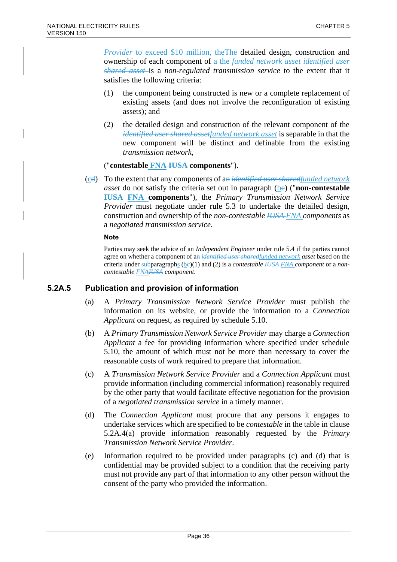*Provider* to exceed \$10 million, the The detailed design, construction and ownership of each component of a the *funded network asset identified user shared asset* is a *non-regulated transmission service* to the extent that it satisfies the following criteria:

- (1) the component being constructed is new or a complete replacement of existing assets (and does not involve the reconfiguration of existing assets); and
- (2) the detailed design and construction of the relevant component of the *identified user shared assetfunded network asset* is separable in that the new component will be distinct and definable from the existing *transmission network*,

### ("**contestable FNA IUSA components**").

(cd) To the extent that any components of an *identified user sharedfunded network asset* do not satisfy the criteria set out in paragraph  $(be)$  ("**non-contestable IUSA FNA components**"), the *Primary Transmission Network Service Provider* must negotiate under rule 5.3 to undertake the detailed design, construction and ownership of the *non-contestable IUSA FNA components* as a *negotiated transmission service*.

#### **Note**

Parties may seek the advice of an *Independent Engineer* under rule 5.4 if the parties cannot agree on whether a component of an *identified user sharedfunded network asset* based on the criteria under subparagraphs  $(be)(1)$  and (2) is a *contestable IUSA-FNA component* or a *noncontestable FNAIUSA component*.

### **5.2A.5 Publication and provision of information**

- (a) A *Primary Transmission Network Service Provider* must publish the information on its website, or provide the information to a *Connection Applicant* on request, as required by schedule 5.10.
- (b) A *Primary Transmission Network Service Provider* may charge a *Connection Applicant* a fee for providing information where specified under schedule 5.10, the amount of which must not be more than necessary to cover the reasonable costs of work required to prepare that information.
- (c) A *Transmission Network Service Provider* and a *Connection Applicant* must provide information (including commercial information) reasonably required by the other party that would facilitate effective negotiation for the provision of a *negotiated transmission service* in a timely manner.
- (d) The *Connection Applicant* must procure that any persons it engages to undertake services which are specified to be *contestable* in the table in clause 5.2A.4(a) provide information reasonably requested by the *Primary Transmission Network Service Provider*.
- (e) Information required to be provided under paragraphs (c) and (d) that is confidential may be provided subject to a condition that the receiving party must not provide any part of that information to any other person without the consent of the party who provided the information.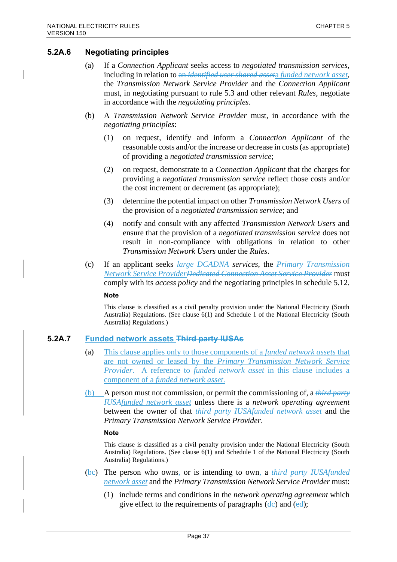### **5.2A.6 Negotiating principles**

- (a) If a *Connection Applicant* seeks access to *negotiated transmission services*, including in relation to an *identified user shared asset*a *funded network asset*, the *Transmission Network Service Provider* and the *Connection Applicant* must, in negotiating pursuant to rule 5.3 and other relevant *Rules*, negotiate in accordance with the *negotiating principles*.
- (b) A *Transmission Network Service Provider* must, in accordance with the *negotiating principles*:
	- (1) on request, identify and inform a *Connection Applicant* of the reasonable costs and/or the increase or decrease in costs (as appropriate) of providing a *negotiated transmission service*;
	- (2) on request, demonstrate to a *Connection Applicant* that the charges for providing a *negotiated transmission service* reflect those costs and/or the cost increment or decrement (as appropriate);
	- (3) determine the potential impact on other *Transmission Network Users* of the provision of a *negotiated transmission service*; and
	- (4) notify and consult with any affected *Transmission Network Users* and ensure that the provision of a *negotiated transmission service* does not result in non-compliance with obligations in relation to other *Transmission Network Users* under the *Rules*.
- (c) If an applicant seeks *large DCADNA services*, the *Primary Transmission Network Service ProviderDedicated Connection Asset Service Provider* must comply with its *access policy* and the negotiating principles in schedule 5.12.

**Note**

This clause is classified as a civil penalty provision under the National Electricity (South Australia) Regulations. (See clause 6(1) and Schedule 1 of the National Electricity (South Australia) Regulations.)

### **5.2A.7 Funded network assets Third party IUSAs**

- (a) This clause applies only to those components of a *funded network assets* that are not owned or leased by the *Primary Transmission Network Service Provider*. A reference to *funded network asset* in this clause includes a component of a *funded network asset*.
- (b) A person must not commission, or permit the commissioning of, a *third party IUSAfunded network asset* unless there is a *network operating agreement* between the owner of that *third party IUSAfunded network asset* and the *Primary Transmission Network Service Provider*.

**Note**

- (bc) The person who owns, or is intending to own, a *third party IUSAfunded network asset* and the *Primary Transmission Network Service Provider* must:
	- (1) include terms and conditions in the *network operating agreement* which give effect to the requirements of paragraphs  $(d_e)$  and  $(e_d)$ ;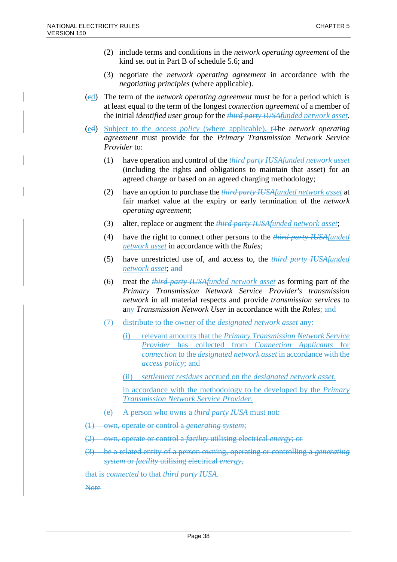- (2) include terms and conditions in the *network operating agreement* of the kind set out in Part B of schedule 5.6; and
- (3) negotiate the *network operating agreement* in accordance with the *negotiating principles* (where applicable).
- (cd) The term of the *network operating agreement* must be for a period which is at least equal to the term of the longest *connection agreement* of a member of the initial *identified user group* for the *third party IUSAfunded network asset*.
- (ed) Subject to the *access policy* (where applicable), tThe *network operating agreement* must provide for the *Primary Transmission Network Service Provider* to:
	- (1) have operation and control of the *third party IUSAfunded network asset* (including the rights and obligations to maintain that asset) for an agreed charge or based on an agreed charging methodology;
	- (2) have an option to purchase the *third party IUSAfunded network asset* at fair market value at the expiry or early termination of the *network operating agreement*;
	- (3) alter, replace or augment the *third party IUSAfunded network asset*;
	- (4) have the right to connect other persons to the *third party IUSAfunded network asset* in accordance with the *Rules*;
	- (5) have unrestricted use of, and access to, the *third party IUSAfunded network asset*; and
	- (6) treat the *third party IUSAfunded network asset* as forming part of the *Primary Transmission Network Service Provider's transmission network* in all material respects and provide *transmission services* to any *Transmission Network User* in accordance with the *Rules*; and
	- (7) distribute to the owner of the *designated network asset* any:
		- (i) relevant amounts that the *Primary Transmission Network Service Provider* has collected from *Connection Applicants* for *connection* to the *designated network asset* in accordance with the *access policy*; and
		- (ii) *settlement residues* accrued on the *designated network asset*,

in accordance with the methodology to be developed by the *Primary Transmission Network Service Provider*.

- (e) A person who owns a *third party IUSA* must not:
- (1) own, operate or control a *generating system*;
- (2) own, operate or control a *facility* utilising electrical *energy*; or
- (3) be a related entity of a person owning, operating or controlling a *generating system* or *facility* utilising electrical *energy*,

that is *connected* to that *third party IUSA*.

**Note**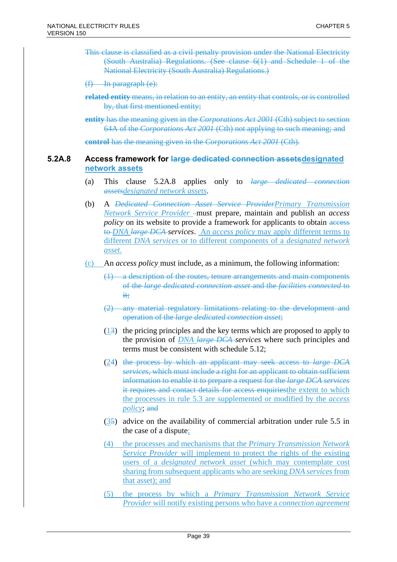This clause is classified as a civil penalty provision under the National Electricity (South Australia) Regulations. (See clause 6(1) and Schedule 1 of the National Electricity (South Australia) Regulations.)

(f) In paragraph (e):

**related entity** means, in relation to an entity, an entity that controls, or is controlled by, that first mentioned entity;

**entity** has the meaning given in the *Corporations Act 2001* (Cth) subject to section 64A of the *Corporations Act 2001* (Cth) not applying to such meaning; and

**control** has the meaning given in the *Corporations Act 2001* (Cth).

### **5.2A.8 Access framework for large dedicated connection assetsdesignated network assets**

- (a) This clause 5.2A.8 applies only to *large dedicated connection assetsdesignated network assets*.
- (b) A *Dedicated Connection Asset Service ProviderPrimary Transmission Network Service Provider* - must prepare, maintain and publish an *access policy* on its website to provide a framework for applicants to obtain access to *DNA large DCA services*. An *access policy* may apply different terms to different *DNA services* or to different components of a *designated network asset*.
- (c) An *access policy* must include, as a minimum, the following information:
	- (1) a description of the routes, tenure arrangements and main components of the *large dedicated connection asset* and the *facilities connected* to it;
	- (2) any material regulatory limitations relating to the development and operation of the *large dedicated connection asset*;
	- (13) the pricing principles and the key terms which are proposed to apply to the provision of *DNA large DCA services* where such principles and terms must be consistent with schedule 5.12;
	- (24) the process by which an applicant may seek access to *large DCA services*, which must include a right for an applicant to obtain sufficient information to enable it to prepare a request for the *large DCA services* it requires and contact details for access enquiriesthe extent to which the processes in rule 5.3 are supplemented or modified by the *access policy*; and
	- (35) advice on the availability of commercial arbitration under rule 5.5 in the case of a dispute;
	- (4) the processes and mechanisms that the *Primary Transmission Network Service Provider* will implement to protect the rights of the existing users of a *designated network asset* (which may contemplate cost sharing from subsequent applicants who are seeking *DNA services* from that asset); and
	- (5) the process by which a *Primary Transmission Network Service Provider* will notify existing persons who have a *connection agreement*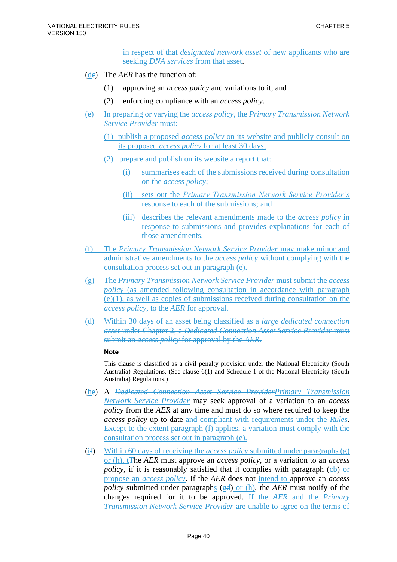in respect of that *designated network asset* of new applicants who are seeking *DNA services* from that asset.

- (de) The *AER* has the function of:
	- (1) approving an *access policy* and variations to it; and
	- (2) enforcing compliance with an *access policy*.
- (e) In preparing or varying the *access policy*, the *Primary Transmission Network Service Provider* must:
	- (1) publish a proposed *access policy* on its website and publicly consult on its proposed *access policy* for at least 30 days;
	- (2) prepare and publish on its website a report that:
		- (i) summarises each of the submissions received during consultation on the *access policy*;
		- (ii) sets out the *Primary Transmission Network Service Provider's* response to each of the submissions; and
		- (iii) describes the relevant amendments made to the *access policy* in response to submissions and provides explanations for each of those amendments.
- (f) The *Primary Transmission Network Service Provider* may make minor and administrative amendments to the *access policy* without complying with the consultation process set out in paragraph (e).
- (g) The *Primary Transmission Network Service Provider* must submit the *access policy* (as amended following consultation in accordance with paragraph (e)(1), as well as copies of submissions received during consultation on the *access policy*, to the *AER* for approval.
- (d) Within 30 days of an asset being classified as a *large dedicated connection asset* under Chapter 2, a *Dedicated Connection Asset Service Provider* must submit an *access policy* for approval by the *AER*.

#### **Note**

- (he) A *Dedicated Connection Asset Service ProviderPrimary Transmission Network Service Provider* may seek approval of a variation to an *access policy* from the *AER* at any time and must do so where required to keep the *access policy* up to date and compliant with requirements under the *Rules*. Except to the extent paragraph (f) applies, a variation must comply with the consultation process set out in paragraph (e).
- (if) Within 60 days of receiving the *access policy* submitted under paragraphs (g) or (h), tThe *AER* must approve an *access policy*, or a variation to an *access policy*, if it is reasonably satisfied that it complies with paragraph  $(c\theta)$  or propose an *access policy*. If the *AER* does not intend to approve an *access policy* submitted under paragraphs (gd) or (h), the *AER* must notify of the changes required for it to be approved. If the *AER* and the *Primary Transmission Network Service Provider* are unable to agree on the terms of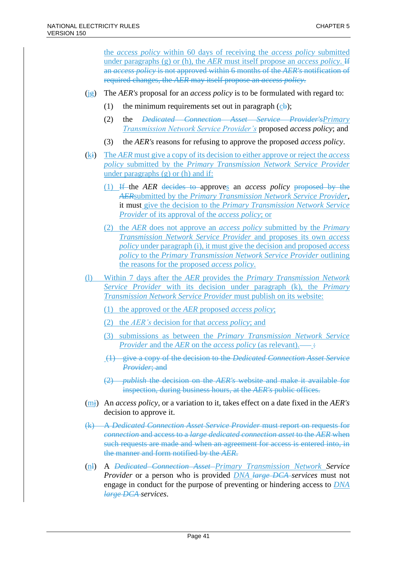the *access policy* within 60 days of receiving the *access policy* submitted under paragraphs (g) or (h), the *AER* must itself propose an *access policy*. If an *access policy* is not approved within 6 months of the *AER's* notification of required changes, the *AER* may itself propose an *access policy*.

- (jg) The *AER's* proposal for an *access policy* is to be formulated with regard to:
	- (1) the minimum requirements set out in paragraph  $(c<sub>b</sub>)$ ;
	- (2) the *Dedicated Connection Asset Service Provider'sPrimary Transmission Network Service Provider's* proposed *access policy*; and
	- (3) the *AER's* reasons for refusing to approve the proposed *access policy*.
- (ki) The *AER* must give a copy of its decision to either approve or reject the *access policy* submitted by the *Primary Transmission Network Service Provider* under paragraphs (g) or (h) and if:
	- (1) If the *AER* decides to approves an *access policy* proposed by the *AER*submitted by the *Primary Transmission Network Service Provider*, it must give the decision to the *Primary Transmission Network Service Provider* of its approval of the *access policy*; or
	- (2) the *AER* does not approve an *access policy* submitted by the *Primary Transmission Network Service Provider* and proposes its own *access policy* under paragraph (i), it must give the decision and proposed *access policy* to the *Primary Transmission Network Service Provider* outlining the reasons for the proposed *access policy*.
- (l) Within 7 days after the *AER* provides the *Primary Transmission Network Service Provider* with its decision under paragraph (k), the *Primary Transmission Network Service Provider* must publish on its website:
	- (1) the approved or the *AER* proposed *access policy*;
	- (2) the *AER's* decision for that *access policy*; and
	- (3) submissions as between the *Primary Transmission Network Service Provider* and the *AER* on the *access policy* (as relevant).—–
	- (1) give a copy of the decision to the *Dedicated Connection Asset Service Provider*; and
	- (2) *publish* the decision on the *AER's* website and make it available for inspection, during business hours, at the *AER's* public offices.
- (mj) An *access policy*, or a variation to it, takes effect on a date fixed in the *AER's* decision to approve it.
- (k) A *Dedicated Connection Asset Service Provider* must report on requests for *connection* and access to a *large dedicated connection asset* to the *AER* when such requests are made and when an agreement for access is entered into, in the manner and form notified by the *AER*.
- (nl) A *Dedicated Connection Asset Primary Transmission Network Service Provider* or a person who is provided *DNA large DCA services* must not engage in conduct for the purpose of preventing or hindering access to *DNA large DCA services*.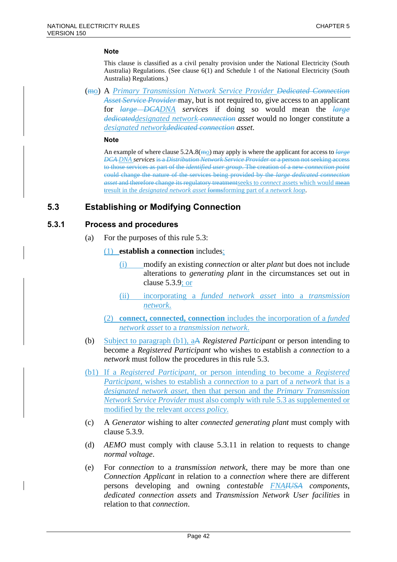This clause is classified as a civil penalty provision under the National Electricity (South Australia) Regulations. (See clause 6(1) and Schedule 1 of the National Electricity (South Australia) Regulations.)

(mo) A *Primary Transmission Network Service Provider Dedicated Connection Asset Service Provider* may, but is not required to, give access to an applicant for *large DCADNA services* if doing so would mean the *large dedicateddesignated network connection asset* would no longer constitute a *designated networkdedicated connection asset*.

#### **Note**

An example of where clause 5.2A.8(m<sub>0</sub>) may apply is where the applicant for access to *large DCA DNA services* is a *Distribution Network Service Provider* or a person not seeking access to those services as part of the *identified user group*. The creation of a new *connection point* could change the nature of the services being provided by the *large dedicated connection asset* and therefore change its regulatory treatmentseeks to *connect* assets which would mean tresult in the *designated network asset* formsforming part of a *network loop*.

### **5.3 Establishing or Modifying Connection**

#### **5.3.1 Process and procedures**

(a) For the purposes of this rule 5.3:

#### (1) **establish a connection** includes:

- (i) modify an existing *connection* or alter *plant* but does not include alterations to *generating plant* in the circumstances set out in clause 5.3.9; or
- (ii) incorporating a *funded network asset* into a *transmission network*.
- (2) **connect, connected, connection** includes the incorporation of a *funded network asset* to a *transmission network*.
- (b) Subject to paragraph (b1), aA *Registered Participant* or person intending to become a *Registered Participant* who wishes to establish a *connection* to a *network* must follow the procedures in this rule 5.3.
- (b1) If a *Registered Participant*, or person intending to become a *Registered Participant*, wishes to establish a *connection* to a part of a *network* that is a *designated network asset*, then that person and the *Primary Transmission Network Service Provider* must also comply with rule 5.3 as supplemented or modified by the relevant *access policy*.
- (c) A *Generator* wishing to alter *connected generating plant* must comply with clause 5.3.9.
- (d) *AEMO* must comply with clause 5.3.11 in relation to requests to change *normal voltage*.
- (e) For *connection* to a *transmission network*, there may be more than one *Connection Applicant* in relation to a *connection* where there are different persons developing and owning *contestable FNAIUSA components*, *dedicated connection assets* and *Transmission Network User facilities* in relation to that *connection*.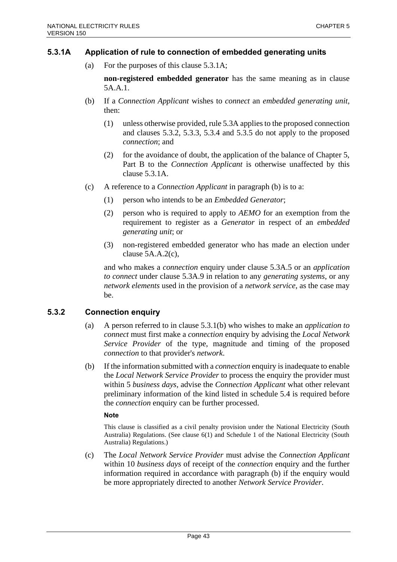### **5.3.1A Application of rule to connection of embedded generating units**

(a) For the purposes of this clause 5.3.1A;

**non-registered embedded generator** has the same meaning as in clause 5A.A.1.

- (b) If a *Connection Applicant* wishes to *connect* an *embedded generating unit*, then:
	- (1) unless otherwise provided, rule 5.3A applies to the proposed connection and clauses 5.3.2, 5.3.3, 5.3.4 and 5.3.5 do not apply to the proposed *connection*; and
	- (2) for the avoidance of doubt, the application of the balance of Chapter 5, Part B to the *Connection Applicant* is otherwise unaffected by this clause 5.3.1A.
- (c) A reference to a *Connection Applicant* in paragraph (b) is to a:
	- (1) person who intends to be an *Embedded Generator*;
	- (2) person who is required to apply to *AEMO* for an exemption from the requirement to register as a *Generator* in respect of an *embedded generating unit*; or
	- (3) non-registered embedded generator who has made an election under clause 5A.A.2(c),

and who makes a *connection* enquiry under clause 5.3A.5 or an *application to connect* under clause 5.3A.9 in relation to any *generating systems*, or any *network elements* used in the provision of a *network service*, as the case may be.

### **5.3.2 Connection enquiry**

- (a) A person referred to in clause 5.3.1(b) who wishes to make an *application to connect* must first make a *connection* enquiry by advising the *Local Network Service Provider* of the type, magnitude and timing of the proposed *connection* to that provider's *network*.
- (b) If the information submitted with a *connection* enquiry is inadequate to enable the *Local Network Service Provider* to process the enquiry the provider must within 5 *business days*, advise the *Connection Applicant* what other relevant preliminary information of the kind listed in schedule 5.4 is required before the *connection* enquiry can be further processed.

#### **Note**

This clause is classified as a civil penalty provision under the National Electricity (South Australia) Regulations. (See clause 6(1) and Schedule 1 of the National Electricity (South Australia) Regulations.)

(c) The *Local Network Service Provider* must advise the *Connection Applicant* within 10 *business days* of receipt of the *connection* enquiry and the further information required in accordance with paragraph (b) if the enquiry would be more appropriately directed to another *Network Service Provider*.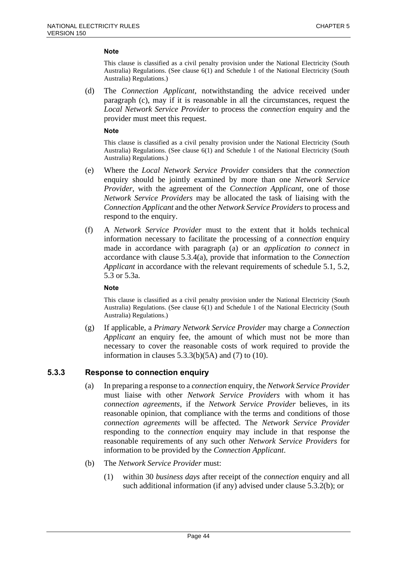This clause is classified as a civil penalty provision under the National Electricity (South Australia) Regulations. (See clause 6(1) and Schedule 1 of the National Electricity (South Australia) Regulations.)

(d) The *Connection Applicant*, notwithstanding the advice received under paragraph (c), may if it is reasonable in all the circumstances, request the *Local Network Service Provider* to process the *connection* enquiry and the provider must meet this request.

#### **Note**

This clause is classified as a civil penalty provision under the National Electricity (South Australia) Regulations. (See clause 6(1) and Schedule 1 of the National Electricity (South Australia) Regulations.)

- (e) Where the *Local Network Service Provider* considers that the *connection* enquiry should be jointly examined by more than one *Network Service Provider*, with the agreement of the *Connection Applicant*, one of those *Network Service Providers* may be allocated the task of liaising with the *Connection Applicant* and the other *Network Service Providers* to process and respond to the enquiry.
- (f) A *Network Service Provider* must to the extent that it holds technical information necessary to facilitate the processing of a *connection* enquiry made in accordance with paragraph (a) or an *application to connect* in accordance with clause 5.3.4(a), provide that information to the *Connection Applicant* in accordance with the relevant requirements of schedule 5.1, 5.2, 5.3 or 5.3a.

#### **Note**

This clause is classified as a civil penalty provision under the National Electricity (South Australia) Regulations. (See clause 6(1) and Schedule 1 of the National Electricity (South Australia) Regulations.)

(g) If applicable, a *Primary Network Service Provider* may charge a *Connection Applicant* an enquiry fee, the amount of which must not be more than necessary to cover the reasonable costs of work required to provide the information in clauses  $5.3.3(b)(5A)$  and  $(7)$  to  $(10)$ .

#### **5.3.3 Response to connection enquiry**

- (a) In preparing a response to a *connection* enquiry, the *Network Service Provider* must liaise with other *Network Service Providers* with whom it has *connection agreements*, if the *Network Service Provider* believes, in its reasonable opinion, that compliance with the terms and conditions of those *connection agreements* will be affected. The *Network Service Provider* responding to the *connection* enquiry may include in that response the reasonable requirements of any such other *Network Service Providers* for information to be provided by the *Connection Applicant*.
- (b) The *Network Service Provider* must:
	- (1) within 30 *business days* after receipt of the *connection* enquiry and all such additional information (if any) advised under clause 5.3.2(b); or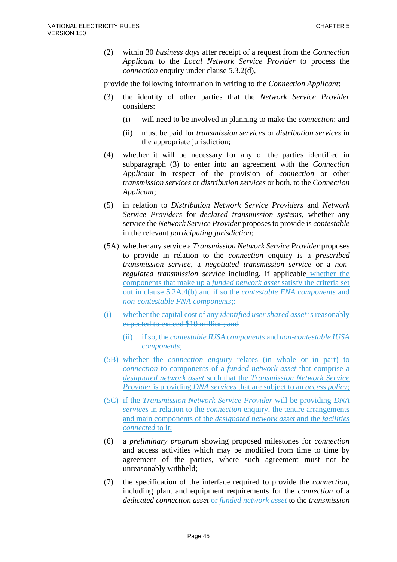(2) within 30 *business days* after receipt of a request from the *Connection Applicant* to the *Local Network Service Provider* to process the *connection* enquiry under clause 5.3.2(d),

provide the following information in writing to the *Connection Applicant*:

- (3) the identity of other parties that the *Network Service Provider* considers:
	- (i) will need to be involved in planning to make the *connection*; and
	- (ii) must be paid for *transmission services* or *distribution services* in the appropriate jurisdiction;
- (4) whether it will be necessary for any of the parties identified in subparagraph (3) to enter into an agreement with the *Connection Applicant* in respect of the provision of *connection* or other *transmission services* or *distribution services* or both, to the *Connection Applicant*;
- (5) in relation to *Distribution Network Service Providers* and *Network Service Providers* for *declared transmission systems*, whether any service the *Network Service Provider* proposes to provide is *contestable* in the relevant *participating jurisdiction*;
- (5A) whether any service a *Transmission Network Service Provider* proposes to provide in relation to the *connection* enquiry is a *prescribed transmission service*, a *negotiated transmission service* or a *nonregulated transmission service* including, if applicable whether the components that make up a *funded network asset* satisfy the criteria set out in clause 5.2A.4(b) and if so the *contestable FNA components* and *non-contestable FNA components*;
- (i) whether the capital cost of any *identified user shared asset* is reasonably expected to exceed \$10 million; and
	- (ii) if so, the *contestable IUSA components* and *non-contestable IUSA components*;
- (5B) whether the *connection enquiry* relates (in whole or in part) to *connection* to components of a *funded network asset* that comprise a *designated network asset* such that the *Transmission Network Service Provider* is providing *DNA services* that are subject to an *access policy*;
- (5C) if the *Transmission Network Service Provider* will be providing *DNA services* in relation to the *connection* enquiry, the tenure arrangements and main components of the *designated network asset* and the *facilities connected* to it;
- (6) a *preliminary program* showing proposed milestones for *connection* and access activities which may be modified from time to time by agreement of the parties, where such agreement must not be unreasonably withheld;
- (7) the specification of the interface required to provide the *connection*, including plant and equipment requirements for the *connection* of a *dedicated connection asset* or *funded network asset* to the *transmission*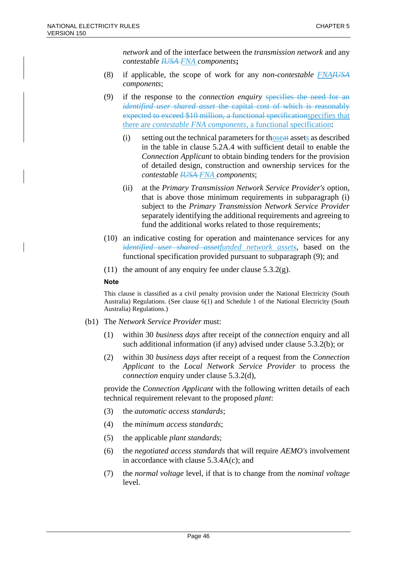*network* and of the interface between the *transmission network* and any *contestable IUSA FNA components***;**

- (8) if applicable, the scope of work for any *non-contestable FNAIUSA components*;
- (9) if the response to the *connection enquiry* specifies the need for an *identified user shared asset* the capital cost of which is reasonably expected to exceed \$10 million, a functional specificationspecifies that there are *contestable FNA components,* a functional specification:
	- (i) setting out the technical parameters for thoseat assets as described in the table in clause 5.2A.4 with sufficient detail to enable the *Connection Applicant* to obtain binding tenders for the provision of detailed design, construction and ownership services for the *contestable IUSA FNA components*;
	- (ii) at the *Primary Transmission Network Service Provider's* option, that is above those minimum requirements in subparagraph (i) subject to the *Primary Transmission Network Service Provider* separately identifying the additional requirements and agreeing to fund the additional works related to those requirements;
- (10) an indicative costing for operation and maintenance services for any *identified user shared assetfunded network assets*, based on the functional specification provided pursuant to subparagraph (9); and
- (11) the amount of any enquiry fee under clause  $5.3.2(g)$ .

#### **Note**

This clause is classified as a civil penalty provision under the National Electricity (South Australia) Regulations. (See clause 6(1) and Schedule 1 of the National Electricity (South Australia) Regulations.)

- (b1) The *Network Service Provider* must:
	- (1) within 30 *business days* after receipt of the *connection* enquiry and all such additional information (if any) advised under clause 5.3.2(b); or
	- (2) within 30 *business days* after receipt of a request from the *Connection Applicant* to the *Local Network Service Provider* to process the *connection* enquiry under clause 5.3.2(d),

provide the *Connection Applicant* with the following written details of each technical requirement relevant to the proposed *plant*:

- (3) the *automatic access standards*;
- (4) the *minimum access standards*;
- (5) the applicable *plant standards*;
- (6) the *negotiated access standards* that will require *AEMO's* involvement in accordance with clause 5.3.4A(c); and
- (7) the *normal voltage* level, if that is to change from the *nominal voltage* level.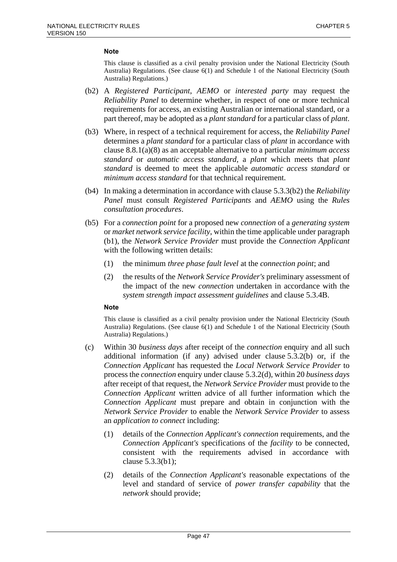This clause is classified as a civil penalty provision under the National Electricity (South Australia) Regulations. (See clause 6(1) and Schedule 1 of the National Electricity (South Australia) Regulations.)

- (b2) A *Registered Participant*, *AEMO* or *interested party* may request the *Reliability Panel* to determine whether, in respect of one or more technical requirements for access, an existing Australian or international standard, or a part thereof, may be adopted as a *plant standard* for a particular class of *plant*.
- (b3) Where, in respect of a technical requirement for access, the *Reliability Panel* determines a *plant standard* for a particular class of *plant* in accordance with clause 8.8.1(a)(8) as an acceptable alternative to a particular *minimum access standard* or *automatic access standard*, a *plant* which meets that *plant standard* is deemed to meet the applicable *automatic access standard* or *minimum access standard* for that technical requirement.
- (b4) In making a determination in accordance with clause 5.3.3(b2) the *Reliability Panel* must consult *Registered Participants* and *AEMO* using the *Rules consultation procedures*.
- (b5) For a *connection point* for a proposed new *connection* of a *generating system* or *market network service facility*, within the time applicable under paragraph (b1), the *Network Service Provider* must provide the *Connection Applicant* with the following written details:
	- (1) the minimum *three phase fault level* at the *connection point*; and
	- (2) the results of the *Network Service Provider's* preliminary assessment of the impact of the new *connection* undertaken in accordance with the *system strength impact assessment guidelines* and clause 5.3.4B.

#### **Note**

- (c) Within 30 *business days* after receipt of the *connection* enquiry and all such additional information (if any) advised under clause 5.3.2(b) or, if the *Connection Applicant* has requested the *Local Network Service Provider* to process the *connection* enquiry under clause 5.3.2(d), within 20 *business days* after receipt of that request, the *Network Service Provider* must provide to the *Connection Applicant* written advice of all further information which the *Connection Applicant* must prepare and obtain in conjunction with the *Network Service Provider* to enable the *Network Service Provider* to assess an *application to connect* including:
	- (1) details of the *Connection Applicant's connection* requirements, and the *Connection Applicant's* specifications of the *facility* to be connected, consistent with the requirements advised in accordance with clause 5.3.3(b1);
	- (2) details of the *Connection Applicant's* reasonable expectations of the level and standard of service of *power transfer capability* that the *network* should provide;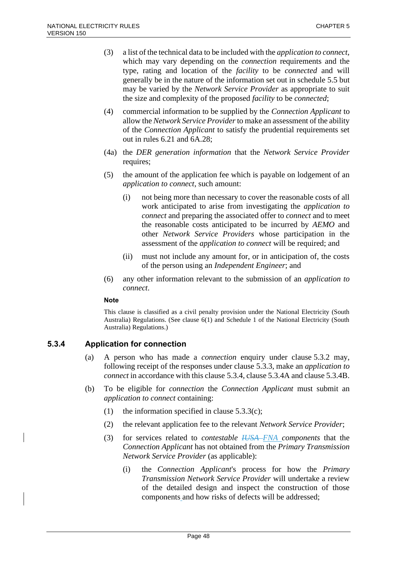- (3) a list of the technical data to be included with the *application to connect*, which may vary depending on the *connection* requirements and the type, rating and location of the *facility* to be *connected* and will generally be in the nature of the information set out in schedule 5.5 but may be varied by the *Network Service Provider* as appropriate to suit the size and complexity of the proposed *facility* to be *connected*;
- (4) commercial information to be supplied by the *Connection Applicant* to allow the *Network Service Provider*to make an assessment of the ability of the *Connection Applicant* to satisfy the prudential requirements set out in rules 6.21 and 6A.28;
- (4a) the *DER generation information* that the *Network Service Provider* requires;
- (5) the amount of the application fee which is payable on lodgement of an *application to connect*, such amount:
	- (i) not being more than necessary to cover the reasonable costs of all work anticipated to arise from investigating the *application to connect* and preparing the associated offer to *connect* and to meet the reasonable costs anticipated to be incurred by *AEMO* and other *Network Service Providers* whose participation in the assessment of the *application to connect* will be required; and
	- (ii) must not include any amount for, or in anticipation of, the costs of the person using an *Independent Engineer*; and
- (6) any other information relevant to the submission of an *application to connect*.

This clause is classified as a civil penalty provision under the National Electricity (South Australia) Regulations. (See clause 6(1) and Schedule 1 of the National Electricity (South Australia) Regulations.)

### **5.3.4 Application for connection**

- (a) A person who has made a *connection* enquiry under clause 5.3.2 may, following receipt of the responses under clause 5.3.3, make an *application to connect* in accordance with this clause 5.3.4, clause 5.3.4A and clause 5.3.4B.
- (b) To be eligible for *connection* the *Connection Applicant* must submit an *application to connect* containing:
	- (1) the information specified in clause  $5.3.3(c)$ ;
	- (2) the relevant application fee to the relevant *Network Service Provider*;
	- (3) for services related to *contestable IUSA FNA components* that the *Connection Applicant* has not obtained from the *Primary Transmission Network Service Provider* (as applicable):
		- (i) the *Connection Applicant*'s process for how the *Primary Transmission Network Service Provider* will undertake a review of the detailed design and inspect the construction of those components and how risks of defects will be addressed;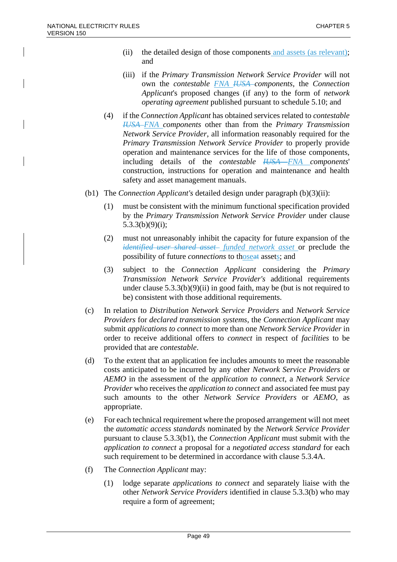- (ii) the detailed design of those components and assets (as relevant); and
- (iii) if the *Primary Transmission Network Service Provider* will not own the *contestable FNA IUSA components*, the *Connection Applicant*'s proposed changes (if any) to the form of *network operating agreement* published pursuant to schedule 5.10; and
- (4) if the *Connection Applicant* has obtained services related to *contestable IUSA FNA components* other than from the *Primary Transmission Network Service Provider*, all information reasonably required for the *Primary Transmission Network Service Provider* to properly provide operation and maintenance services for the life of those components, including details of the *contestable IUSA FNA components*' construction, instructions for operation and maintenance and health safety and asset management manuals.
- (b1) The *Connection Applicant's* detailed design under paragraph (b)(3)(ii):
	- (1) must be consistent with the minimum functional specification provided by the *Primary Transmission Network Service Provider* under clause  $5.3.3(b)(9)(i);$
	- (2) must not unreasonably inhibit the capacity for future expansion of the *identified user shared asset funded network asset* or preclude the possibility of future *connections* to thoseat assets; and
	- (3) subject to the *Connection Applicant* considering the *Primary Transmission Network Service Provider's* additional requirements under clause  $5.3.3(b)(9)(ii)$  in good faith, may be (but is not required to be) consistent with those additional requirements.
- (c) In relation to *Distribution Network Service Providers* and *Network Service Providers* for *declared transmission systems*, the *Connection Applicant* may submit *applications to connect* to more than one *Network Service Provider* in order to receive additional offers to *connect* in respect of *facilities* to be provided that are *contestable*.
- (d) To the extent that an application fee includes amounts to meet the reasonable costs anticipated to be incurred by any other *Network Service Providers* or *AEMO* in the assessment of the *application to connect*, a *Network Service Provider* who receives the *application to connect* and associated fee must pay such amounts to the other *Network Service Providers* or *AEMO*, as appropriate.
- (e) For each technical requirement where the proposed arrangement will not meet the *automatic access standards* nominated by the *Network Service Provider* pursuant to clause 5.3.3(b1), the *Connection Applicant* must submit with the *application to connect* a proposal for a *negotiated access standard* for each such requirement to be determined in accordance with clause 5.3.4A.
- (f) The *Connection Applicant* may:
	- (1) lodge separate *applications to connect* and separately liaise with the other *Network Service Providers* identified in clause 5.3.3(b) who may require a form of agreement;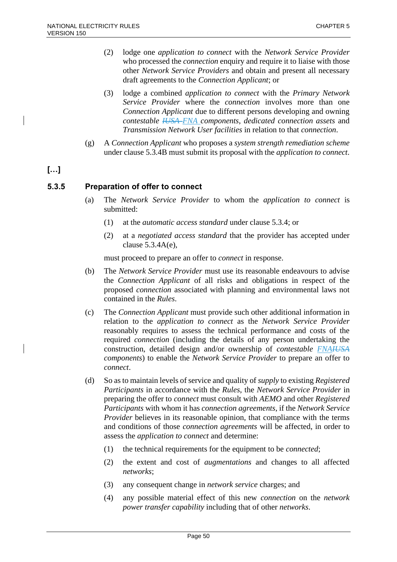- (2) lodge one *application to connect* with the *Network Service Provider* who processed the *connection* enquiry and require it to liaise with those other *Network Service Providers* and obtain and present all necessary draft agreements to the *Connection Applicant*; or
- (3) lodge a combined *application to connect* with the *Primary Network Service Provider* where the *connection* involves more than one *Connection Applicant* due to different persons developing and owning *contestable IUSA FNA components*, *dedicated connection assets* and *Transmission Network User facilities* in relation to that *connection*.
- (g) A *Connection Applicant* who proposes a *system strength remediation scheme* under clause 5.3.4B must submit its proposal with the *application to connect*.

### **[…]**

### **5.3.5 Preparation of offer to connect**

- (a) The *Network Service Provider* to whom the *application to connect* is submitted:
	- (1) at the *automatic access standard* under clause 5.3.4; or
	- (2) at a *negotiated access standard* that the provider has accepted under clause 5.3.4A(e),

must proceed to prepare an offer to *connect* in response.

- (b) The *Network Service Provider* must use its reasonable endeavours to advise the *Connection Applicant* of all risks and obligations in respect of the proposed *connection* associated with planning and environmental laws not contained in the *Rules*.
- (c) The *Connection Applicant* must provide such other additional information in relation to the *application to connect* as the *Network Service Provider* reasonably requires to assess the technical performance and costs of the required *connection* (including the details of any person undertaking the construction, detailed design and/or ownership of *contestable FNAIUSA components*) to enable the *Network Service Provider* to prepare an offer to *connect*.
- (d) So as to maintain levels of service and quality of *supply* to existing *Registered Participants* in accordance with the *Rules*, the *Network Service Provider* in preparing the offer to *connect* must consult with *AEMO* and other *Registered Participants* with whom it has *connection agreements*, if the *Network Service Provider* believes in its reasonable opinion, that compliance with the terms and conditions of those *connection agreements* will be affected, in order to assess the *application to connect* and determine:
	- (1) the technical requirements for the equipment to be *connected*;
	- (2) the extent and cost of *augmentations* and changes to all affected *networks*;
	- (3) any consequent change in *network service* charges; and
	- (4) any possible material effect of this new *connection* on the *network power transfer capability* including that of other *networks*.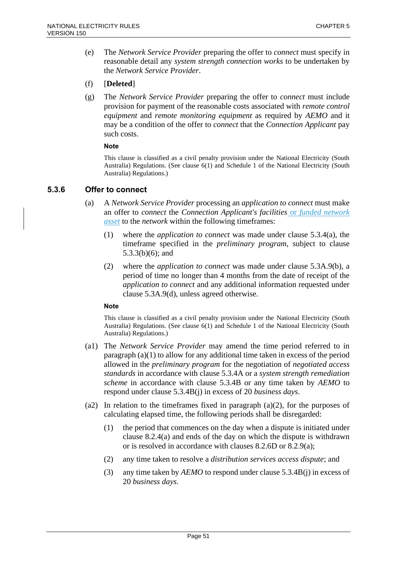(e) The *Network Service Provider* preparing the offer to *connect* must specify in reasonable detail any *system strength connection works* to be undertaken by the *Network Service Provider*.

### (f) [**Deleted**]

(g) The *Network Service Provider* preparing the offer to *connect* must include provision for payment of the reasonable costs associated with *remote control equipment* and *remote monitoring equipment* as required by *AEMO* and it may be a condition of the offer to *connect* that the *Connection Applicant* pay such costs.

#### **Note**

This clause is classified as a civil penalty provision under the National Electricity (South Australia) Regulations. (See clause 6(1) and Schedule 1 of the National Electricity (South Australia) Regulations.)

### **5.3.6 Offer to connect**

- (a) A *Network Service Provider* processing an *application to connect* must make an offer to *connect* the *Connection Applicant's facilities* or *funded network asset* to the *network* within the following timeframes:
	- (1) where the *application to connect* was made under clause 5.3.4(a), the timeframe specified in the *preliminary program*, subject to clause 5.3.3(b)(6); and
	- (2) where the *application to connect* was made under clause 5.3A.9(b), a period of time no longer than 4 months from the date of receipt of the *application to connect* and any additional information requested under clause 5.3A.9(d), unless agreed otherwise.

#### **Note**

- (a1) The *Network Service Provider* may amend the time period referred to in paragraph (a)(1) to allow for any additional time taken in excess of the period allowed in the *preliminary program* for the negotiation of *negotiated access standards* in accordance with clause 5.3.4A or a *system strength remediation scheme* in accordance with clause 5.3.4B or any time taken by *AEMO* to respond under clause 5.3.4B(j) in excess of 20 *business days*.
- (a2) In relation to the timeframes fixed in paragraph (a)(2), for the purposes of calculating elapsed time, the following periods shall be disregarded:
	- (1) the period that commences on the day when a dispute is initiated under clause 8.2.4(a) and ends of the day on which the dispute is withdrawn or is resolved in accordance with clauses 8.2.6D or 8.2.9(a);
	- (2) any time taken to resolve a *distribution services access dispute*; and
	- (3) any time taken by *AEMO* to respond under clause 5.3.4B(j) in excess of 20 *business days*.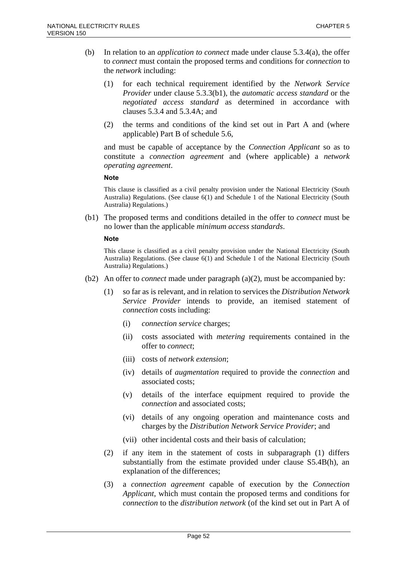- (b) In relation to an *application to connect* made under clause 5.3.4(a), the offer to *connect* must contain the proposed terms and conditions for *connection* to the *network* including:
	- (1) for each technical requirement identified by the *Network Service Provider* under clause 5.3.3(b1), the *automatic access standard* or the *negotiated access standard* as determined in accordance with clauses 5.3.4 and 5.3.4A; and
	- (2) the terms and conditions of the kind set out in Part A and (where applicable) Part B of schedule 5.6,

and must be capable of acceptance by the *Connection Applicant* so as to constitute a *connection agreement* and (where applicable) a *network operating agreement*.

#### **Note**

This clause is classified as a civil penalty provision under the National Electricity (South Australia) Regulations. (See clause 6(1) and Schedule 1 of the National Electricity (South Australia) Regulations.)

(b1) The proposed terms and conditions detailed in the offer to *connect* must be no lower than the applicable *minimum access standards*.

#### **Note**

- (b2) An offer to *connect* made under paragraph (a)(2), must be accompanied by:
	- (1) so far as is relevant, and in relation to services the *Distribution Network Service Provider* intends to provide, an itemised statement of *connection* costs including:
		- (i) *connection service* charges;
		- (ii) costs associated with *metering* requirements contained in the offer to *connect*;
		- (iii) costs of *network extension*;
		- (iv) details of *augmentation* required to provide the *connection* and associated costs;
		- (v) details of the interface equipment required to provide the *connection* and associated costs;
		- (vi) details of any ongoing operation and maintenance costs and charges by the *Distribution Network Service Provider*; and
		- (vii) other incidental costs and their basis of calculation;
	- (2) if any item in the statement of costs in subparagraph (1) differs substantially from the estimate provided under clause S5.4B(h), an explanation of the differences;
	- (3) a *connection agreement* capable of execution by the *Connection Applicant*, which must contain the proposed terms and conditions for *connection* to the *distribution network* (of the kind set out in Part A of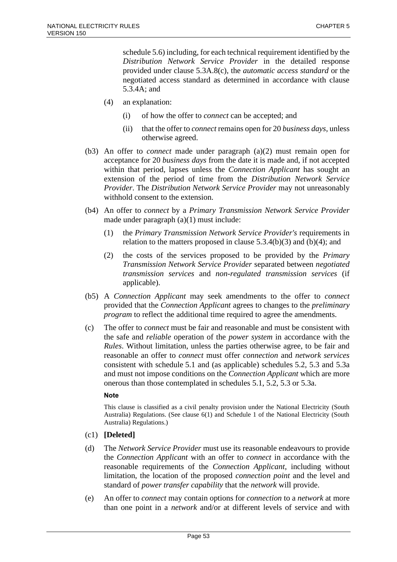schedule 5.6) including, for each technical requirement identified by the *Distribution Network Service Provider* in the detailed response provided under clause 5.3A.8(c), the *automatic access standard* or the negotiated access standard as determined in accordance with clause 5.3.4A; and

- (4) an explanation:
	- (i) of how the offer to *connect* can be accepted; and
	- (ii) that the offer to *connect* remains open for 20 *business days*, unless otherwise agreed.
- (b3) An offer to *connect* made under paragraph (a)(2) must remain open for acceptance for 20 *business days* from the date it is made and, if not accepted within that period, lapses unless the *Connection Applicant* has sought an extension of the period of time from the *Distribution Network Service Provider*. The *Distribution Network Service Provider* may not unreasonably withhold consent to the extension.
- (b4) An offer to *connect* by a *Primary Transmission Network Service Provider* made under paragraph (a)(1) must include:
	- (1) the *Primary Transmission Network Service Provider's* requirements in relation to the matters proposed in clause  $5.3.4(b)(3)$  and  $(b)(4)$ ; and
	- (2) the costs of the services proposed to be provided by the *Primary Transmission Network Service Provider* separated between *negotiated transmission services* and *non-regulated transmission services* (if applicable).
- (b5) A *Connection Applicant* may seek amendments to the offer to *connect* provided that the *Connection Applicant* agrees to changes to the *preliminary program* to reflect the additional time required to agree the amendments.
- (c) The offer to *connect* must be fair and reasonable and must be consistent with the safe and *reliable* operation of the *power system* in accordance with the *Rules*. Without limitation, unless the parties otherwise agree, to be fair and reasonable an offer to *connect* must offer *connection* and *network services* consistent with schedule 5.1 and (as applicable) schedules 5.2, 5.3 and 5.3a and must not impose conditions on the *Connection Applicant* which are more onerous than those contemplated in schedules 5.1, 5.2, 5.3 or 5.3a.

#### **Note**

- (c1) **[Deleted]**
- (d) The *Network Service Provider* must use its reasonable endeavours to provide the *Connection Applicant* with an offer to *connect* in accordance with the reasonable requirements of the *Connection Applicant*, including without limitation, the location of the proposed *connection point* and the level and standard of *power transfer capability* that the *network* will provide.
- (e) An offer to *connect* may contain options for *connection* to a *network* at more than one point in a *network* and/or at different levels of service and with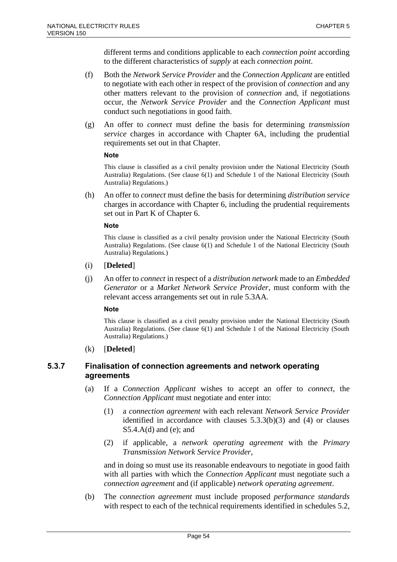different terms and conditions applicable to each *connection point* according to the different characteristics of *supply* at each *connection point*.

- (f) Both the *Network Service Provider* and the *Connection Applicant* are entitled to negotiate with each other in respect of the provision of *connection* and any other matters relevant to the provision of *connection* and, if negotiations occur, the *Network Service Provider* and the *Connection Applicant* must conduct such negotiations in good faith.
- (g) An offer to *connect* must define the basis for determining *transmission service* charges in accordance with Chapter 6A, including the prudential requirements set out in that Chapter.

#### **Note**

This clause is classified as a civil penalty provision under the National Electricity (South Australia) Regulations. (See clause 6(1) and Schedule 1 of the National Electricity (South Australia) Regulations.)

(h) An offer to *connect* must define the basis for determining *distribution service* charges in accordance with Chapter 6, including the prudential requirements set out in Part K of Chapter 6.

#### **Note**

This clause is classified as a civil penalty provision under the National Electricity (South Australia) Regulations. (See clause 6(1) and Schedule 1 of the National Electricity (South Australia) Regulations.)

- (i) [**Deleted**]
- (j) An offer to *connect* in respect of a *distribution network* made to an *Embedded Generator* or a *Market Network Service Provider*, must conform with the relevant access arrangements set out in rule 5.3AA.

#### **Note**

This clause is classified as a civil penalty provision under the National Electricity (South Australia) Regulations. (See clause 6(1) and Schedule 1 of the National Electricity (South Australia) Regulations.)

#### (k) [**Deleted**]

### **5.3.7 Finalisation of connection agreements and network operating agreements**

- (a) If a *Connection Applicant* wishes to accept an offer to *connect*, the *Connection Applicant* must negotiate and enter into:
	- (1) a *connection agreement* with each relevant *Network Service Provider* identified in accordance with clauses 5.3.3(b)(3) and (4) or clauses S5.4.A(d) and (e); and
	- (2) if applicable, a *network operating agreement* with the *Primary Transmission Network Service Provider*,

and in doing so must use its reasonable endeavours to negotiate in good faith with all parties with which the *Connection Applicant* must negotiate such a *connection agreement* and (if applicable) *network operating agreement*.

(b) The *connection agreement* must include proposed *performance standards* with respect to each of the technical requirements identified in schedules 5.2,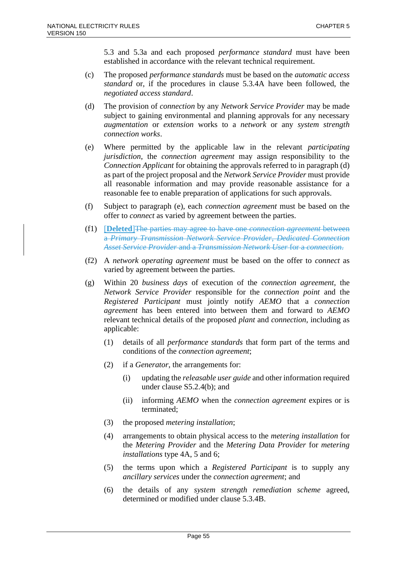5.3 and 5.3a and each proposed *performance standard* must have been established in accordance with the relevant technical requirement.

- (c) The proposed *performance standards* must be based on the *automatic access standard* or, if the procedures in clause 5.3.4A have been followed, the *negotiated access standard*.
- (d) The provision of *connection* by any *Network Service Provider* may be made subject to gaining environmental and planning approvals for any necessary *augmentation* or *extension* works to a *network* or any *system strength connection works*.
- (e) Where permitted by the applicable law in the relevant *participating jurisdiction*, the *connection agreement* may assign responsibility to the *Connection Applicant* for obtaining the approvals referred to in paragraph (d) as part of the project proposal and the *Network Service Provider* must provide all reasonable information and may provide reasonable assistance for a reasonable fee to enable preparation of applications for such approvals.
- (f) Subject to paragraph (e), each *connection agreement* must be based on the offer to *connect* as varied by agreement between the parties.
- (f1) [**Deleted**]The parties may agree to have one *connection agreement* between a *Primary Transmission Network Service Provider*, *Dedicated Connection Asset Service Provider* and a *Transmission Network User* for a *connection*.
- (f2) A *network operating agreement* must be based on the offer to *connect* as varied by agreement between the parties.
- (g) Within 20 *business days* of execution of the *connection agreement*, the *Network Service Provider* responsible for the *connection point* and the *Registered Participant* must jointly notify *AEMO* that a *connection agreement* has been entered into between them and forward to *AEMO* relevant technical details of the proposed *plant* and *connection*, including as applicable:
	- (1) details of all *performance standards* that form part of the terms and conditions of the *connection agreement*;
	- (2) if a *Generator*, the arrangements for:
		- (i) updating the *releasable user guide* and other information required under clause S5.2.4(b); and
		- (ii) informing *AEMO* when the *connection agreement* expires or is terminated;
	- (3) the proposed *metering installation*;
	- (4) arrangements to obtain physical access to the *metering installation* for the *Metering Provider* and the *Metering Data Provider* for *metering installations* type 4A, 5 and 6;
	- (5) the terms upon which a *Registered Participant* is to supply any *ancillary services* under the *connection agreement*; and
	- (6) the details of any *system strength remediation scheme* agreed, determined or modified under clause 5.3.4B.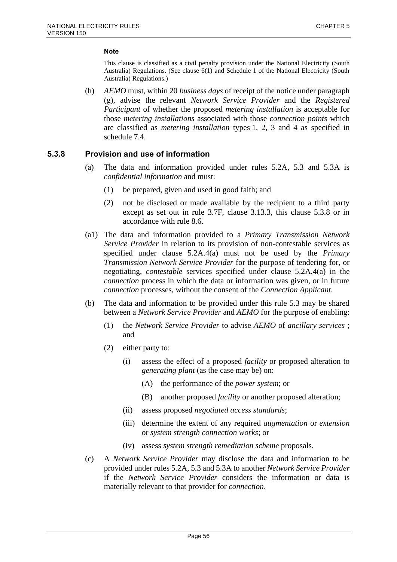This clause is classified as a civil penalty provision under the National Electricity (South Australia) Regulations. (See clause 6(1) and Schedule 1 of the National Electricity (South Australia) Regulations.)

(h) *AEMO* must, within 20 *business days* of receipt of the notice under paragraph (g), advise the relevant *Network Service Provider* and the *Registered Participant* of whether the proposed *metering installation* is acceptable for those *metering installations* associated with those *connection points* which are classified as *metering installation* types 1, 2, 3 and 4 as specified in schedule 7.4.

### **5.3.8 Provision and use of information**

- (a) The data and information provided under rules 5.2A, 5.3 and 5.3A is *confidential information* and must:
	- (1) be prepared, given and used in good faith; and
	- (2) not be disclosed or made available by the recipient to a third party except as set out in rule 3.7F, clause 3.13.3, this clause 5.3.8 or in accordance with rule 8.6.
- (a1) The data and information provided to a *Primary Transmission Network Service Provider* in relation to its provision of non-contestable services as specified under clause 5.2A.4(a) must not be used by the *Primary Transmission Network Service Provider* for the purpose of tendering for, or negotiating, *contestable* services specified under clause 5.2A.4(a) in the *connection* process in which the data or information was given, or in future *connection* processes, without the consent of the *Connection Applicant*.
- (b) The data and information to be provided under this rule 5.3 may be shared between a *Network Service Provider* and *AEMO* for the purpose of enabling:
	- (1) the *Network Service Provider* to advise *AEMO* of *ancillary services* ; and
	- (2) either party to:
		- (i) assess the effect of a proposed *facility* or proposed alteration to *generating plant* (as the case may be) on:
			- (A) the performance of the *power system*; or
			- (B) another proposed *facility* or another proposed alteration;
		- (ii) assess proposed *negotiated access standards*;
		- (iii) determine the extent of any required *augmentation* or *extension* or *system strength connection works*; or
		- (iv) assess *system strength remediation scheme* proposals.
- (c) A *Network Service Provider* may disclose the data and information to be provided under rules 5.2A, 5.3 and 5.3A to another *Network Service Provider* if the *Network Service Provider* considers the information or data is materially relevant to that provider for *connection*.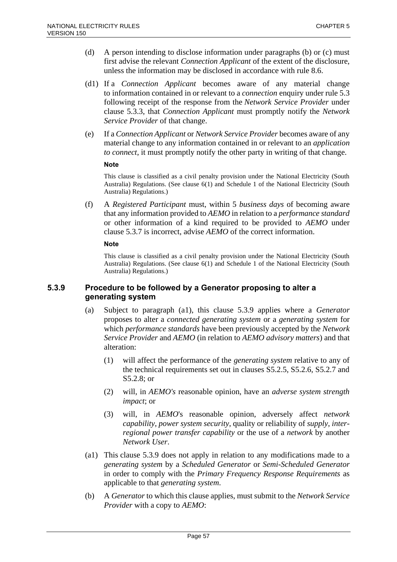- (d) A person intending to disclose information under paragraphs (b) or (c) must first advise the relevant *Connection Applicant* of the extent of the disclosure, unless the information may be disclosed in accordance with rule 8.6.
- (d1) If a *Connection Applicant* becomes aware of any material change to information contained in or relevant to a *connection* enquiry under rule 5.3 following receipt of the response from the *Network Service Provider* under clause 5.3.3, that *Connection Applicant* must promptly notify the *Network Service Provider* of that change.
- (e) If a *Connection Applicant* or *Network Service Provider* becomes aware of any material change to any information contained in or relevant to an *application to connect*, it must promptly notify the other party in writing of that change.

This clause is classified as a civil penalty provision under the National Electricity (South Australia) Regulations. (See clause 6(1) and Schedule 1 of the National Electricity (South Australia) Regulations.)

(f) A *Registered Participant* must, within 5 *business days* of becoming aware that any information provided to *AEMO* in relation to a *performance standard* or other information of a kind required to be provided to *AEMO* under clause 5.3.7 is incorrect, advise *AEMO* of the correct information.

#### **Note**

This clause is classified as a civil penalty provision under the National Electricity (South Australia) Regulations. (See clause 6(1) and Schedule 1 of the National Electricity (South Australia) Regulations.)

### **5.3.9 Procedure to be followed by a Generator proposing to alter a generating system**

- (a) Subject to paragraph (a1), this clause 5.3.9 applies where a *Generator* proposes to alter a *connected generating system* or a *generating system* for which *performance standards* have been previously accepted by the *Network Service Provider* and *AEMO* (in relation to *AEMO advisory matters*) and that alteration:
	- (1) will affect the performance of the *generating system* relative to any of the technical requirements set out in clauses S5.2.5, S5.2.6, S5.2.7 and S5.2.8; or
	- (2) will, in *AEMO's* reasonable opinion, have an *adverse system strength impact*; or
	- (3) will, in *AEMO*'s reasonable opinion, adversely affect *network capability*, *power system security*, quality or reliability of *supply*, *interregional power transfer capability* or the use of a *network* by another *Network User*.
- (a1) This clause 5.3.9 does not apply in relation to any modifications made to a *generating system* by a *Scheduled Generator* or *Semi-Scheduled Generator*  in order to comply with the *Primary Frequency Response Requirements* as applicable to that *generating system*.
- (b) A *Generator* to which this clause applies, must submit to the *Network Service Provider* with a copy to *AEMO*: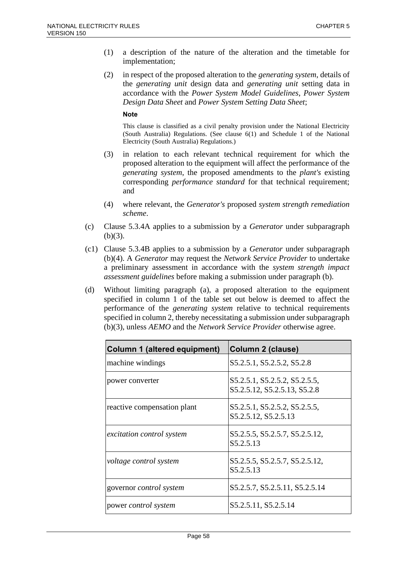- (1) a description of the nature of the alteration and the timetable for implementation;
- (2) in respect of the proposed alteration to the *generating system*, details of the *generating unit* design data and *generating unit* setting data in accordance with the *Power System Model Guidelines*, *Power System Design Data Sheet* and *Power System Setting Data Sheet*;

- (3) in relation to each relevant technical requirement for which the proposed alteration to the equipment will affect the performance of the *generating system*, the proposed amendments to the *plant's* existing corresponding *performance standard* for that technical requirement; and
- (4) where relevant, the *Generator's* proposed *system strength remediation scheme*.
- (c) Clause 5.3.4A applies to a submission by a *Generator* under subparagraph  $(b)(3)$ .
- (c1) Clause 5.3.4B applies to a submission by a *Generator* under subparagraph (b)(4). A *Generator* may request the *Network Service Provider* to undertake a preliminary assessment in accordance with the *system strength impact assessment guidelines* before making a submission under paragraph (b).
- (d) Without limiting paragraph (a), a proposed alteration to the equipment specified in column 1 of the table set out below is deemed to affect the performance of the *generating system* relative to technical requirements specified in column 2, thereby necessitating a submission under subparagraph (b)(3), unless *AEMO* and the *Network Service Provider* otherwise agree.

| <b>Column 1 (altered equipment)</b> | Column 2 (clause)                                             |
|-------------------------------------|---------------------------------------------------------------|
| machine windings                    | S5.2.5.1, S5.2.5.2, S5.2.8                                    |
| power converter                     | S5.2.5.1, S5.2.5.2, S5.2.5.5,<br>S5.2.5.12, S5.2.5.13, S5.2.8 |
| reactive compensation plant         | S5.2.5.1, S5.2.5.2, S5.2.5.5,<br>S5.2.5.12, S5.2.5.13         |
| <i>excitation control system</i>    | S5.2.5.5, S5.2.5.7, S5.2.5.12,<br>S5.2.5.13                   |
| voltage control system              | S5.2.5.5, S5.2.5.7, S5.2.5.12,<br>S5.2.5.13                   |
| governor <i>control</i> system      | S5.2.5.7, S5.2.5.11, S5.2.5.14                                |
| power <i>control</i> system         | S5.2.5.11, S5.2.5.14                                          |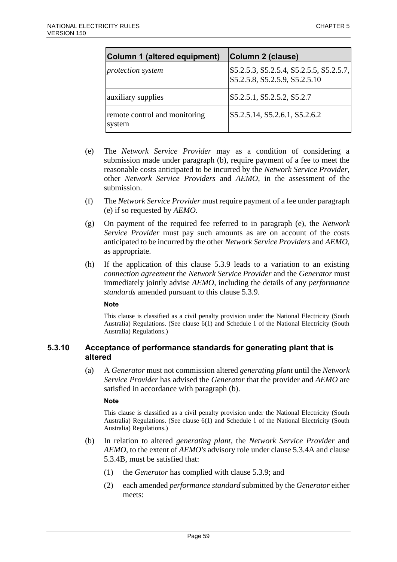| Column 1 (altered equipment)            | Column 2 (clause)                                                        |
|-----------------------------------------|--------------------------------------------------------------------------|
| protection system                       | S5.2.5.3, S5.2.5.4, S5.2.5.5, S5.2.5.7,<br>S5.2.5.8, S5.2.5.9, S5.2.5.10 |
| auxiliary supplies                      | S5.2.5.1, S5.2.5.2, S5.2.7                                               |
| remote control and monitoring<br>system | S5.2.5.14, S5.2.6.1, S5.2.6.2                                            |

- (e) The *Network Service Provider* may as a condition of considering a submission made under paragraph (b), require payment of a fee to meet the reasonable costs anticipated to be incurred by the *Network Service Provider*, other *Network Service Providers* and *AEMO*, in the assessment of the submission.
- (f) The *Network Service Provider* must require payment of a fee under paragraph (e) if so requested by *AEMO*.
- (g) On payment of the required fee referred to in paragraph (e), the *Network Service Provider* must pay such amounts as are on account of the costs anticipated to be incurred by the other *Network Service Providers* and *AEMO*, as appropriate.
- (h) If the application of this clause 5.3.9 leads to a variation to an existing *connection agreement* the *Network Service Provider* and the *Generator* must immediately jointly advise *AEMO*, including the details of any *performance standards* amended pursuant to this clause 5.3.9.

This clause is classified as a civil penalty provision under the National Electricity (South Australia) Regulations. (See clause 6(1) and Schedule 1 of the National Electricity (South Australia) Regulations.)

### **5.3.10 Acceptance of performance standards for generating plant that is altered**

(a) A *Generator* must not commission altered *generating plant* until the *Network Service Provider* has advised the *Generator* that the provider and *AEMO* are satisfied in accordance with paragraph (b).

#### **Note**

- (b) In relation to altered *generating plant*, the *Network Service Provider* and *AEMO*, to the extent of *AEMO's* advisory role under clause 5.3.4A and clause 5.3.4B, must be satisfied that:
	- (1) the *Generator* has complied with clause 5.3.9; and
	- (2) each amended *performance standard* submitted by the *Generator* either meets: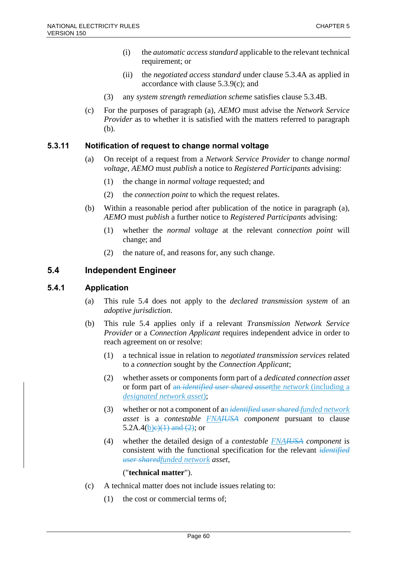- (i) the *automatic access standard* applicable to the relevant technical requirement; or
- (ii) the *negotiated access standard* under clause 5.3.4A as applied in accordance with clause 5.3.9(c); and
- (3) any *system strength remediation scheme* satisfies clause 5.3.4B.
- (c) For the purposes of paragraph (a), *AEMO* must advise the *Network Service Provider* as to whether it is satisfied with the matters referred to paragraph (b).

### **5.3.11 Notification of request to change normal voltage**

- (a) On receipt of a request from a *Network Service Provider* to change *normal voltage, AEMO* must *publish* a notice to *Registered Participants* advising:
	- (1) the change in *normal voltage* requested; and
	- (2) the *connection point* to which the request relates.
- (b) Within a reasonable period after publication of the notice in paragraph (a), *AEMO* must *publish* a further notice to *Registered Participants* advising:
	- (1) whether the *normal voltage* at the relevant *connection point* will change; and
	- (2) the nature of, and reasons for, any such change.

### **5.4 Independent Engineer**

### **5.4.1 Application**

- (a) This rule 5.4 does not apply to the *declared transmission system* of an *adoptive jurisdiction*.
- (b) This rule 5.4 applies only if a relevant *Transmission Network Service Provider* or a *Connection Applicant* requires independent advice in order to reach agreement on or resolve:
	- (1) a technical issue in relation to *negotiated transmission services* related to a *connection* sought by the *Connection Applicant*;
	- (2) whether assets or components form part of a *dedicated connection asset* or form part of an *identified user shared asset*the *network* (including a *designated network asset*);
	- (3) whether or not a component of an *identified user shared funded network asset* is a *contestable FNAIUSA component* pursuant to clause 5.2A.4(b)e)(1) and (2); or
	- (4) whether the detailed design of a *contestable FNAIUSA component* is consistent with the functional specification for the relevant *identified user sharedfunded network asset*,

### ("**technical matter**").

- (c) A technical matter does not include issues relating to:
	- (1) the cost or commercial terms of;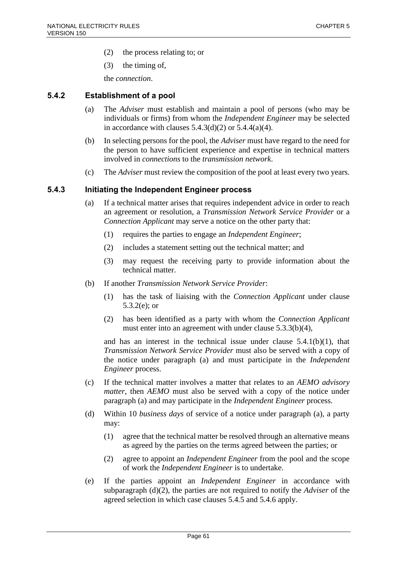- (2) the process relating to; or
- (3) the timing of,

the *connection*.

### **5.4.2 Establishment of a pool**

- (a) The *Adviser* must establish and maintain a pool of persons (who may be individuals or firms) from whom the *Independent Engineer* may be selected in accordance with clauses  $5.4.3(d)(2)$  or  $5.4.4(a)(4)$ .
- (b) In selecting persons for the pool, the *Adviser* must have regard to the need for the person to have sufficient experience and expertise in technical matters involved in *connections* to the *transmission network*.
- (c) The *Adviser* must review the composition of the pool at least every two years.

#### **5.4.3 Initiating the Independent Engineer process**

- (a) If a technical matter arises that requires independent advice in order to reach an agreement or resolution, a *Transmission Network Service Provider* or a *Connection Applicant* may serve a notice on the other party that:
	- (1) requires the parties to engage an *Independent Engineer*;
	- (2) includes a statement setting out the technical matter; and
	- (3) may request the receiving party to provide information about the technical matter.
- (b) If another *Transmission Network Service Provider*:
	- (1) has the task of liaising with the *Connection Applicant* under clause 5.3.2(e); or
	- (2) has been identified as a party with whom the *Connection Applicant* must enter into an agreement with under clause 5.3.3(b)(4),

and has an interest in the technical issue under clause 5.4.1(b)(1), that *Transmission Network Service Provider* must also be served with a copy of the notice under paragraph (a) and must participate in the *Independent Engineer* process.

- (c) If the technical matter involves a matter that relates to an *AEMO advisory matter*, then *AEMO* must also be served with a copy of the notice under paragraph (a) and may participate in the *Independent Engineer* process.
- (d) Within 10 *business days* of service of a notice under paragraph (a), a party may:
	- (1) agree that the technical matter be resolved through an alternative means as agreed by the parties on the terms agreed between the parties; or
	- (2) agree to appoint an *Independent Engineer* from the pool and the scope of work the *Independent Engineer* is to undertake.
- (e) If the parties appoint an *Independent Engineer* in accordance with subparagraph (d)(2), the parties are not required to notify the *Adviser* of the agreed selection in which case clauses 5.4.5 and 5.4.6 apply.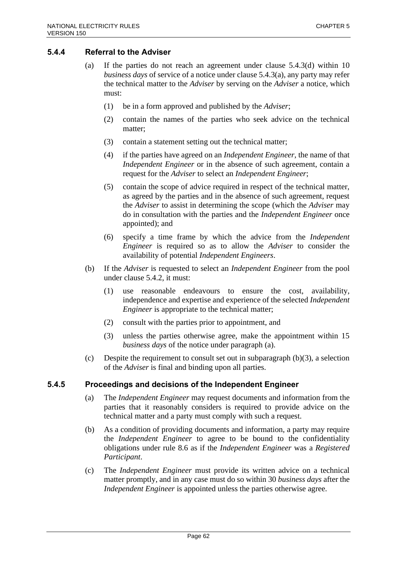### **5.4.4 Referral to the Adviser**

- (a) If the parties do not reach an agreement under clause 5.4.3(d) within 10 *business days* of service of a notice under clause 5.4.3(a), any party may refer the technical matter to the *Adviser* by serving on the *Adviser* a notice, which must:
	- (1) be in a form approved and published by the *Adviser*;
	- (2) contain the names of the parties who seek advice on the technical matter;
	- (3) contain a statement setting out the technical matter;
	- (4) if the parties have agreed on an *Independent Engineer*, the name of that *Independent Engineer* or in the absence of such agreement, contain a request for the *Adviser* to select an *Independent Engineer*;
	- (5) contain the scope of advice required in respect of the technical matter, as agreed by the parties and in the absence of such agreement, request the *Adviser* to assist in determining the scope (which the *Adviser* may do in consultation with the parties and the *Independent Engineer* once appointed); and
	- (6) specify a time frame by which the advice from the *Independent Engineer* is required so as to allow the *Adviser* to consider the availability of potential *Independent Engineers*.
- (b) If the *Adviser* is requested to select an *Independent Engineer* from the pool under clause 5.4.2, it must:
	- (1) use reasonable endeavours to ensure the cost, availability, independence and expertise and experience of the selected *Independent Engineer* is appropriate to the technical matter;
	- (2) consult with the parties prior to appointment, and
	- (3) unless the parties otherwise agree, make the appointment within 15 *business days* of the notice under paragraph (a).
- (c) Despite the requirement to consult set out in subparagraph  $(b)(3)$ , a selection of the *Adviser* is final and binding upon all parties.

### **5.4.5 Proceedings and decisions of the Independent Engineer**

- (a) The *Independent Engineer* may request documents and information from the parties that it reasonably considers is required to provide advice on the technical matter and a party must comply with such a request.
- (b) As a condition of providing documents and information, a party may require the *Independent Engineer* to agree to be bound to the confidentiality obligations under rule 8.6 as if the *Independent Engineer* was a *Registered Participant*.
- (c) The *Independent Engineer* must provide its written advice on a technical matter promptly, and in any case must do so within 30 *business days* after the *Independent Engineer* is appointed unless the parties otherwise agree.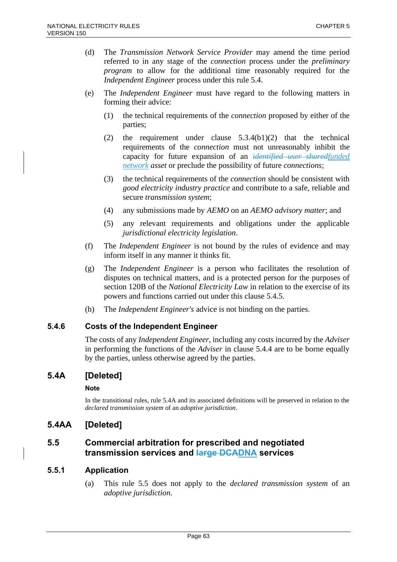- (d) The *Transmission Network Service Provider* may amend the time period referred to in any stage of the *connection* process under the *preliminary program* to allow for the additional time reasonably required for the *Independent Engineer* process under this rule 5.4.
- (e) The *Independent Engineer* must have regard to the following matters in forming their advice:
	- (1) the technical requirements of the *connection* proposed by either of the parties;
	- (2) the requirement under clause 5.3.4(b1)(2) that the technical requirements of the *connection* must not unreasonably inhibit the capacity for future expansion of an *identified user sharedfunded network asset* or preclude the possibility of future *connections*;
	- (3) the technical requirements of the *connection* should be consistent with *good electricity industry practice* and contribute to a safe, reliable and secure *transmission system*;
	- (4) any submissions made by *AEMO* on an *AEMO advisory matter*; and
	- (5) any relevant requirements and obligations under the applicable *jurisdictional electricity legislation*.
- (f) The *Independent Engineer* is not bound by the rules of evidence and may inform itself in any manner it thinks fit.
- (g) The *Independent Engineer* is a person who facilitates the resolution of disputes on technical matters, and is a protected person for the purposes of section 120B of the *National Electricity Law* in relation to the exercise of its powers and functions carried out under this clause 5.4.5.
- (h) The *Independent Engineer's* advice is not binding on the parties.

### **5.4.6 Costs of the Independent Engineer**

The costs of any *Independent Engineer*, including any costs incurred by the *Adviser* in performing the functions of the *Adviser* in clause 5.4.4 are to be borne equally by the parties, unless otherwise agreed by the parties.

## **5.4A [Deleted]**

### **Note**

In the transitional rules, rule 5.4A and its associated definitions will be preserved in relation to the *declared transmission system* of an *adoptive jurisdiction*.

## **5.4AA [Deleted]**

### **5.5 Commercial arbitration for prescribed and negotiated transmission services and large DCADNA services**

### **5.5.1 Application**

(a) This rule 5.5 does not apply to the *declared transmission system* of an *adoptive jurisdiction*.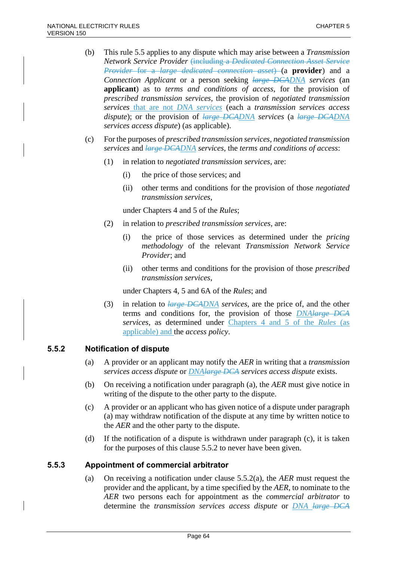- (b) This rule 5.5 applies to any dispute which may arise between a *Transmission Network Service Provider* (including a *Dedicated Connection Asset Service Provider* for a *large dedicated connection asset*) (a **provider**) and a *Connection Applicant* or a person seeking *large DCADNA services* (an **applicant**) as to *terms and conditions of access*, for the provision of *prescribed transmission services*, the provision of *negotiated transmission services* that are not *DNA services* (each a *transmission services access dispute*); or the provision of *large DCADNA services* (a *large DCADNA services access dispute*) (as applicable).
- (c) For the purposes of *prescribed transmission services*, *negotiated transmission services* and *large DCADNA services*, the *terms and conditions of access*:
	- (1) in relation to *negotiated transmission services*, are:
		- (i) the price of those services; and
		- (ii) other terms and conditions for the provision of those *negotiated transmission services*,

under Chapters 4 and 5 of the *Rules*;

- (2) in relation to *prescribed transmission services*, are:
	- (i) the price of those services as determined under the *pricing methodology* of the relevant *Transmission Network Service Provider*; and
	- (ii) other terms and conditions for the provision of those *prescribed transmission services*,

under Chapters 4, 5 and 6A of the *Rules*; and

(3) in relation to *large DCADNA services*, are the price of, and the other terms and conditions for, the provision of those *DNAlarge DCA services*, as determined under Chapters 4 and 5 of the *Rules* (as applicable) and the *access policy*.

### **5.5.2 Notification of dispute**

- (a) A provider or an applicant may notify the *AER* in writing that a *transmission services access dispute* or *DNAlarge DCA services access dispute* exists.
- (b) On receiving a notification under paragraph (a), the *AER* must give notice in writing of the dispute to the other party to the dispute.
- (c) A provider or an applicant who has given notice of a dispute under paragraph (a) may withdraw notification of the dispute at any time by written notice to the *AER* and the other party to the dispute.
- (d) If the notification of a dispute is withdrawn under paragraph (c), it is taken for the purposes of this clause 5.5.2 to never have been given.

### **5.5.3 Appointment of commercial arbitrator**

(a) On receiving a notification under clause 5.5.2(a), the *AER* must request the provider and the applicant, by a time specified by the *AER*, to nominate to the *AER* two persons each for appointment as the *commercial arbitrator* to determine the *transmission services access dispute* or *DNA large DCA*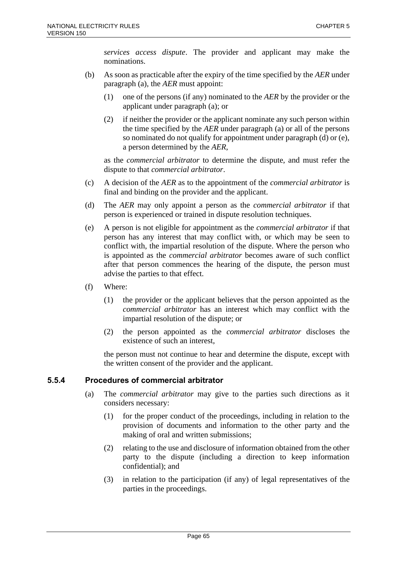*services access dispute*. The provider and applicant may make the nominations.

- (b) As soon as practicable after the expiry of the time specified by the *AER* under paragraph (a), the *AER* must appoint:
	- (1) one of the persons (if any) nominated to the *AER* by the provider or the applicant under paragraph (a); or
	- (2) if neither the provider or the applicant nominate any such person within the time specified by the *AER* under paragraph (a) or all of the persons so nominated do not qualify for appointment under paragraph (d) or (e), a person determined by the *AER*,

as the *commercial arbitrator* to determine the dispute, and must refer the dispute to that *commercial arbitrator*.

- (c) A decision of the *AER* as to the appointment of the *commercial arbitrator* is final and binding on the provider and the applicant.
- (d) The *AER* may only appoint a person as the *commercial arbitrator* if that person is experienced or trained in dispute resolution techniques.
- (e) A person is not eligible for appointment as the *commercial arbitrator* if that person has any interest that may conflict with, or which may be seen to conflict with, the impartial resolution of the dispute. Where the person who is appointed as the *commercial arbitrator* becomes aware of such conflict after that person commences the hearing of the dispute, the person must advise the parties to that effect.
- (f) Where:
	- (1) the provider or the applicant believes that the person appointed as the *commercial arbitrator* has an interest which may conflict with the impartial resolution of the dispute; or
	- (2) the person appointed as the *commercial arbitrator* discloses the existence of such an interest,

the person must not continue to hear and determine the dispute, except with the written consent of the provider and the applicant.

### **5.5.4 Procedures of commercial arbitrator**

- (a) The *commercial arbitrator* may give to the parties such directions as it considers necessary:
	- (1) for the proper conduct of the proceedings, including in relation to the provision of documents and information to the other party and the making of oral and written submissions;
	- (2) relating to the use and disclosure of information obtained from the other party to the dispute (including a direction to keep information confidential); and
	- (3) in relation to the participation (if any) of legal representatives of the parties in the proceedings.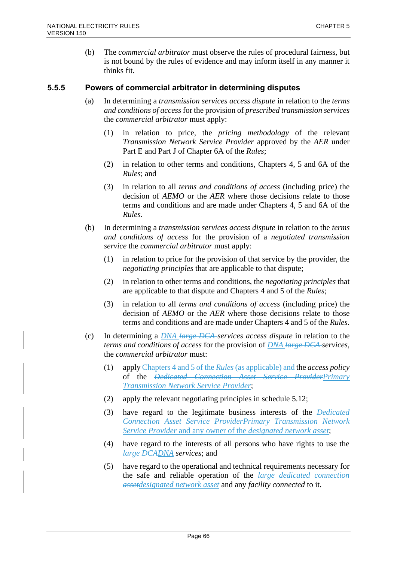(b) The *commercial arbitrator* must observe the rules of procedural fairness, but is not bound by the rules of evidence and may inform itself in any manner it thinks fit.

### **5.5.5 Powers of commercial arbitrator in determining disputes**

- (a) In determining a *transmission services access dispute* in relation to the *terms and conditions of access* for the provision of *prescribed transmission services* the *commercial arbitrator* must apply:
	- (1) in relation to price, the *pricing methodology* of the relevant *Transmission Network Service Provider* approved by the *AER* under Part E and Part J of Chapter 6A of the *Rules*;
	- (2) in relation to other terms and conditions, Chapters 4, 5 and 6A of the *Rules*; and
	- (3) in relation to all *terms and conditions of access* (including price) the decision of *AEMO* or the *AER* where those decisions relate to those terms and conditions and are made under Chapters 4, 5 and 6A of the *Rules*.
- (b) In determining a *transmission services access dispute* in relation to the *terms and conditions of access* for the provision of a *negotiated transmission service* the *commercial arbitrator* must apply:
	- (1) in relation to price for the provision of that service by the provider, the *negotiating principles* that are applicable to that dispute;
	- (2) in relation to other terms and conditions, the *negotiating principles* that are applicable to that dispute and Chapters 4 and 5 of the *Rules*;
	- (3) in relation to all *terms and conditions of access* (including price) the decision of *AEMO* or the *AER* where those decisions relate to those terms and conditions and are made under Chapters 4 and 5 of the *Rules*.
- (c) In determining a *DNA large DCA services access dispute* in relation to the *terms and conditions of access* for the provision of *DNA large DCA services*, the *commercial arbitrator* must:
	- (1) apply Chapters 4 and 5 of the *Rules*(as applicable) and the *access policy* of the *Dedicated Connection Asset Service ProviderPrimary Transmission Network Service Provider*;
	- (2) apply the relevant negotiating principles in schedule 5.12;
	- (3) have regard to the legitimate business interests of the *Dedicated Connection Asset Service ProviderPrimary Transmission Network Service Provider* and any owner of the *designated network asset*;
	- (4) have regard to the interests of all persons who have rights to use the *large DCADNA services*; and
	- (5) have regard to the operational and technical requirements necessary for the safe and reliable operation of the *large dedicated connection assetdesignated network asset* and any *facility connected* to it.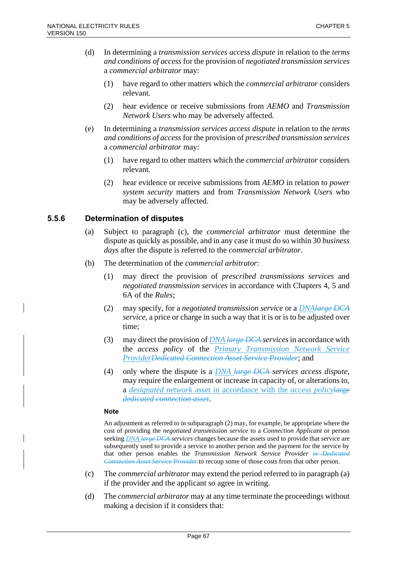- (d) In determining a *transmission services access dispute* in relation to the *terms and conditions of access* for the provision of *negotiated transmission services* a *commercial arbitrator* may:
	- (1) have regard to other matters which the *commercial arbitrator* considers relevant.
	- (2) hear evidence or receive submissions from *AEMO* and *Transmission Network Users* who may be adversely affected.
- (e) In determining a *transmission services access dispute* in relation to the *terms and conditions of access* for the provision of *prescribed transmission services* a *commercial arbitrator* may:
	- (1) have regard to other matters which the *commercial arbitrator* considers relevant.
	- (2) hear evidence or receive submissions from *AEMO* in relation to *power system security* matters and from *Transmission Network Users* who may be adversely affected.

### **5.5.6 Determination of disputes**

- (a) Subject to paragraph (c), the *commercial arbitrator* must determine the dispute as quickly as possible, and in any case it must do so within 30 *business days* after the dispute is referred to the *commercial arbitrator*.
- (b) The determination of the *commercial arbitrator*:
	- (1) may direct the provision of *prescribed transmissions services* and *negotiated transmission services* in accordance with Chapters 4, 5 and 6A of the *Rules*;
	- (2) may specify, for a *negotiated transmission service* or a *DNAlarge DCA service*, a price or charge in such a way that it is or is to be adjusted over time;
	- (3) may direct the provision of *DNA large DCA services*in accordance with the *access policy* of the *Primary Transmission Network Service ProviderDedicated Connection Asset Service Provider*; and
	- (4) only where the dispute is a *DNA large DCA services access dispute*, may require the enlargement or increase in capacity of, or alterations to, a *designated network* asset in accordance with the *access policy*large *dedicated connection asset*.

#### **Note**

An adjustment as referred to in subparagraph (2) may, for example, be appropriate where the cost of providing the *negotiated transmission service* to a *Connection Applicant* or person seeking *DNA large DCA services* changes because the assets used to provide that service are subsequently used to provide a service to another person and the payment for the service by that other person enables the *Transmission Network Service Provider* or *Dedicated Connection Asset Service Provider* to recoup some of those costs from that other person.

- (c) The *commercial arbitrator* may extend the period referred to in paragraph (a) if the provider and the applicant so agree in writing.
- (d) The *commercial arbitrator* may at any time terminate the proceedings without making a decision if it considers that: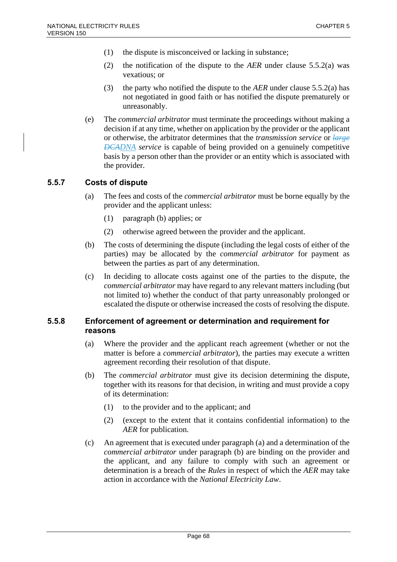- (1) the dispute is misconceived or lacking in substance;
- (2) the notification of the dispute to the *AER* under clause 5.5.2(a) was vexatious; or
- (3) the party who notified the dispute to the *AER* under clause 5.5.2(a) has not negotiated in good faith or has notified the dispute prematurely or unreasonably.
- (e) The *commercial arbitrator* must terminate the proceedings without making a decision if at any time, whether on application by the provider or the applicant or otherwise, the arbitrator determines that the *transmission service* or *large DCADNA service* is capable of being provided on a genuinely competitive basis by a person other than the provider or an entity which is associated with the provider.

### **5.5.7 Costs of dispute**

- (a) The fees and costs of the *commercial arbitrator* must be borne equally by the provider and the applicant unless:
	- (1) paragraph (b) applies; or
	- (2) otherwise agreed between the provider and the applicant.
- (b) The costs of determining the dispute (including the legal costs of either of the parties) may be allocated by the *commercial arbitrator* for payment as between the parties as part of any determination.
- (c) In deciding to allocate costs against one of the parties to the dispute, the *commercial arbitrator* may have regard to any relevant matters including (but not limited to) whether the conduct of that party unreasonably prolonged or escalated the dispute or otherwise increased the costs of resolving the dispute.

### **5.5.8 Enforcement of agreement or determination and requirement for reasons**

- (a) Where the provider and the applicant reach agreement (whether or not the matter is before a *commercial arbitrator*), the parties may execute a written agreement recording their resolution of that dispute.
- (b) The *commercial arbitrator* must give its decision determining the dispute, together with its reasons for that decision, in writing and must provide a copy of its determination:
	- (1) to the provider and to the applicant; and
	- (2) (except to the extent that it contains confidential information) to the *AER* for publication.
- (c) An agreement that is executed under paragraph (a) and a determination of the *commercial arbitrator* under paragraph (b) are binding on the provider and the applicant, and any failure to comply with such an agreement or determination is a breach of the *Rules* in respect of which the *AER* may take action in accordance with the *National Electricity Law*.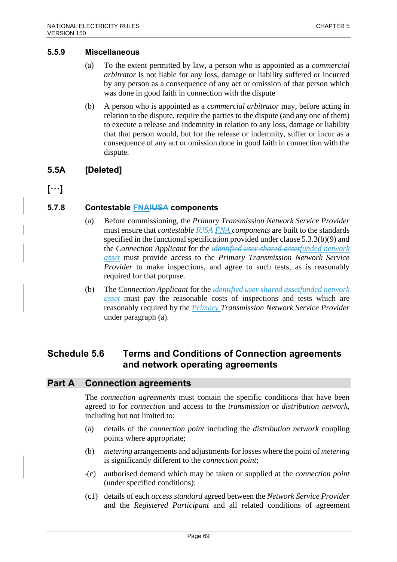### **5.5.9 Miscellaneous**

- (a) To the extent permitted by law, a person who is appointed as a *commercial arbitrator* is not liable for any loss, damage or liability suffered or incurred by any person as a consequence of any act or omission of that person which was done in good faith in connection with the dispute
- (b) A person who is appointed as a *commercial arbitrator* may, before acting in relation to the dispute, require the parties to the dispute (and any one of them) to execute a release and indemnity in relation to any loss, damage or liability that that person would, but for the release or indemnity, suffer or incur as a consequence of any act or omission done in good faith in connection with the dispute.

### **5.5A [Deleted]**

**[**…**]**

### **5.7.8 Contestable FNAIUSA components**

- (a) Before commissioning, the *Primary Transmission Network Service Provider* must ensure that *contestable IUSA FNA components* are built to the standards specified in the functional specification provided under clause 5.3.3(b)(9) and the *Connection Applicant* for the *identified user shared assetfunded network asset* must provide access to the *Primary Transmission Network Service Provider* to make inspections, and agree to such tests, as is reasonably required for that purpose.
- (b) The *Connection Applicant* for the *identified user shared assetfunded network asset* must pay the reasonable costs of inspections and tests which are reasonably required by the *Primary Transmission Network Service Provider* under paragraph (a).

## **Schedule 5.6 Terms and Conditions of Connection agreements and network operating agreements**

### **Part A Connection agreements**

The *connection agreements* must contain the specific conditions that have been agreed to for *connection* and access to the *transmission* or *distribution network*, including but not limited to:

- (a) details of the *connection point* including the *distribution network* coupling points where appropriate;
- (b) *metering* arrangements and adjustments for losses where the point of *metering* is significantly different to the *connection point*;
- (c) authorised demand which may be taken or supplied at the *connection point* (under specified conditions);
- (c1) details of each *access standard* agreed between the *Network Service Provider* and the *Registered Participant* and all related conditions of agreement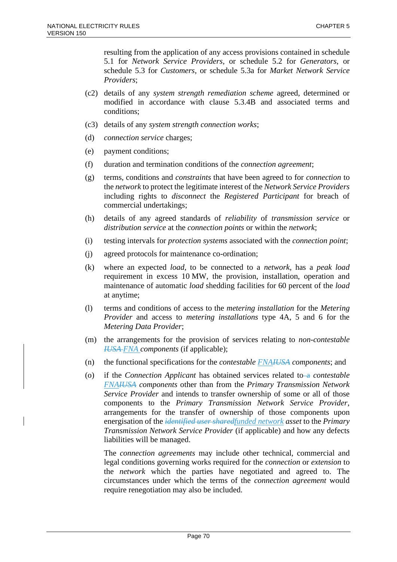resulting from the application of any access provisions contained in schedule 5.1 for *Network Service Providers*, or schedule 5.2 for *Generators*, or schedule 5.3 for *Customers*, or schedule 5.3a for *Market Network Service Providers*;

- (c2) details of any *system strength remediation scheme* agreed, determined or modified in accordance with clause 5.3.4B and associated terms and conditions;
- (c3) details of any *system strength connection works*;
- (d) *connection service* charges;
- (e) payment conditions;
- (f) duration and termination conditions of the *connection agreement*;
- (g) terms, conditions and *constraints* that have been agreed to for *connection* to the *network* to protect the legitimate interest of the *Network Service Providers* including rights to *disconnect* the *Registered Participant* for breach of commercial undertakings;
- (h) details of any agreed standards of *reliability* of *transmission service* or *distribution service* at the *connection points* or within the *network*;
- (i) testing intervals for *protection systems* associated with the *connection point*;
- (j) agreed protocols for maintenance co-ordination;
- (k) where an expected *load*, to be connected to a *network*, has a *peak load* requirement in excess 10 MW, the provision, installation, operation and maintenance of automatic *load* shedding facilities for 60 percent of the *load* at anytime;
- (l) terms and conditions of access to the *metering installation* for the *Metering Provider* and access to *metering installations* type 4A, 5 and 6 for the *Metering Data Provider*;
- (m) the arrangements for the provision of services relating to *non-contestable IUSA FNA components* (if applicable);
- (n) the functional specifications for the *contestable FNAIUSA components*; and
- (o) if the *Connection Applicant* has obtained services related to a *contestable FNAIUSA components* other than from the *Primary Transmission Network Service Provider* and intends to transfer ownership of some or all of those components to the *Primary Transmission Network Service Provider*, arrangements for the transfer of ownership of those components upon energisation of the *identified user sharedfunded network asset* to the *Primary Transmission Network Service Provider* (if applicable) and how any defects liabilities will be managed.

The *connection agreements* may include other technical, commercial and legal conditions governing works required for the *connection* or *extension* to the *network* which the parties have negotiated and agreed to. The circumstances under which the terms of the *connection agreement* would require renegotiation may also be included.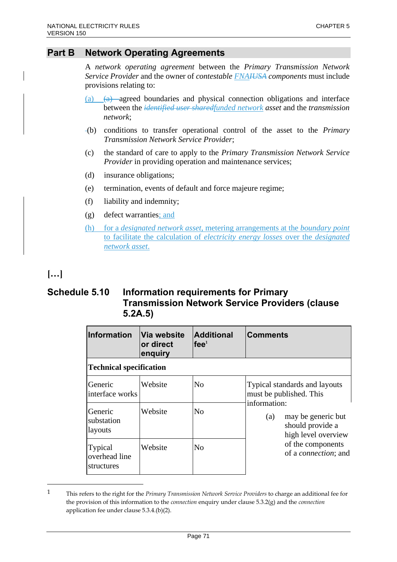## **Part B Network Operating Agreements**

A *network operating agreement* between the *Primary Transmission Network Service Provider* and the owner of *contestable FNAIUSA components* must include provisions relating to:

- (a) (a) agreed boundaries and physical connection obligations and interface between the *identified user sharedfunded network asset* and the *transmission network*;
- (b) conditions to transfer operational control of the asset to the *Primary Transmission Network Service Provider*;
- (c) the standard of care to apply to the *Primary Transmission Network Service Provider* in providing operation and maintenance services;
- (d) insurance obligations;
- (e) termination, events of default and force majeure regime;
- (f) liability and indemnity;
- (g) defect warranties; and
- (h) for a *designated network asset*, metering arrangements at the *boundary point*  to facilitate the calculation of *electricity energy losses* over the *designated network asset*.

# **[…]**

## **Schedule 5.10 Information requirements for Primary Transmission Network Service Providers (clause 5.2A.5)**

| <b>Information</b>                     | Via website<br>or direct<br>enquiry | <b>Additional</b><br>fee <sup>1</sup> | <b>Comments</b>                                                                                                                                                                                       |
|----------------------------------------|-------------------------------------|---------------------------------------|-------------------------------------------------------------------------------------------------------------------------------------------------------------------------------------------------------|
| <b>Technical specification</b>         |                                     |                                       |                                                                                                                                                                                                       |
| Generic<br>interface works             | Website                             | N <sub>o</sub>                        | Typical standards and layouts<br>must be published. This<br>information:<br>may be generic but<br>(a)<br>should provide a<br>high level overview<br>of the components<br>of a <i>connection</i> ; and |
| Generic<br>substation<br>layouts       | Website                             | N <sub>0</sub>                        |                                                                                                                                                                                                       |
| Typical<br>overhead line<br>structures | Website                             | N <sub>0</sub>                        |                                                                                                                                                                                                       |

<sup>1</sup> This refers to the right for the *Primary Transmission Network Service Providers* to charge an additional fee for the provision of this information to the *connection* enquiry under clause 5.3.2(g) and the *connection* application fee under clause 5.3.4.(b)(2).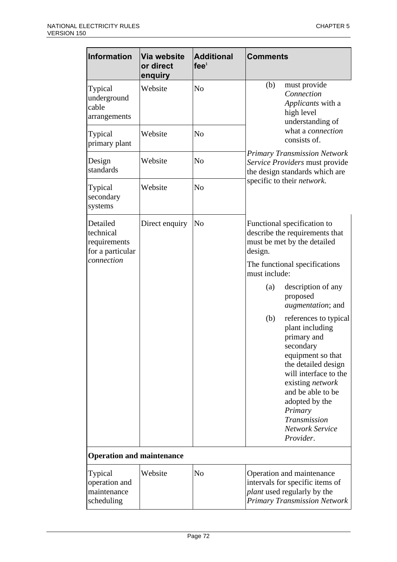| Information                                                             | Via website<br>or direct<br>enquiry | <b>Additional</b><br>fee <sup>1</sup> | <b>Comments</b>                                                                                                                                                                                                                                                               |  |  |
|-------------------------------------------------------------------------|-------------------------------------|---------------------------------------|-------------------------------------------------------------------------------------------------------------------------------------------------------------------------------------------------------------------------------------------------------------------------------|--|--|
| Typical<br>underground<br>cable<br>arrangements                         | Website                             | No                                    | (b)<br>must provide<br>Connection<br><i>Applicants</i> with a<br>high level<br>understanding of<br>what a connection<br>consists of.<br><b>Primary Transmission Network</b><br>Service Providers must provide<br>the design standards which are<br>specific to their network. |  |  |
| Typical<br>primary plant                                                | Website                             | N <sub>o</sub>                        |                                                                                                                                                                                                                                                                               |  |  |
| Design<br>standards                                                     | Website                             | N <sub>o</sub>                        |                                                                                                                                                                                                                                                                               |  |  |
| Typical<br>secondary<br>systems                                         | Website                             | N <sub>o</sub>                        |                                                                                                                                                                                                                                                                               |  |  |
| Detailed<br>technical<br>requirements<br>for a particular<br>connection | Direct enquiry                      | No                                    | Functional specification to<br>describe the requirements that<br>must be met by the detailed<br>design.                                                                                                                                                                       |  |  |
|                                                                         |                                     |                                       | The functional specifications<br>must include:                                                                                                                                                                                                                                |  |  |
|                                                                         |                                     |                                       | description of any<br>$\left( a\right)$<br>proposed<br><i>augmentation</i> ; and                                                                                                                                                                                              |  |  |
|                                                                         |                                     |                                       | references to typical<br>(b)<br>plant including<br>primary and<br>secondary<br>equipment so that<br>the detailed design<br>will interface to the<br>existing <i>network</i><br>and be able to be<br>adopted by the<br>Primary<br>Transmission<br>Network Service<br>Provider. |  |  |
| <b>Operation and maintenance</b>                                        |                                     |                                       |                                                                                                                                                                                                                                                                               |  |  |
| Typical<br>operation and<br>maintenance<br>scheduling                   | Website                             | N <sub>o</sub>                        | Operation and maintenance<br>intervals for specific items of<br><i>plant</i> used regularly by the<br><b>Primary Transmission Network</b>                                                                                                                                     |  |  |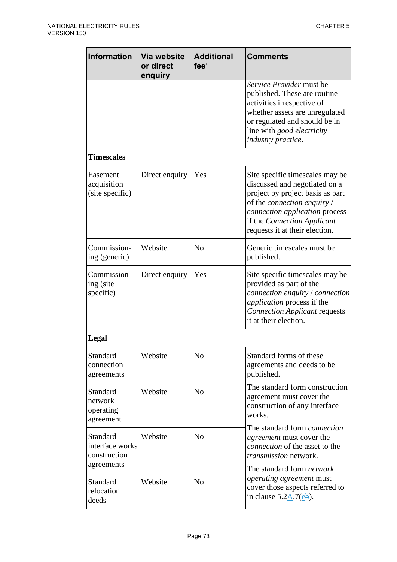| Information                                   | Via website<br>or direct<br>enquiry | <b>Additional</b><br>fee <sup>1</sup> | <b>Comments</b>                                                                                                                                                                                                                        |
|-----------------------------------------------|-------------------------------------|---------------------------------------|----------------------------------------------------------------------------------------------------------------------------------------------------------------------------------------------------------------------------------------|
|                                               |                                     |                                       | Service Provider must be<br>published. These are routine<br>activities irrespective of<br>whether assets are unregulated<br>or regulated and should be in<br>line with good electricity<br>industry practice.                          |
| <b>Timescales</b>                             |                                     |                                       |                                                                                                                                                                                                                                        |
| Easement<br>acquisition<br>(site specific)    | Direct enquiry                      | Yes                                   | Site specific timescales may be<br>discussed and negotiated on a<br>project by project basis as part<br>of the connection enquiry /<br>connection application process<br>if the Connection Applicant<br>requests it at their election. |
| Commission-<br>ing (generic)                  | Website                             | N <sub>o</sub>                        | Generic timescales must be<br>published.                                                                                                                                                                                               |
| Commission-<br>ing (site<br>specific)         | Direct enquiry                      | Yes                                   | Site specific timescales may be<br>provided as part of the<br>connection enquiry / connection<br><i>application</i> process if the<br><b>Connection Applicant requests</b><br>it at their election.                                    |
| Legal                                         |                                     |                                       |                                                                                                                                                                                                                                        |
| Standard<br>connection<br>agreements          | Website                             | N <sub>o</sub>                        | Standard forms of these<br>agreements and deeds to be<br>published.                                                                                                                                                                    |
| Standard<br>network<br>operating<br>agreement | Website                             | N <sub>o</sub>                        | The standard form construction<br>agreement must cover the<br>construction of any interface<br>works.                                                                                                                                  |
| Standard<br>interface works<br>construction   | Website                             | N <sub>o</sub>                        | The standard form <i>connection</i><br>agreement must cover the<br><i>connection</i> of the asset to the<br><i>transmission</i> network.                                                                                               |
| agreements<br>Standard<br>relocation<br>deeds | Website                             | No                                    | The standard form network<br>operating agreement must<br>cover those aspects referred to<br>in clause $5.2\underline{A}.7(\underline{e}\underline{b})$ .                                                                               |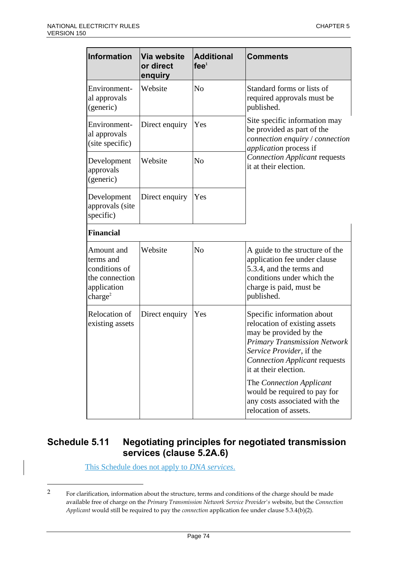| <b>Information</b>                                                                               | Via website<br>or direct<br>enquiry | <b>Additional</b><br>fee <sup>1</sup> | <b>Comments</b>                                                                                                                                                                                                           |
|--------------------------------------------------------------------------------------------------|-------------------------------------|---------------------------------------|---------------------------------------------------------------------------------------------------------------------------------------------------------------------------------------------------------------------------|
| Environment-<br>al approvals<br>(generic)                                                        | Website                             | N <sub>o</sub>                        | Standard forms or lists of<br>required approvals must be<br>published.                                                                                                                                                    |
| Environment-<br>al approvals<br>(site specific)                                                  | Direct enquiry                      | Yes                                   | Site specific information may<br>be provided as part of the<br>connection enquiry / connection<br>application process if<br><b>Connection Applicant requests</b><br>it at their election.                                 |
| Development<br>approvals<br>(generic)                                                            | Website                             | N <sub>o</sub>                        |                                                                                                                                                                                                                           |
| Development<br>approvals (site<br>specific)                                                      | Direct enquiry                      | Yes                                   |                                                                                                                                                                                                                           |
| <b>Financial</b>                                                                                 |                                     |                                       |                                                                                                                                                                                                                           |
| Amount and<br>terms and<br>conditions of<br>the connection<br>application<br>charge <sup>2</sup> | Website                             | N <sub>o</sub>                        | A guide to the structure of the<br>application fee under clause<br>5.3.4, and the terms and<br>conditions under which the<br>charge is paid, must be<br>published.                                                        |
| Relocation of<br>existing assets                                                                 | Direct enquiry                      | Yes                                   | Specific information about<br>relocation of existing assets<br>may be provided by the<br><b>Primary Transmission Network</b><br>Service Provider, if the<br><b>Connection Applicant requests</b><br>it at their election. |
|                                                                                                  |                                     |                                       | The Connection Applicant<br>would be required to pay for<br>any costs associated with the<br>relocation of assets.                                                                                                        |

# **Schedule 5.11 Negotiating principles for negotiated transmission services (clause 5.2A.6)**

This Schedule does not apply to *DNA services*.

<sup>2</sup> For clarification, information about the structure, terms and conditions of the charge should be made available free of charge on the *Primary Transmission Network Service Provider's* website, but the *Connection Applicant* would still be required to pay the *connection* application fee under clause 5.3.4(b)(2).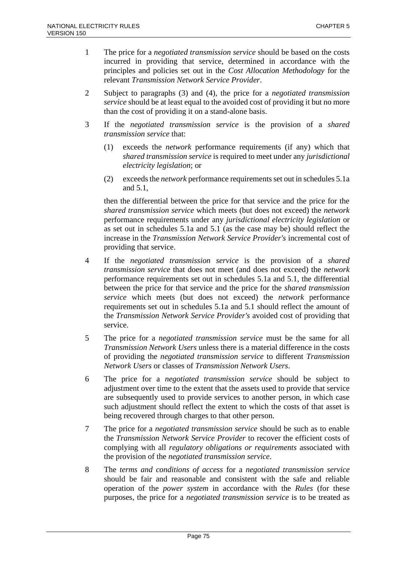- 1 The price for a *negotiated transmission service* should be based on the costs incurred in providing that service, determined in accordance with the principles and policies set out in the *Cost Allocation Methodology* for the relevant *Transmission Network Service Provider*.
- 2 Subject to paragraphs (3) and (4), the price for a *negotiated transmission service* should be at least equal to the avoided cost of providing it but no more than the cost of providing it on a stand-alone basis.
- 3 If the *negotiated transmission service* is the provision of a *shared transmission service* that:
	- (1) exceeds the *network* performance requirements (if any) which that *shared transmission service* is required to meet under any *jurisdictional electricity legislation*; or
	- (2) exceeds the *network* performance requirements set out in schedules 5.1a and 5.1,

then the differential between the price for that service and the price for the *shared transmission service* which meets (but does not exceed) the *network* performance requirements under any *jurisdictional electricity legislation* or as set out in schedules 5.1a and 5.1 (as the case may be) should reflect the increase in the *Transmission Network Service Provider's* incremental cost of providing that service.

- 4 If the *negotiated transmission service* is the provision of a *shared transmission service* that does not meet (and does not exceed) the *network* performance requirements set out in schedules 5.1a and 5.1, the differential between the price for that service and the price for the *shared transmission service* which meets (but does not exceed) the *network* performance requirements set out in schedules 5.1a and 5.1 should reflect the amount of the *Transmission Network Service Provider's* avoided cost of providing that service.
- 5 The price for a *negotiated transmission service* must be the same for all *Transmission Network Users* unless there is a material difference in the costs of providing the *negotiated transmission service* to different *Transmission Network Users* or classes of *Transmission Network Users*.
- 6 The price for a *negotiated transmission service* should be subject to adjustment over time to the extent that the assets used to provide that service are subsequently used to provide services to another person, in which case such adjustment should reflect the extent to which the costs of that asset is being recovered through charges to that other person.
- 7 The price for a *negotiated transmission service* should be such as to enable the *Transmission Network Service Provider* to recover the efficient costs of complying with all *regulatory obligations or requirements* associated with the provision of the *negotiated transmission service*.
- 8 The *terms and conditions of access* for a *negotiated transmission service* should be fair and reasonable and consistent with the safe and reliable operation of the *power system* in accordance with the *Rules* (for these purposes, the price for a *negotiated transmission service* is to be treated as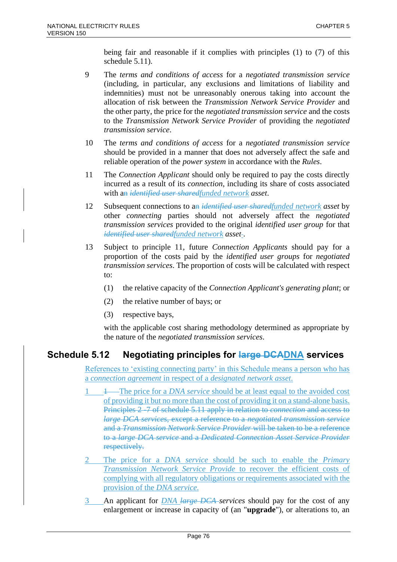being fair and reasonable if it complies with principles (1) to (7) of this schedule 5.11).

- 9 The *terms and conditions of access* for a *negotiated transmission service* (including, in particular, any exclusions and limitations of liability and indemnities) must not be unreasonably onerous taking into account the allocation of risk between the *Transmission Network Service Provider* and the other party, the price for the *negotiated transmission service* and the costs to the *Transmission Network Service Provider* of providing the *negotiated transmission service*.
- 10 The *terms and conditions of access* for a *negotiated transmission service* should be provided in a manner that does not adversely affect the safe and reliable operation of the *power system* in accordance with the *Rules*.
- 11 The *Connection Applicant* should only be required to pay the costs directly incurred as a result of its *connection*, including its share of costs associated with an *identified user sharedfunded network asset*.
- 12 Subsequent connections to an *identified user sharedfunded network asset* by other *connecting* parties should not adversely affect the *negotiated transmission services* provided to the original *identified user group* for that *identified user sharedfunded network asset-*.
- 13 Subject to principle 11, future *Connection Applicants* should pay for a proportion of the costs paid by the *identified user groups* for *negotiated transmission services*. The proportion of costs will be calculated with respect to:
	- (1) the relative capacity of the *Connection Applicant's generating plant*; or
	- (2) the relative number of bays; or
	- (3) respective bays,

with the applicable cost sharing methodology determined as appropriate by the nature of the *negotiated transmission services*.

# **Schedule 5.12 Negotiating principles for large DCADNA services**

References to 'existing connecting party' in this Schedule means a person who has a *connection agreement* in respect of a *designated network asset*.

- 1 1 The price for a *DNA service* should be at least equal to the avoided cost of providing it but no more than the cost of providing it on a stand-alone basis. Principles 2 -7 of schedule 5.11 apply in relation to *connection* and access to *large DCA services*, except a reference to a *negotiated transmission service* and a *Transmission Network Service Provider* will be taken to be a reference to a *large DCA service* and a *Dedicated Connection Asset Service Provider* respectively.
- 2 The price for a *DNA service* should be such to enable the *Primary Transmission Network Service Provide* to recover the efficient costs of complying with all regulatory obligations or requirements associated with the provision of the *DNA service*.
- 3 An applicant for *DNA large DCA services* should pay for the cost of any enlargement or increase in capacity of (an "**upgrade**"), or alterations to, an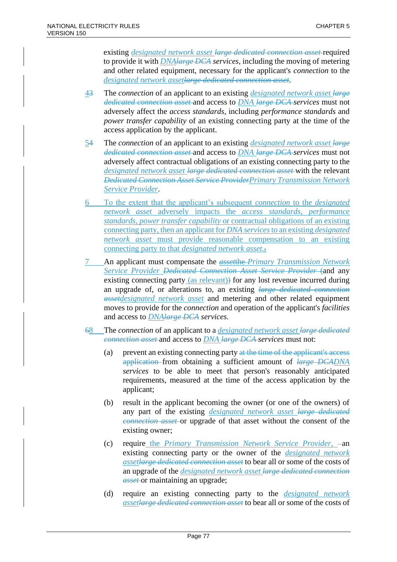existing *designated network asset large dedicated connection asset* required to provide it with *DNAlarge DCA services*, including the moving of metering and other related equipment, necessary for the applicant's *connection* to the *designated network assetlarge dedicated connection asset*.

- 43 The *connection* of an applicant to an existing *designated network asset large dedicated connection asset* and access to *DNA large DCA services* must not adversely affect the *access standards*, including *performance standards* and *power transfer capability* of an existing connecting party at the time of the access application by the applicant.
- 54 The *connection* of an applicant to an existing *designated network asset large dedicated connection asset* and access to *DNA large DCA services* must not adversely affect contractual obligations of an existing connecting party to the *designated network asset large dedicated connection asset* with the relevant *Dedicated Connection Asset Service ProviderPrimary Transmission Network Service Provider*.
- 6 To the extent that the applicant's subsequent *connection* to the *designated network asset* adversely impacts the *access standards*, *performance standards*, *power transfer capability* or contractual obligations of an existing connecting party, then an applicant for *DNA services*to an existing *designated network asset* must provide reasonable compensation to an existing connecting party to that *designated network asset.*,
- 7 An applicant must compensate the *asset*the *Primary Transmission Network Service Provider Dedicated Connection Asset Service Provider* (and any existing connecting party (as relevant) for any lost revenue incurred during an upgrade of, or alterations to, an existing *large dedicated connection assetdesignated network asset* and metering and other related equipment moves to provide for the *connection* and operation of the applicant's *facilities* and access to *DNAlarge DCA services*.
- 68 The *connection* of an applicant to a *designated network asset large dedicated connection asset* and access to *DNA large DCA services* must not:
	- (a) prevent an existing connecting party at the time of the applicant's access application from obtaining a sufficient amount of *large DCADNA services* to be able to meet that person's reasonably anticipated requirements, measured at the time of the access application by the applicant;
	- (b) result in the applicant becoming the owner (or one of the owners) of any part of the existing *designated network asset large dedicated connection asset* or upgrade of that asset without the consent of the existing owner;
	- (c) require the *Primary Transmission Network Service Provider*,  $-\text{an}$ existing connecting party or the owner of the *designated network assetlarge dedicated connection asset* to bear all or some of the costs of an upgrade of the *designated network asset large dedicated connection asset* or maintaining an upgrade;
	- (d) require an existing connecting party to the *designated network assetlarge dedicated connection asset* to bear all or some of the costs of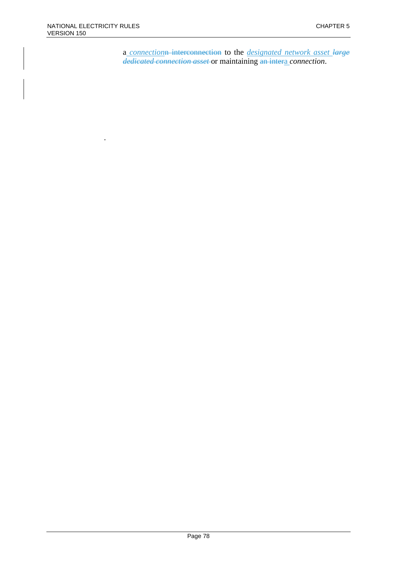.

a *connection*n interconnection to the *designated network asset large dedicated connection asset* or maintaining an intera *connection*.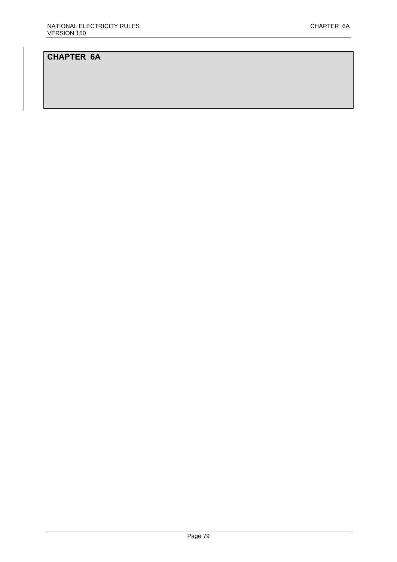# **CHAPTER 6A**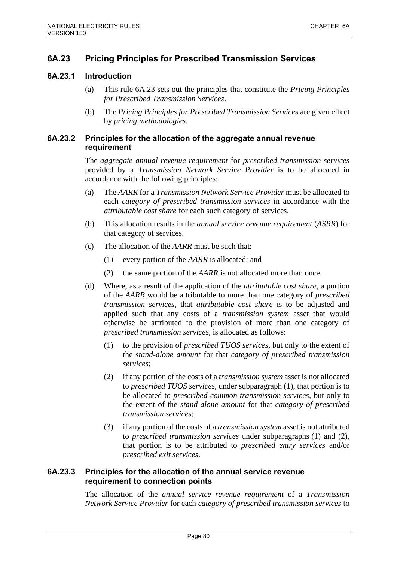# **6A.23 Pricing Principles for Prescribed Transmission Services**

## **6A.23.1 Introduction**

- (a) This rule 6A.23 sets out the principles that constitute the *Pricing Principles for Prescribed Transmission Services*.
- (b) The *Pricing Principles for Prescribed Transmission Services* are given effect by *pricing methodologies*.

## **6A.23.2 Principles for the allocation of the aggregate annual revenue requirement**

The *aggregate annual revenue requirement* for *prescribed transmission services* provided by a *Transmission Network Service Provider* is to be allocated in accordance with the following principles:

- (a) The *AARR* for a *Transmission Network Service Provider* must be allocated to each *category of prescribed transmission services* in accordance with the *attributable cost share* for each such category of services.
- (b) This allocation results in the *annual service revenue requirement* (*ASRR*) for that category of services.
- (c) The allocation of the *AARR* must be such that:
	- (1) every portion of the *AARR* is allocated; and
	- (2) the same portion of the *AARR* is not allocated more than once.
- (d) Where, as a result of the application of the *attributable cost share*, a portion of the *AARR* would be attributable to more than one category of *prescribed transmission services*, that *attributable cost share* is to be adjusted and applied such that any costs of a *transmission system* asset that would otherwise be attributed to the provision of more than one category of *prescribed transmission services*, is allocated as follows:
	- (1) to the provision of *prescribed TUOS services*, but only to the extent of the *stand-alone amount* for that *category of prescribed transmission services*;
	- (2) if any portion of the costs of a *transmission system* asset is not allocated to *prescribed TUOS services*, under subparagraph (1), that portion is to be allocated to *prescribed common transmission services*, but only to the extent of the *stand-alone amount* for that *category of prescribed transmission services*;
	- (3) if any portion of the costs of a *transmission system* asset is not attributed to *prescribed transmission services* under subparagraphs (1) and (2), that portion is to be attributed to *prescribed entry services* and/or *prescribed exit services*.

# **6A.23.3 Principles for the allocation of the annual service revenue requirement to connection points**

The allocation of the *annual service revenue requirement* of a *Transmission Network Service Provider* for each *category of prescribed transmission services* to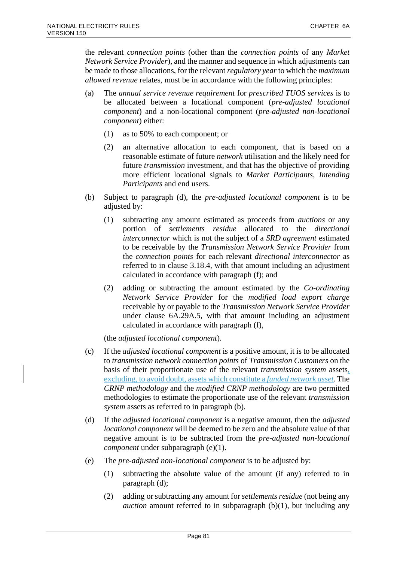the relevant *connection points* (other than the *connection points* of any *Market Network Service Provider*), and the manner and sequence in which adjustments can be made to those allocations, for the relevant *regulatory year* to which the *maximum allowed revenue* relates, must be in accordance with the following principles:

- (a) The *annual service revenue requirement* for *prescribed TUOS services* is to be allocated between a locational component (*pre-adjusted locational component*) and a non-locational component (*pre-adjusted non-locational component*) either:
	- (1) as to 50% to each component; or
	- (2) an alternative allocation to each component, that is based on a reasonable estimate of future *network* utilisation and the likely need for future *transmission* investment, and that has the objective of providing more efficient locational signals to *Market Participants*, *Intending Participants* and end users.
- (b) Subject to paragraph (d), the *pre-adjusted locational component* is to be adjusted by:
	- (1) subtracting any amount estimated as proceeds from *auctions* or any portion of *settlements residue* allocated to the *directional interconnector* which is not the subject of a *SRD agreement* estimated to be receivable by the *Transmission Network Service Provider* from the *connection points* for each relevant *directional interconnector* as referred to in clause 3.18.4, with that amount including an adjustment calculated in accordance with paragraph (f); and
	- (2) adding or subtracting the amount estimated by the *Co-ordinating Network Service Provider* for the *modified load export charge* receivable by or payable to the *Transmission Network Service Provider* under clause 6A.29A.5, with that amount including an adjustment calculated in accordance with paragraph (f),

(the *adjusted locational component*).

- (c) If the *adjusted locational component* is a positive amount, it is to be allocated to *transmission network connection points* of *Transmission Customers* on the basis of their proportionate use of the relevant *transmission system* assets, excluding, to avoid doubt, assets which constitute a *funded network asset*. The *CRNP methodology* and the *modified CRNP methodology* are two permitted methodologies to estimate the proportionate use of the relevant *transmission system* assets as referred to in paragraph (b).
- (d) If the *adjusted locational component* is a negative amount, then the *adjusted locational component* will be deemed to be zero and the absolute value of that negative amount is to be subtracted from the *pre-adjusted non-locational component* under subparagraph (e)(1).
- (e) The *pre-adjusted non-locational component* is to be adjusted by:
	- (1) subtracting the absolute value of the amount (if any) referred to in paragraph (d);
	- (2) adding or subtracting any amount for *settlements residue* (not being any *auction* amount referred to in subparagraph  $(b)(1)$ , but including any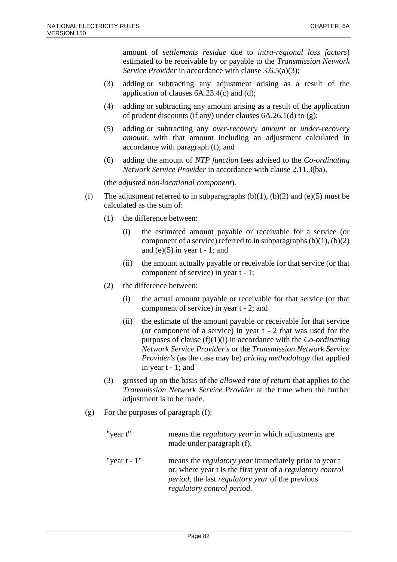amount of *settlements residue* due to *intra-regional loss factors*) estimated to be receivable by or payable to the *Transmission Network Service Provider* in accordance with clause 3.6.5(a)(3);

- (3) adding or subtracting any adjustment arising as a result of the application of clauses 6A.23.4(c) and (d);
- (4) adding or subtracting any amount arising as a result of the application of prudent discounts (if any) under clauses 6A.26.1(d) to (g);
- (5) adding or subtracting any *over-recovery amount* or *under-recovery amount*, with that amount including an adjustment calculated in accordance with paragraph (f); and
- (6) adding the amount of *NTP function* fees advised to the *Co-ordinating Network Service Provider* in accordance with clause 2.11.3(ba),

(the *adjusted non-locational component*).

- (f) The adjustment referred to in subparagraphs  $(b)(1)$ ,  $(b)(2)$  and  $(e)(5)$  must be calculated as the sum of:
	- (1) the difference between:
		- (i) the estimated amount payable or receivable for a service (or component of a service) referred to in subparagraphs  $(b)(1)$ ,  $(b)(2)$ and (e) $(5)$  in year t - 1; and
		- (ii) the amount actually payable or receivable for that service (or that component of service) in year t - 1;
	- (2) the difference between:
		- (i) the actual amount payable or receivable for that service (or that component of service) in year t - 2; and
		- (ii) the estimate of the amount payable or receivable for that service (or component of a service) in year t - 2 that was used for the purposes of clause (f)(1)(i) in accordance with the *Co-ordinating Network Service Provider's* or the *Transmission Network Service Provider's* (as the case may be) *pricing methodology* that applied in year t - 1; and
	- (3) grossed up on the basis of the *allowed rate of return* that applies to the *Transmission Network Service Provider* at the time when the further adjustment is to be made.
- (g) For the purposes of paragraph (f):

| "year t"        | means the <i>regulatory year</i> in which adjustments are<br>made under paragraph (f).                                                                                                                                      |
|-----------------|-----------------------------------------------------------------------------------------------------------------------------------------------------------------------------------------------------------------------------|
| "year $t - 1$ " | means the <i>regulatory year</i> immediately prior to year t<br>or, where year t is the first year of a regulatory control<br><i>period</i> , the last <i>regulatory</i> year of the previous<br>regulatory control period. |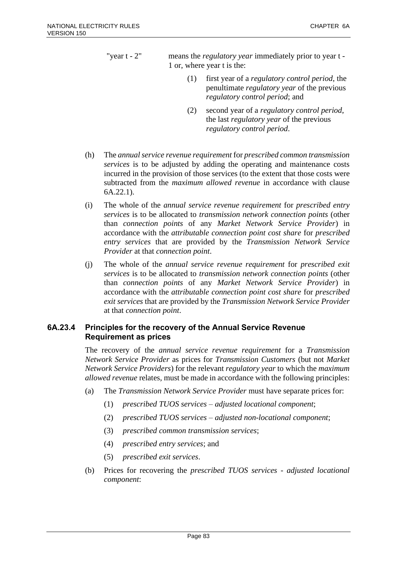"year t - 2" means the *regulatory year* immediately prior to year t - 1 or, where year t is the:

- (1) first year of a *regulatory control period*, the penultimate *regulatory year* of the previous *regulatory control period*; and
- (2) second year of a *regulatory control period*, the last *regulatory year* of the previous *regulatory control period*.
- (h) The *annual service revenue requirement* for *prescribed common transmission services* is to be adjusted by adding the operating and maintenance costs incurred in the provision of those services (to the extent that those costs were subtracted from the *maximum allowed revenue* in accordance with clause 6A.22.1).
- (i) The whole of the *annual service revenue requirement* for *prescribed entry services* is to be allocated to *transmission network connection points* (other than *connection points* of any *Market Network Service Provider*) in accordance with the *attributable connection point cost share* for *prescribed entry services* that are provided by the *Transmission Network Service Provider* at that *connection point*.
- (j) The whole of the *annual service revenue requirement* for *prescribed exit services* is to be allocated to *transmission network connection points* (other than *connection points* of any *Market Network Service Provider*) in accordance with the *attributable connection point cost share* for *prescribed exit services* that are provided by the *Transmission Network Service Provider* at that *connection point*.

# **6A.23.4 Principles for the recovery of the Annual Service Revenue Requirement as prices**

The recovery of the *annual service revenue requirement* for a *Transmission Network Service Provider* as prices for *Transmission Customers* (but not *Market Network Service Providers*) for the relevant *regulatory year* to which the *maximum allowed revenue* relates, must be made in accordance with the following principles:

- (a) The *Transmission Network Service Provider* must have separate prices for:
	- (1) *prescribed TUOS services adjusted locational component*;
	- (2) *prescribed TUOS services adjusted non-locational component*;
	- (3) *prescribed common transmission services*;
	- (4) *prescribed entry services*; and
	- (5) *prescribed exit services*.
- (b) Prices for recovering the *prescribed TUOS services adjusted locational component*: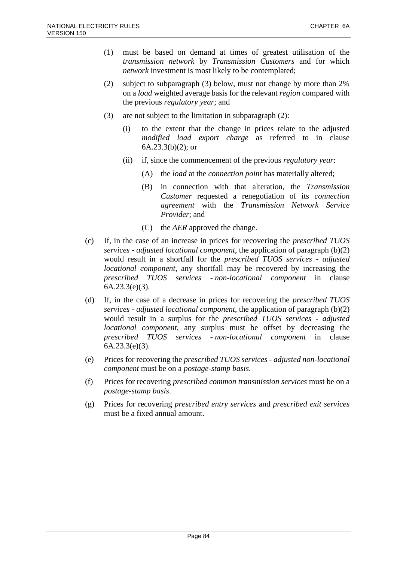- (1) must be based on demand at times of greatest utilisation of the *transmission network* by *Transmission Customers* and for which *network* investment is most likely to be contemplated;
- (2) subject to subparagraph (3) below, must not change by more than 2% on a *load* weighted average basis for the relevant *region* compared with the previous *regulatory year*; and
- (3) are not subject to the limitation in subparagraph (2):
	- (i) to the extent that the change in prices relate to the adjusted *modified load export charge* as referred to in clause  $6A.23.3(b)(2)$ ; or
	- (ii) if, since the commencement of the previous *regulatory year*:
		- (A) the *load* at the *connection point* has materially altered;
		- (B) in connection with that alteration, the *Transmission Customer* requested a renegotiation of its *connection agreement* with the *Transmission Network Service Provider*; and
		- (C) the *AER* approved the change.
- (c) If, in the case of an increase in prices for recovering the *prescribed TUOS services* - *adjusted locational component*, the application of paragraph (b)(2) would result in a shortfall for the *prescribed TUOS services* - *adjusted locational component*, any shortfall may be recovered by increasing the *prescribed TUOS services* - *non-locational component* in clause 6A.23.3(e)(3).
- (d) If, in the case of a decrease in prices for recovering the *prescribed TUOS services* - *adjusted locational component*, the application of paragraph (b)(2) would result in a surplus for the *prescribed TUOS services* - *adjusted locational component*, any surplus must be offset by decreasing the *prescribed TUOS services* - *non-locational component* in clause 6A.23.3(e)(3).
- (e) Prices for recovering the *prescribed TUOS services adjusted non-locational component* must be on a *postage-stamp basis*.
- (f) Prices for recovering *prescribed common transmission services* must be on a *postage-stamp basis*.
- (g) Prices for recovering *prescribed entry services* and *prescribed exit services* must be a fixed annual amount.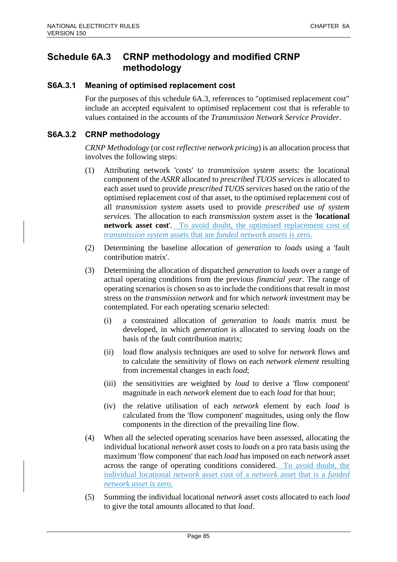# **Schedule 6A.3 CRNP methodology and modified CRNP methodology**

## **S6A.3.1 Meaning of optimised replacement cost**

For the purposes of this schedule 6A.3, references to "optimised replacement cost" include an accepted equivalent to optimised replacement cost that is referable to values contained in the accounts of the *Transmission Network Service Provider*.

## **S6A.3.2 CRNP methodology**

*CRNP Methodology* (or *cost reflective network pricing*) is an allocation process that involves the following steps:

- (1) Attributing network 'costs' to *transmission system* assets: the locational component of the *ASRR* allocated to *prescribed TUOS services* is allocated to each asset used to provide *prescribed TUOS services* based on the ratio of the optimised replacement cost of that asset, to the optimised replacement cost of all *transmission system* assets used to provide *prescribed use of system services*. The allocation to each *transmission system* asset is the '**locational network asset cost**'. To avoid doubt, the optimised replacement cost of *transmission system* assets that are *funded network assets* is zero.
- (2) Determining the baseline allocation of *generation* to *loads* using a 'fault contribution matrix'.
- (3) Determining the allocation of dispatched *generation* to *loads* over a range of actual operating conditions from the previous *financial year*. The range of operating scenarios is chosen so as to include the conditions that result in most stress on the *transmission network* and for which *network* investment may be contemplated. For each operating scenario selected:
	- (i) a constrained allocation of *generation* to *loads* matrix must be developed, in which *generation* is allocated to serving *loads* on the basis of the fault contribution matrix;
	- (ii) load flow analysis techniques are used to solve for *network* flows and to calculate the sensitivity of flows on each *network element* resulting from incremental changes in each *load*;
	- (iii) the sensitivities are weighted by *load* to derive a 'flow component' magnitude in each *network* element due to each *load* for that hour;
	- (iv) the relative utilisation of each *network* element by each *load* is calculated from the 'flow component' magnitudes, using only the flow components in the direction of the prevailing line flow.
- (4) When all the selected operating scenarios have been assessed, allocating the individual locational *network* asset costs to *loads* on a pro rata basis using the maximum 'flow component' that each *load* has imposed on each *network* asset across the range of operating conditions considered. To avoid doubt, the individual locational *network* asset cost of a *network* asset that is a *funded network asset* is zero.
- (5) Summing the individual locational *network* asset costs allocated to each *load* to give the total amounts allocated to that *load*.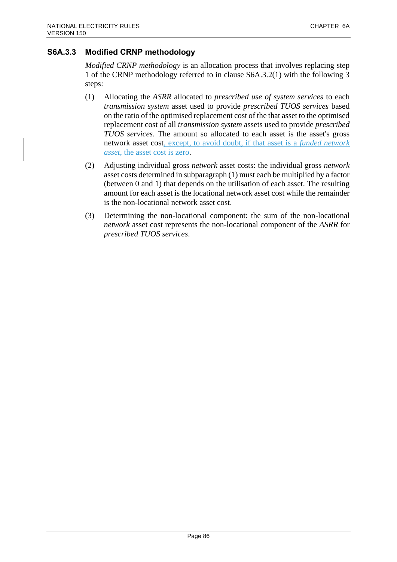# **S6A.3.3 Modified CRNP methodology**

*Modified CRNP methodology* is an allocation process that involves replacing step 1 of the CRNP methodology referred to in clause S6A.3.2(1) with the following 3 steps:

- (1) Allocating the *ASRR* allocated to *prescribed use of system services* to each *transmission system* asset used to provide *prescribed TUOS services* based on the ratio of the optimised replacement cost of the that asset to the optimised replacement cost of all *transmission system* assets used to provide *prescribed TUOS services*. The amount so allocated to each asset is the asset's gross network asset cost, except, to avoid doubt, if that asset is a *funded network asset*, the asset cost is zero.
- (2) Adjusting individual gross *network* asset costs: the individual gross *network* asset costs determined in subparagraph (1) must each be multiplied by a factor (between 0 and 1) that depends on the utilisation of each asset. The resulting amount for each asset is the locational network asset cost while the remainder is the non-locational network asset cost.
- (3) Determining the non-locational component: the sum of the non-locational *network* asset cost represents the non-locational component of the *ASRR* for *prescribed TUOS services*.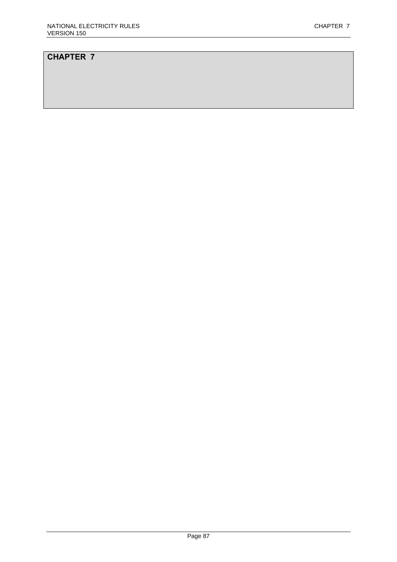# **CHAPTER 7**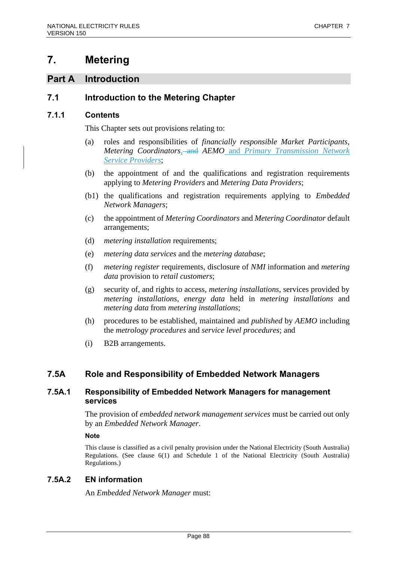# **7. Metering**

# **Part A Introduction**

# **7.1 Introduction to the Metering Chapter**

# **7.1.1 Contents**

This Chapter sets out provisions relating to:

- (a) roles and responsibilities of *financially responsible Market Participants*, *Metering Coordinators*, and *AEMO* and *Primary Transmission Network Service Providers*;
- (b) the appointment of and the qualifications and registration requirements applying to *Metering Providers* and *Metering Data Providers*;
- (b1) the qualifications and registration requirements applying to *Embedded Network Managers*;
- (c) the appointment of *Metering Coordinators* and *Metering Coordinator* default arrangements;
- (d) *metering installation* requirements;
- (e) *metering data services* and the *metering database*;
- (f) *metering register* requirements, disclosure of *NMI* information and *metering data* provision to *retail customers*;
- (g) security of, and rights to access, *metering installations*, services provided by *metering installations*, *energy data* held in *metering installations* and *metering data* from *metering installations*;
- (h) procedures to be established, maintained and *published* by *AEMO* including the *metrology procedures* and *service level procedures*; and
- (i) B2B arrangements.

# **7.5A Role and Responsibility of Embedded Network Managers**

# **7.5A.1 Responsibility of Embedded Network Managers for management services**

The provision of *embedded network management services* must be carried out only by an *Embedded Network Manager*.

**Note**

This clause is classified as a civil penalty provision under the National Electricity (South Australia) Regulations. (See clause 6(1) and Schedule 1 of the National Electricity (South Australia) Regulations.)

# **7.5A.2 EN information**

An *Embedded Network Manager* must: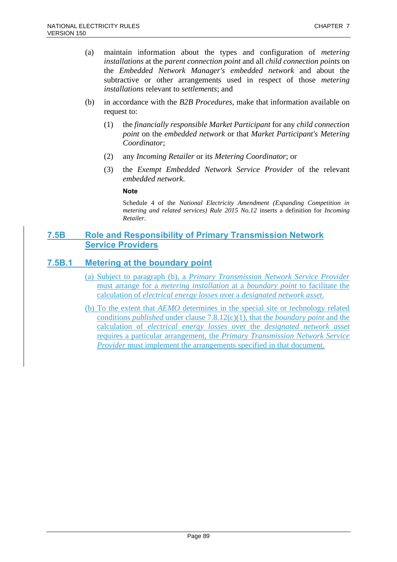- (a) maintain information about the types and configuration of *metering installations* at the *parent connection point* and all *child connection points* on the *Embedded Network Manager's embedded network* and about the subtractive or other arrangements used in respect of those *metering installations* relevant to *settlements*; and
- (b) in accordance with the *B2B Procedures*, make that information available on request to:
	- (1) the *financially responsible Market Participant* for any *child connection point* on the *embedded network* or that *Market Participant's Metering Coordinator*;
	- (2) any *Incoming Retailer* or its *Metering Coordinator*; or
	- (3) the *Exempt Embedded Network Service Provider* of the relevant *embedded network*.

#### **Note**

Schedule 4 of the *National Electricity Amendment (Expanding Competition in metering and related services) Rule 2015 No.12* inserts a definition for *Incoming Retailer*.

# **7.5B Role and Responsibility of Primary Transmission Network Service Providers**

# **7.5B.1 Metering at the boundary point**

- (a) Subject to paragraph (b), a *Primary Transmission Network Service Provider* must arrange for a *metering installation* at a *boundary point* to facilitate the calculation of *electrical energy losses* over a *designated network asset*.
- (b) To the extent that *AEMO* determines in the special site or technology related conditions *published* under clause 7.8.12(c)(1), that the *boundary point* and the calculation of *electrical energy losses* over the *designated network asset* requires a particular arrangement, the *Primary Transmission Network Service Provider* must implement the arrangements specified in that document.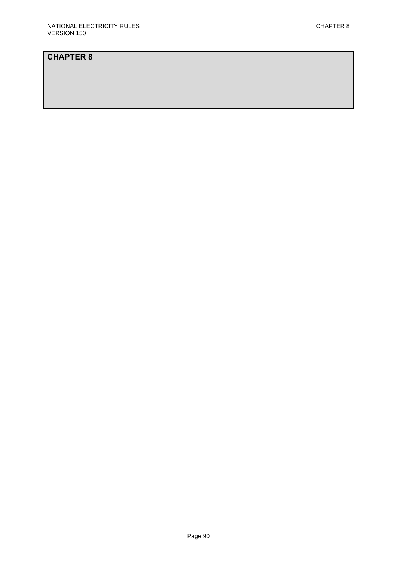# **CHAPTER 8**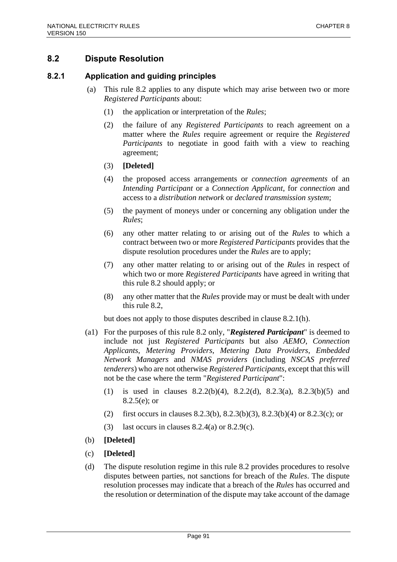# **8.2 Dispute Resolution**

## **8.2.1 Application and guiding principles**

- (a) This rule 8.2 applies to any dispute which may arise between two or more *Registered Participants* about:
	- (1) the application or interpretation of the *Rules*;
	- (2) the failure of any *Registered Participants* to reach agreement on a matter where the *Rules* require agreement or require the *Registered Participants* to negotiate in good faith with a view to reaching agreement;
	- (3) **[Deleted]**
	- (4) the proposed access arrangements or *connection agreements* of an *Intending Participant* or a *Connection Applicant*, for *connection* and access to a *distribution network* or *declared transmission system*;
	- (5) the payment of moneys under or concerning any obligation under the *Rules*;
	- (6) any other matter relating to or arising out of the *Rules* to which a contract between two or more *Registered Participants* provides that the dispute resolution procedures under the *Rules* are to apply;
	- (7) any other matter relating to or arising out of the *Rules* in respect of which two or more *Registered Participants* have agreed in writing that this rule 8.2 should apply; or
	- (8) any other matter that the *Rules* provide may or must be dealt with under this rule 8.2,

but does not apply to those disputes described in clause 8.2.1(h).

- (a1) For the purposes of this rule 8.2 only, "*Registered Participant*" is deemed to include not just *Registered Participants* but also *AEMO*, *Connection Applicants*, *Metering Providers*, *Metering Data Providers*, *Embedded Network Managers* and *NMAS providers* (including *NSCAS preferred tenderers*) who are not otherwise *Registered Participants*, except that this will not be the case where the term "*Registered Participant*":
	- (1) is used in clauses 8.2.2(b)(4), 8.2.2(d), 8.2.3(a), 8.2.3(b)(5) and 8.2.5(e); or
	- (2) first occurs in clauses 8.2.3(b), 8.2.3(b)(3), 8.2.3(b)(4) or 8.2.3(c); or
	- (3) last occurs in clauses  $8.2.4(a)$  or  $8.2.9(c)$ .
- (b) **[Deleted]**
- (c) **[Deleted]**
- (d) The dispute resolution regime in this rule 8.2 provides procedures to resolve disputes between parties, not sanctions for breach of the *Rules*. The dispute resolution processes may indicate that a breach of the *Rules* has occurred and the resolution or determination of the dispute may take account of the damage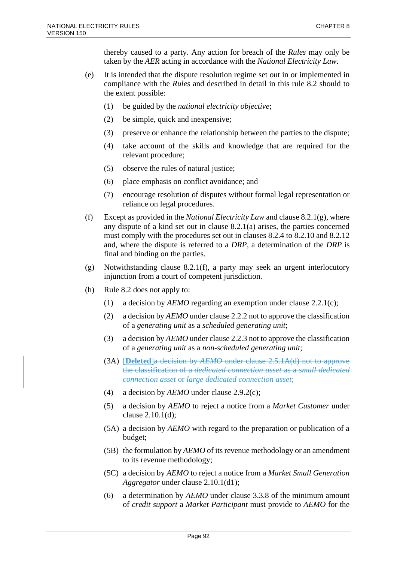thereby caused to a party. Any action for breach of the *Rules* may only be taken by the *AER* acting in accordance with the *National Electricity Law*.

- (e) It is intended that the dispute resolution regime set out in or implemented in compliance with the *Rules* and described in detail in this rule 8.2 should to the extent possible:
	- (1) be guided by the *national electricity objective*;
	- (2) be simple, quick and inexpensive;
	- (3) preserve or enhance the relationship between the parties to the dispute;
	- (4) take account of the skills and knowledge that are required for the relevant procedure;
	- (5) observe the rules of natural justice;
	- (6) place emphasis on conflict avoidance; and
	- (7) encourage resolution of disputes without formal legal representation or reliance on legal procedures.
- (f) Except as provided in the *National Electricity Law* and clause 8.2.1(g), where any dispute of a kind set out in clause 8.2.1(a) arises, the parties concerned must comply with the procedures set out in clauses 8.2.4 to 8.2.10 and 8.2.12 and, where the dispute is referred to a *DRP*, a determination of the *DRP* is final and binding on the parties.
- (g) Notwithstanding clause 8.2.1(f), a party may seek an urgent interlocutory injunction from a court of competent jurisdiction.
- (h) Rule 8.2 does not apply to:
	- (1) a decision by *AEMO* regarding an exemption under clause 2.2.1(c);
	- (2) a decision by *AEMO* under clause 2.2.2 not to approve the classification of a *generating unit* as a *scheduled generating unit*;
	- (3) a decision by *AEMO* under clause 2.2.3 not to approve the classification of a *generating unit* as a *non-scheduled generating unit*;
	- (3A) [**Deleted**]a decision by *AEMO* under clause 2.5.1A(d) not to approve the classification of a *dedicated connection asset* as a *small dedicated connection asset* or *large dedicated connection asset*;
	- (4) a decision by *AEMO* under clause 2.9.2(c);
	- (5) a decision by *AEMO* to reject a notice from a *Market Customer* under clause 2.10.1(d);
	- (5A) a decision by *AEMO* with regard to the preparation or publication of a budget;
	- (5B) the formulation by *AEMO* of its revenue methodology or an amendment to its revenue methodology;
	- (5C) a decision by *AEMO* to reject a notice from a *Market Small Generation Aggregator* under clause 2.10.1(d1);
	- (6) a determination by *AEMO* under clause 3.3.8 of the minimum amount of *credit support* a *Market Participant* must provide to *AEMO* for the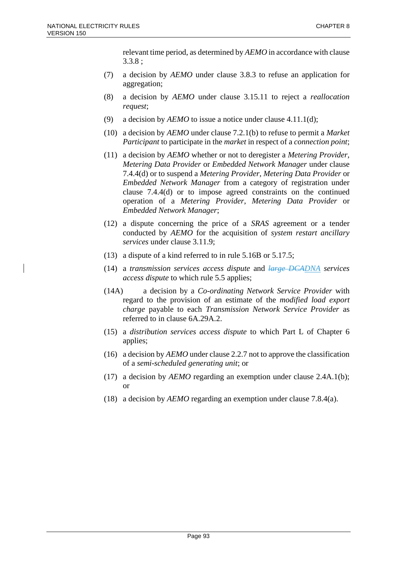relevant time period, as determined by *AEMO* in accordance with clause 3.3.8 ;

- (7) a decision by *AEMO* under clause 3.8.3 to refuse an application for aggregation;
- (8) a decision by *AEMO* under clause 3.15.11 to reject a *reallocation request*;
- (9) a decision by *AEMO* to issue a notice under clause 4.11.1(d);
- (10) a decision by *AEMO* under clause 7.2.1(b) to refuse to permit a *Market Participant* to participate in the *market* in respect of a *connection point*;
- (11) a decision by *AEMO* whether or not to deregister a *Metering Provider*, *Metering Data Provider* or *Embedded Network Manager* under clause 7.4.4(d) or to suspend a *Metering Provider*, *Metering Data Provider* or *Embedded Network Manager* from a category of registration under clause 7.4.4(d) or to impose agreed constraints on the continued operation of a *Metering Provider*, *Metering Data Provider* or *Embedded Network Manager*;
- (12) a dispute concerning the price of a *SRAS* agreement or a tender conducted by *AEMO* for the acquisition of *system restart ancillary services* under clause 3.11.9;
- (13) a dispute of a kind referred to in rule 5.16B or 5.17.5;
- (14) a *transmission services access dispute* and *large DCADNA services access dispute* to which rule 5.5 applies;
- (14A) a decision by a *Co-ordinating Network Service Provider* with regard to the provision of an estimate of the *modified load export charge* payable to each *Transmission Network Service Provider* as referred to in clause 6A.29A.2.
- (15) a *distribution services access dispute* to which Part L of Chapter 6 applies;
- (16) a decision by *AEMO* under clause 2.2.7 not to approve the classification of a *semi-scheduled generating unit*; or
- (17) a decision by *AEMO* regarding an exemption under clause 2.4A.1(b); or
- (18) a decision by *AEMO* regarding an exemption under clause 7.8.4(a).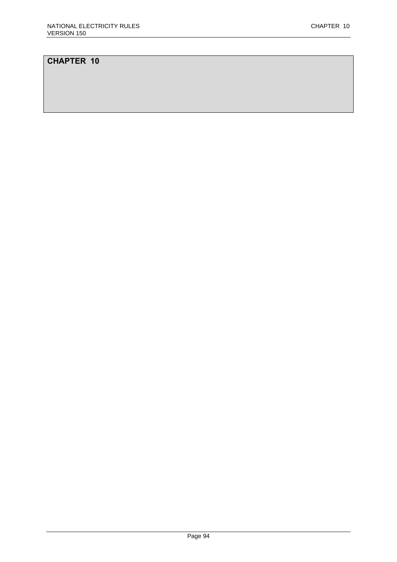# **CHAPTER 10**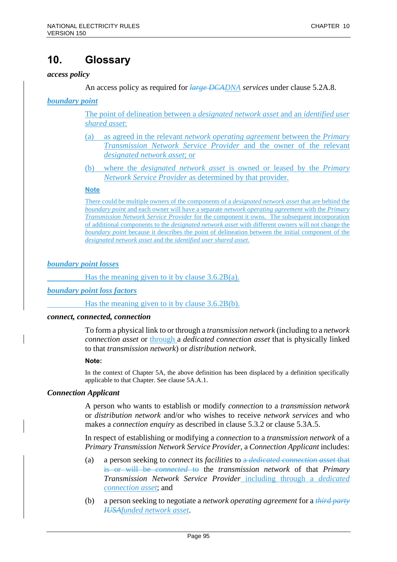# **10. Glossary**

#### *access policy*

An access policy as required for *large DCADNA services* under clause 5.2A.8.

*boundary point* 

The point of delineation between a *designated network asset* and an *identified user shared asset*:

- (a) as agreed in the relevant *network operating agreement* between the *Primary Transmission Network Service Provider* and the owner of the relevant *designated network asset*; or
- (b) where the *designated network asset* is owned or leased by the *Primary Network Service Provider* as determined by that provider.

#### **Note**

There could be multiple owners of the components of a *designated network asset* that are behind the *boundary point* and each owner will have a separate *network operating agreement* with the *Primary Transmission Network Service Provider* for the component it owns. The subsequent incorporation of additional components to the *designated network asset* with different owners will not change the *boundary point* because it describes the point of delineation between the initial component of the *designated network asset* and the *identified user shared asset*.

### *boundary point losses*

Has the meaning given to it by clause 3.6.2B(a).

*boundary point loss factors*

Has the meaning given to it by clause 3.6.2B(b).

#### *connect, connected, connection*

To form a physical link to or through a *transmission network* (including to a *network connection asset* or through a *dedicated connection asset* that is physically linked to that *transmission network*) or *distribution network*.

#### **Note:**

In the context of Chapter 5A, the above definition has been displaced by a definition specifically applicable to that Chapter. See clause 5A.A.1.

## *Connection Applicant*

A person who wants to establish or modify *connection* to a *transmission network* or *distribution network* and/or who wishes to receive *network services* and who makes a *connection enquiry* as described in clause 5.3.2 or clause 5.3A.5.

In respect of establishing or modifying a *connection* to a *transmission network* of a *Primary Transmission Network Service Provider*, a *Connection Applicant* includes:

- (a) a person seeking to *connect* its *facilities* to a *dedicated connection asset* that is or will be *connected* to the *transmission network* of that *Primary Transmission Network Service Provider* including through a *dedicated connection asset*; and
- (b) a person seeking to negotiate a *network operating agreement* for a *third party IUSAfunded network asset*.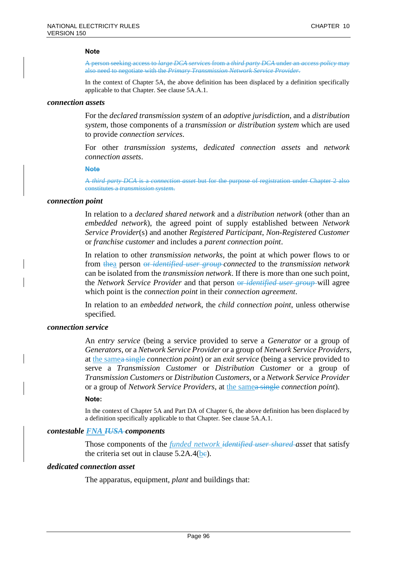#### **Note**

A person seeking access to *large DCA services* from a *third party DCA* under an *access policy* may also need to negotiate with the *Primary Transmission Network Service Provider*.

In the context of Chapter 5A, the above definition has been displaced by a definition specifically applicable to that Chapter. See clause 5A.A.1.

#### *connection assets*

For the *declared transmission system* of an *adoptive jurisdiction*, and a *distribution system*, those components of a *transmission or distribution system* which are used to provide *connection services*.

For other *transmission systems*, *dedicated connection assets* and *network connection assets*.

#### **Note**

A *third party DCA* is a *connection asset* but for the purpose of registration under Chapter 2 also constitutes a *transmission system*.

#### *connection point*

In relation to a *declared shared network* and a *distribution network* (other than an *embedded network*), the agreed point of supply established between *Network Service Provider*(s) and another *Registered Participant*, *Non-Registered Customer* or *franchise customer* and includes a *parent connection point*.

In relation to other *transmission networks*, the point at which power flows to or from thea person or *identified user group connected* to the *transmission network* can be isolated from the *transmission network*. If there is more than one such point, the *Network Service Provider* and that person or *identified user group* will agree which point is the *connection point* in their *connection agreement*.

In relation to an *embedded network*, the *child connection point*, unless otherwise specified.

#### *connection service*

An *entry service* (being a service provided to serve a *Generator* or a group of *Generators*, or a *Network Service Provider* or a group of *Network Service Providers*, at the samea single *connection point*) or an *exit service* (being a service provided to serve a *Transmission Customer* or *Distribution Customer* or a group of *Transmission Customers* or *Distribution Customers*, or a *Network Service Provider* or a group of *Network Service Providers*, at the samea single *connection point*).

#### **Note:**

In the context of Chapter 5A and Part DA of Chapter 6, the above definition has been displaced by a definition specifically applicable to that Chapter. See clause 5A.A.1.

#### *contestable FNA IUSA components*

Those components of the *funded network identified user shared asset* that satisfy the criteria set out in clause  $5.2A.4(be)$ .

## *dedicated connection asset*

The apparatus, equipment, *plant* and buildings that: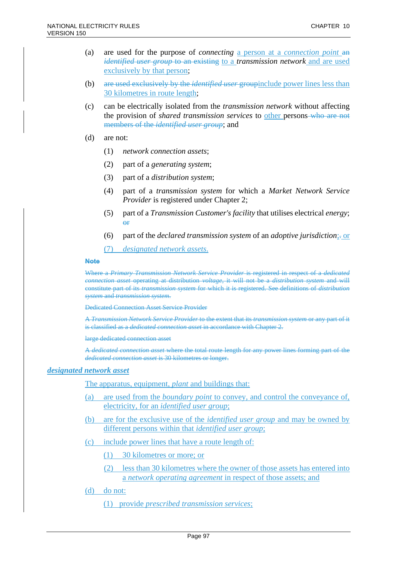- (a) are used for the purpose of *connecting* a person at a *connection point* an *identified user group* to an existing to a *transmission network* and are used exclusively by that person;
- (b) are used exclusively by the *identified user* groupinclude power lines less than 30 kilometres in route length;
- (c) can be electrically isolated from the *transmission network* without affecting the provision of *shared transmission services* to other persons who are not members of the *identified user group*; and
- (d) are not:
	- (1) *network connection assets*;
	- (2) part of a *generating system*;
	- (3) part of a *distribution system*;
	- (4) part of a *transmission system* for which a *Market Network Service Provider* is registered under Chapter 2;
	- (5) part of a *Transmission Customer's facility* that utilises electrical *energy*; or
	- (6) part of the *declared transmission system* of an *adoptive jurisdiction*;. or
	- (7) *designated network assets*.

#### **Note**

Where a *Primary Transmission Network Service Provider* is registered in respect of a *dedicated connection asset* operating at distribution *voltage*, it will not be a *distribution system* and will constitute part of its *transmission system* for which it is registered. See definitions of *distribution system* and *transmission system*.

Dedicated Connection Asset Service Provider

A *Transmission Network Service Provider* to the extent that its *transmission system* or any part of it is classified as a *dedicated connection asset* in accordance with Chapter 2.

large dedicated connection asset

A *dedicated connection asset* where the total route length for any power lines forming part of the *dedicated connection asset* is 30 kilometres or longer.

#### *designated network asset*

The apparatus, equipment, *plant* and buildings that:

- (a) are used from the *boundary point* to convey, and control the conveyance of, electricity, for an *identified user group*;
- (b) are for the exclusive use of the *identified user group* and may be owned by different persons within that *identified user group*;
- (c) include power lines that have a route length of:
	- (1) 30 kilometres or more; or
	- (2) less than 30 kilometres where the owner of those assets has entered into a *network operating agreement* in respect of those assets; and
- (d) do not:
	- (1) provide *prescribed transmission services*;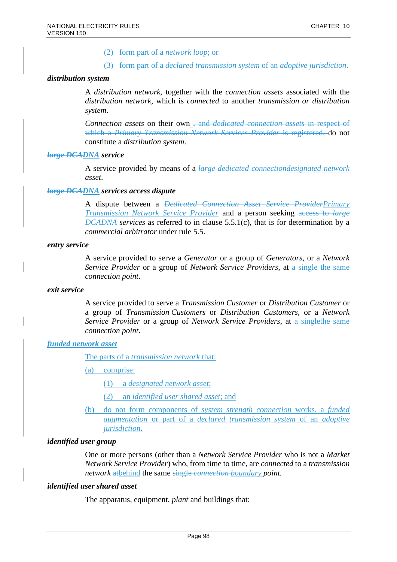(2) form part of a *network loop*; or

(3) form part of a *declared transmission system* of an *adoptive jurisdiction*.

### *distribution system*

A *distribution network*, together with the *connection assets* associated with the *distribution network*, which is *connected* to another *transmission or distribution system*.

*Connection assets* on their own , and *dedicated connection assets* in respect of which a *Primary Transmission Network Services Provider* is registered, do not constitute a *distribution system*.

### *large DCADNA service*

A service provided by means of a *large dedicated connectiondesignated network asset*.

### *large DCADNA services access dispute*

A dispute between a *Dedicated Connection Asset Service ProviderPrimary Transmission Network Service Provider* and a person seeking access to *large DCADNA services* as referred to in clause 5.5.1(c), that is for determination by a *commercial arbitrator* under rule 5.5.

#### *entry service*

A service provided to serve a *Generator* or a group of *Generators*, or a *Network Service Provider* or a group of *Network Service Providers*, at a single the same *connection point*.

### *exit service*

A service provided to serve a *Transmission Customer* or *Distribution Customer* or a group of *Transmission Customers* or *Distribution Customers*, or a *Network Service Provider* or a group of *Network Service Providers*, at a singlethe same *connection point*.

#### *funded network asset*

The parts of a *transmission network* that:

- (a) comprise:
	- (1) a *designated network asset*;
	- (2) an *identified user shared asset*; and
- (b) do not form components of *system strength connection* works, a *funded augmentation* or part of a *declared transmission system* of an *adoptive jurisdiction*.

#### *identified user group*

One or more persons (other than a *Network Service Provider* who is not a *Market Network Service Provider*) who, from time to time, are *connected* to a *transmission network* atbehind the same single *connection boundary point.*

#### *identified user shared asset*

The apparatus, equipment, *plant* and buildings that: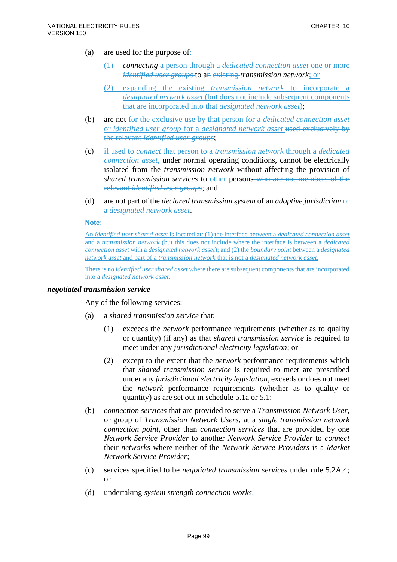- (a) are used for the purpose of:
	- (1) *connecting* a person through a *dedicated connection asset* one or more *identified user groups* to an existing *transmission network*; or
	- (2) expanding the existing *transmission network* to incorporate a *designated network asset* (but does not include subsequent components that are incorporated into that *designated network asset*);
- (b) are not for the exclusive use by that person for a *dedicated connection asset* or *identified user group* for a *designated network asset* used exclusively by the relevant *identified user groups*;
- (c) if used to *connect* that person to a *transmission network* through a *dedicated connection asset*, under normal operating conditions, cannot be electrically isolated from the *transmission network* without affecting the provision of *shared transmission services* to other persons who are not members of the relevant *identified user groups*; and
- (d) are not part of the *declared transmission system* of an *adoptive jurisdiction* or a *designated network asset*.

### **Note:**

An *identified user shared asset* is located at: (1) the interface between a *dedicated connection asset* and a *transmission network* (but this does not include where the interface is between a *dedicated connection asset* with a *designated network asset*); and (2) the *boundary point* between a *designated network asset* and part of a *transmission network* that is not a *designated network asset*.

There is no *identified user shared asset* where there are subsequent components that are incorporated into a *designated network asset*.

### *negotiated transmission service*

Any of the following services:

- (a) a *shared transmission service* that:
	- (1) exceeds the *network* performance requirements (whether as to quality or quantity) (if any) as that *shared transmission service* is required to meet under any *jurisdictional electricity legislation*; or
	- (2) except to the extent that the *network* performance requirements which that *shared transmission service* is required to meet are prescribed under any *jurisdictional electricity legislation*, exceeds or does not meet the *network* performance requirements (whether as to quality or quantity) as are set out in schedule 5.1a or 5.1;
- (b) *connection services* that are provided to serve a *Transmission Network User*, or group of *Transmission Network Users*, at a *single transmission network connection point*, other than *connection services* that are provided by one *Network Service Provider* to another *Network Service Provider* to *connect* their *networks* where neither of the *Network Service Providers* is a *Market Network Service Provider*;
- (c) services specified to be *negotiated transmission services* under rule 5.2A.4; or
- (d) undertaking *system strength connection works,*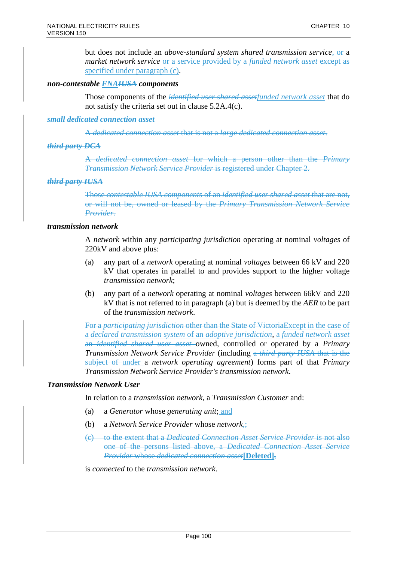but does not include an *above-standard system shared transmission service*,  $\theta$ <sup>-a</sup> *market network service* or a service provided by a *funded network asset* except as specified under paragraph (c).

### *non-contestable FNAIUSA components*

Those components of the *identified user shared assetfunded network asset* that do not satisfy the criteria set out in clause 5.2A.4(c).

#### *small dedicated connection asset*

A *dedicated connection asset* that is not a *large dedicated connection asset*.

## *third party DCA*

A *dedicated connection asset* for which a person other than the *Primary Transmission Network Service Provider* is registered under Chapter 2.

### *third party IUSA*

Those *contestable IUSA components* of an *identified user shared asset* that are not, or will not be, owned or leased by the *Primary Transmission Network Service Provider*.

### *transmission network*

A *network* within any *participating jurisdiction* operating at nominal *voltages* of 220kV and above plus:

- (a) any part of a *network* operating at nominal *voltages* between 66 kV and 220 kV that operates in parallel to and provides support to the higher voltage *transmission network*;
- (b) any part of a *network* operating at nominal *voltages* between 66kV and 220 kV that is not referred to in paragraph (a) but is deemed by the *AER* to be part of the *transmission network*.

For a *participating jurisdiction* other than the State of VictoriaExcept in the case of a *declared transmission system* of an *adoptive jurisdiction*, a *funded network asset* an *identified shared user asset* owned, controlled or operated by a *Primary Transmission Network Service Provider* (including a *third party IUSA* that is the subject of under a *network operating agreement*) forms part of that *Primary Transmission Network Service Provider's transmission network*.

## *Transmission Network User*

In relation to a *transmission network*, a *Transmission Customer* and:

- (a) a *Generator* whose *generating unit*; and
- (b) a *Network Service Provider* whose *network*,;
- (c) to the extent that a *Dedicated Connection Asset Service Provider* is not also one of the persons listed above, a *Dedicated Connection Asset Service Provider* whose *dedicated connection asset***[Deleted]**,

is *connected* to the *transmission network*.